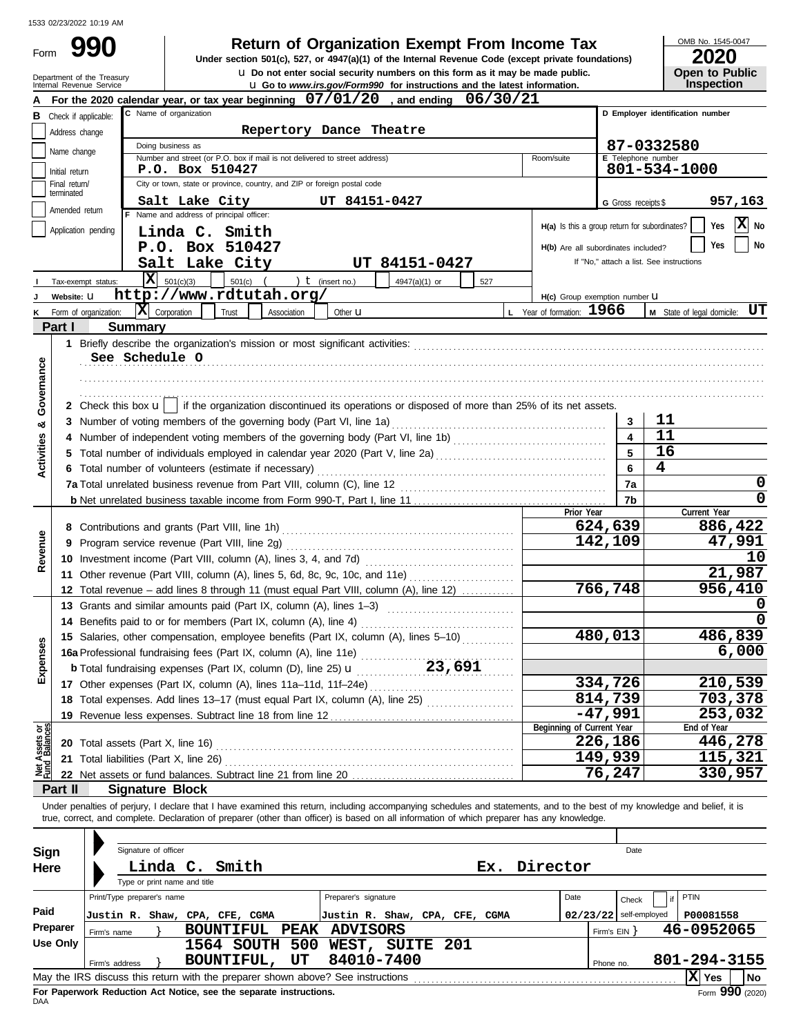# **Return of Organization Exempt From Income Tax**

u **Do not enter social security numbers on this form as it may be made public. Open to Public Under section 501(c), 527, or 4947(a)(1) of the Internal Revenue Code (except private foundations)**

OMB No. 1545-0047

|  | ∸∪∸∪                  |
|--|-----------------------|
|  | <b>Open to Public</b> |
|  | <b>Inspection</b>     |

|                                | Internal Revenue Service      | Department of the Treasury | <b>u</b> Go to www.irs.gov/Form990 for instructions and the latest information.                                                                                                                                                |                                               | <b>OPEN IN LANGE</b><br><b>Inspection</b> |
|--------------------------------|-------------------------------|----------------------------|--------------------------------------------------------------------------------------------------------------------------------------------------------------------------------------------------------------------------------|-----------------------------------------------|-------------------------------------------|
|                                |                               |                            | For the 2020 calendar year, or tax year beginning 07/01/20, and ending 06/30/21                                                                                                                                                |                                               |                                           |
|                                | <b>B</b> Check if applicable: |                            | C Name of organization                                                                                                                                                                                                         |                                               | D Employer identification number          |
|                                | Address change                |                            | Repertory Dance Theatre                                                                                                                                                                                                        |                                               |                                           |
|                                | Name change                   |                            | Doing business as                                                                                                                                                                                                              |                                               | 87-0332580                                |
|                                |                               |                            | Number and street (or P.O. box if mail is not delivered to street address)<br>Room/suite                                                                                                                                       | <b>E</b> Telephone number                     |                                           |
|                                | Initial return                |                            | P.O. Box 510427<br>City or town, state or province, country, and ZIP or foreign postal code                                                                                                                                    |                                               | 801-534-1000                              |
|                                | Final return/<br>terminated   |                            |                                                                                                                                                                                                                                |                                               |                                           |
|                                | Amended return                |                            | Salt Lake City<br>UT 84151-0427                                                                                                                                                                                                | G Gross receipts \$                           | 957,163                                   |
|                                | Application pending           |                            | F Name and address of principal officer:                                                                                                                                                                                       | H(a) Is this a group return for subordinates? | X No<br>Yes                               |
|                                |                               |                            | Linda C. Smith                                                                                                                                                                                                                 |                                               | No<br>Yes                                 |
|                                |                               |                            | P.O. Box 510427                                                                                                                                                                                                                | H(b) Are all subordinates included?           |                                           |
|                                |                               |                            | Salt Lake City<br>UT 84151-0427                                                                                                                                                                                                | If "No," attach a list. See instructions      |                                           |
|                                | Tax-exempt status:            |                            | IхI<br>501(c)(3)<br>501(c)<br>) $t$ (insert no.)<br>4947(a)(1) or<br>527                                                                                                                                                       |                                               |                                           |
|                                | Website: U                    |                            | http://www.rdtutah.org/                                                                                                                                                                                                        | H(c) Group exemption number U                 |                                           |
|                                | Form of organization:         |                            | $ \mathbf{X} $ Corporation<br>L Year of formation: 1966<br>Trust<br>Association<br>Other <b>u</b>                                                                                                                              |                                               | UT<br>M State of legal domicile:          |
|                                | Part I                        | <b>Summary</b>             |                                                                                                                                                                                                                                |                                               |                                           |
|                                |                               |                            |                                                                                                                                                                                                                                |                                               |                                           |
|                                |                               |                            | See Schedule O                                                                                                                                                                                                                 |                                               |                                           |
| Governance                     |                               |                            |                                                                                                                                                                                                                                |                                               |                                           |
|                                |                               |                            |                                                                                                                                                                                                                                |                                               |                                           |
|                                |                               |                            | 2 Check this box $\mathbf{u}$   if the organization discontinued its operations or disposed of more than 25% of its net assets.                                                                                                |                                               |                                           |
| න්                             |                               |                            | 3 Number of voting members of the governing body (Part VI, line 1a)                                                                                                                                                            | 3                                             | 11                                        |
| <b>Activities</b>              |                               |                            |                                                                                                                                                                                                                                | $\overline{\mathbf{4}}$                       | 11                                        |
|                                | 5.                            |                            | Total number of individuals employed in calendar year 2020 (Part V, line 2a) [[[[[[[[[[[[[[[[[[[[[[[[[[[[[[[[                                                                                                                  | 5                                             | 16                                        |
|                                |                               |                            | 6 Total number of volunteers (estimate if necessary)                                                                                                                                                                           | 6                                             | 4                                         |
|                                |                               |                            |                                                                                                                                                                                                                                | 7a                                            | 0                                         |
|                                |                               |                            |                                                                                                                                                                                                                                | 7b                                            | 0                                         |
|                                |                               |                            | Prior Year                                                                                                                                                                                                                     | 624,639                                       | Current Year<br>886,422                   |
|                                |                               |                            |                                                                                                                                                                                                                                |                                               | 47,991                                    |
| Revenue                        |                               |                            | 9 Program service revenue (Part VIII, line 2g)                                                                                                                                                                                 | 142,109                                       |                                           |
|                                |                               |                            |                                                                                                                                                                                                                                |                                               | 10                                        |
|                                |                               |                            | 11 Other revenue (Part VIII, column (A), lines 5, 6d, 8c, 9c, 10c, and 11e)                                                                                                                                                    | 766,748                                       | 21,987                                    |
|                                |                               |                            | 12 Total revenue - add lines 8 through 11 (must equal Part VIII, column (A), line 12)                                                                                                                                          |                                               | 956,410                                   |
|                                |                               |                            | 13 Grants and similar amounts paid (Part IX, column (A), lines 1-3)                                                                                                                                                            |                                               | 0<br><sup>0</sup>                         |
|                                |                               |                            | 14 Benefits paid to or for members (Part IX, column (A), line 4)                                                                                                                                                               |                                               |                                           |
| nses                           |                               |                            | 15 Salaries, other compensation, employee benefits (Part IX, column (A), lines 5-10)                                                                                                                                           | 480,013                                       | 486,839                                   |
|                                |                               |                            | 16a Professional fundraising fees (Part IX, column (A), line 11e)<br>23,691                                                                                                                                                    |                                               | 6,000                                     |
| Exper                          |                               |                            | <b>b</b> Total fundraising expenses (Part IX, column (D), line 25) $\mathbf{u}$                                                                                                                                                | 334,726                                       | 210,539                                   |
|                                |                               |                            | 17 Other expenses (Part IX, column (A), lines 11a-11d, 11f-24e)                                                                                                                                                                | 814,739                                       | 703,378                                   |
|                                |                               |                            | 18 Total expenses. Add lines 13-17 (must equal Part IX, column (A), line 25)                                                                                                                                                   | $-47,991$                                     | 253,032                                   |
|                                |                               |                            | 19 Revenue less expenses. Subtract line 18 from line 12<br>Beginning of Current Year                                                                                                                                           |                                               | End of Year                               |
| Net Assets or<br>Fund Balances |                               |                            | 20 Total assets (Part X, line 16)                                                                                                                                                                                              | 226,186                                       | 446,278                                   |
|                                |                               |                            | 21 Total liabilities (Part X, line 26) Mathematical and the control of the control of the control of the control of the control of the control of the control of the control of the control of the control of the control of t | 149,939                                       | 115,321                                   |
|                                |                               |                            | 22 Net assets or fund balances. Subtract line 21 from line 20                                                                                                                                                                  | 76,247                                        | 330,957                                   |
|                                | Part II                       |                            | <b>Signature Block</b>                                                                                                                                                                                                         |                                               |                                           |
|                                |                               |                            | Under penalties of perjury, I declare that I have examined this return, including accompanying schedules and statements, and to the best of my knowledge and belief, it is                                                     |                                               |                                           |
|                                |                               |                            | true, correct, and complete. Declaration of preparer (other than officer) is based on all information of which preparer has any knowledge.                                                                                     |                                               |                                           |
|                                |                               |                            |                                                                                                                                                                                                                                |                                               |                                           |
| Sign                           |                               |                            | Signature of officer                                                                                                                                                                                                           | Date                                          |                                           |
| Here                           |                               |                            | Director<br>Linda C.<br>Smith<br>Ex.                                                                                                                                                                                           |                                               |                                           |
|                                |                               |                            | Type or print name and title                                                                                                                                                                                                   |                                               |                                           |
|                                |                               | Print/Type preparer's name | Preparer's signature<br>Date                                                                                                                                                                                                   | Check                                         | <b>PTIN</b><br>if                         |
| Paid                           |                               |                            | Justin R. Shaw, CPA, CFE, CGMA<br>Justin R. Shaw, CPA, CFE, CGMA                                                                                                                                                               | $02/23/22$ self-employed                      | P00081558                                 |
|                                | Preparer                      | Firm's name                | BOUNTIFUL PEAK ADVISORS                                                                                                                                                                                                        | Firm's $EIN$ }                                | 46-0952065                                |
|                                | <b>Use Only</b>               |                            | <b>1564 SOUTH 500</b><br>WEST, SUITE 201                                                                                                                                                                                       |                                               |                                           |
|                                |                               | Firm's address             | BOUNTIFUL,<br>UT<br>84010-7400                                                                                                                                                                                                 | Phone no.                                     | 801-294-3155                              |
|                                |                               |                            |                                                                                                                                                                                                                                |                                               | $ X $ Yes<br><b>No</b>                    |
|                                |                               |                            |                                                                                                                                                                                                                                |                                               |                                           |

| Sign<br>Here                                                        |                                                                                                       |                | Signature of officer<br>Linda C.<br>Type or print name and title |  | Smith            |                   |                       |                                |  |                  |  | Ex. | Director |      |              | Date                     |              |      |  |
|---------------------------------------------------------------------|-------------------------------------------------------------------------------------------------------|----------------|------------------------------------------------------------------|--|------------------|-------------------|-----------------------|--------------------------------|--|------------------|--|-----|----------|------|--------------|--------------------------|--------------|------|--|
|                                                                     |                                                                                                       |                | Print/Type preparer's name                                       |  |                  |                   |                       | Preparer's signature           |  |                  |  |     |          | Date |              | Check                    | PTIN         |      |  |
| Paid                                                                |                                                                                                       |                | Justin R. Shaw, CPA, CFE, CGMA                                   |  |                  |                   |                       | Justin R. Shaw, CPA, CFE, CGMA |  |                  |  |     |          |      |              | $02/23/22$ self-employed | P00081558    |      |  |
| Preparer                                                            | Firm's name                                                                                           |                |                                                                  |  | <b>BOUNTIFUL</b> |                   | PEAK                  | <b>ADVISORS</b>                |  |                  |  |     |          |      | Firm's EIN Y |                          | 46-0952065   |      |  |
| Use Only                                                            |                                                                                                       |                |                                                                  |  |                  |                   | <b>1564 SOUTH 500</b> | WEST,                          |  | <b>SUITE 201</b> |  |     |          |      |              |                          |              |      |  |
|                                                                     |                                                                                                       | Firm's address |                                                                  |  |                  | <b>BOUNTIFUL,</b> | UT                    | 84010-7400                     |  |                  |  |     |          |      | Phone no.    |                          | 801-294-3155 |      |  |
|                                                                     | ΙXΙ<br>May the IRS discuss this return with the preparer shown above? See instructions<br>l No<br>Yes |                |                                                                  |  |                  |                   |                       |                                |  |                  |  |     |          |      |              |                          |              |      |  |
| Fig. Recognized Reduced on Alexandre and also concerns to determine |                                                                                                       |                |                                                                  |  |                  |                   |                       |                                |  |                  |  |     |          |      |              |                          |              | 000. |  |

**For Paperwork Reduction Act Notice, see the separate instructions.**<br>DAA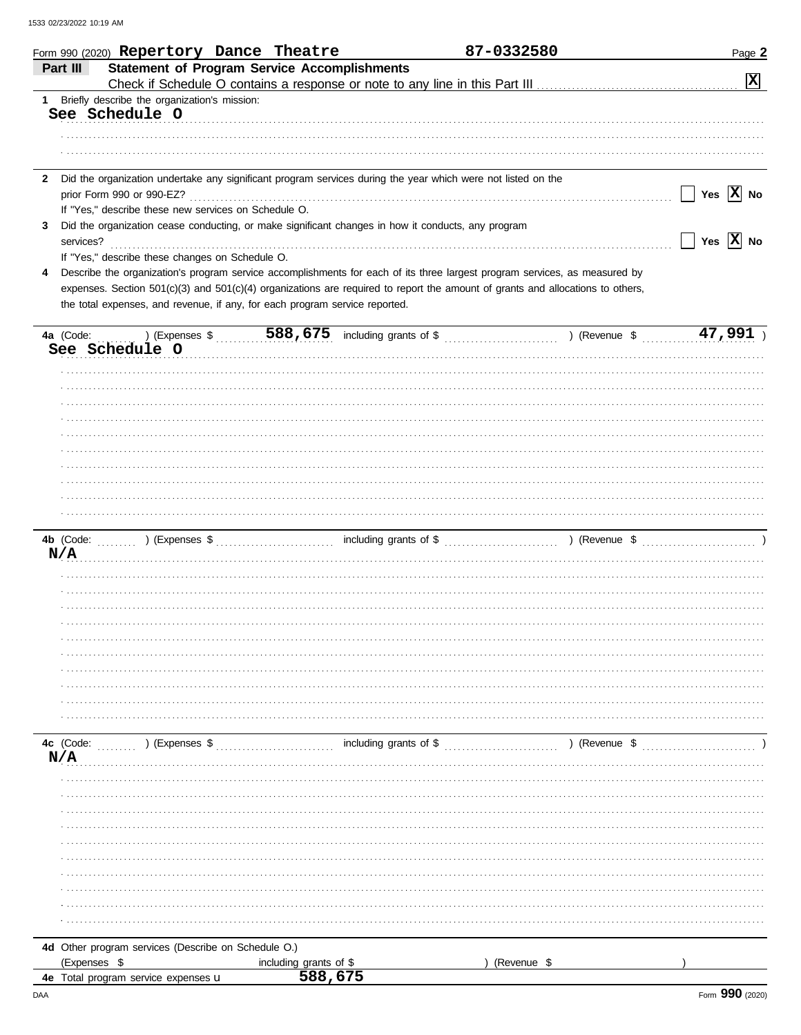|              | Form 990 (2020) Repertory Dance Theatre                                                                                        |                        | 87-0332580                                                                                                      | Page 2                      |
|--------------|--------------------------------------------------------------------------------------------------------------------------------|------------------------|-----------------------------------------------------------------------------------------------------------------|-----------------------------|
|              | <b>Statement of Program Service Accomplishments</b><br>Part III                                                                |                        |                                                                                                                 |                             |
|              |                                                                                                                                |                        |                                                                                                                 | $\boxed{\mathbf{x}}$        |
| 1.           | Briefly describe the organization's mission:                                                                                   |                        |                                                                                                                 |                             |
|              | See Schedule O                                                                                                                 |                        |                                                                                                                 |                             |
|              |                                                                                                                                |                        |                                                                                                                 |                             |
|              |                                                                                                                                |                        |                                                                                                                 |                             |
|              |                                                                                                                                |                        |                                                                                                                 |                             |
| $\mathbf{2}$ | Did the organization undertake any significant program services during the year which were not listed on the                   |                        |                                                                                                                 |                             |
|              |                                                                                                                                |                        |                                                                                                                 | Yes $\overline{X}$ No       |
|              | If "Yes," describe these new services on Schedule O.                                                                           |                        |                                                                                                                 |                             |
| 3            | Did the organization cease conducting, or make significant changes in how it conducts, any program                             |                        |                                                                                                                 |                             |
|              | services?                                                                                                                      |                        |                                                                                                                 | Yes $\boxed{\mathbf{X}}$ No |
|              | If "Yes," describe these changes on Schedule O.                                                                                |                        |                                                                                                                 |                             |
| 4            | Describe the organization's program service accomplishments for each of its three largest program services, as measured by     |                        |                                                                                                                 |                             |
|              | expenses. Section 501(c)(3) and 501(c)(4) organizations are required to report the amount of grants and allocations to others, |                        |                                                                                                                 |                             |
|              | the total expenses, and revenue, if any, for each program service reported.                                                    |                        |                                                                                                                 |                             |
|              |                                                                                                                                |                        |                                                                                                                 |                             |
|              | 4a (Code:                                                                                                                      |                        | ) (Expenses $\sqrt[6]{588,675}$ including grants of $\sqrt[6]{588,675}$ including grants of $\sqrt[6]{588,675}$ | 47,991                      |
|              | See Schedule O                                                                                                                 |                        |                                                                                                                 |                             |
|              |                                                                                                                                |                        |                                                                                                                 |                             |
|              |                                                                                                                                |                        |                                                                                                                 |                             |
|              |                                                                                                                                |                        |                                                                                                                 |                             |
|              |                                                                                                                                |                        |                                                                                                                 |                             |
|              |                                                                                                                                |                        |                                                                                                                 |                             |
|              |                                                                                                                                |                        |                                                                                                                 |                             |
|              |                                                                                                                                |                        |                                                                                                                 |                             |
|              |                                                                                                                                |                        |                                                                                                                 |                             |
|              |                                                                                                                                |                        |                                                                                                                 |                             |
|              |                                                                                                                                |                        |                                                                                                                 |                             |
|              |                                                                                                                                |                        |                                                                                                                 |                             |
|              | N/A                                                                                                                            |                        |                                                                                                                 |                             |
|              |                                                                                                                                |                        |                                                                                                                 |                             |
|              |                                                                                                                                |                        |                                                                                                                 |                             |
|              |                                                                                                                                |                        |                                                                                                                 |                             |
|              |                                                                                                                                |                        |                                                                                                                 |                             |
|              |                                                                                                                                |                        |                                                                                                                 |                             |
|              |                                                                                                                                |                        |                                                                                                                 |                             |
|              |                                                                                                                                |                        |                                                                                                                 |                             |
|              |                                                                                                                                |                        |                                                                                                                 |                             |
|              |                                                                                                                                |                        |                                                                                                                 |                             |
|              |                                                                                                                                |                        |                                                                                                                 |                             |
|              |                                                                                                                                |                        |                                                                                                                 |                             |
|              | 4c (Code:<br>) (Expenses \$                                                                                                    | including grants of \$ | ) (Revenue \$                                                                                                   |                             |
|              | N/A                                                                                                                            |                        |                                                                                                                 |                             |
|              |                                                                                                                                |                        |                                                                                                                 |                             |
|              |                                                                                                                                |                        |                                                                                                                 |                             |
|              |                                                                                                                                |                        |                                                                                                                 |                             |
|              |                                                                                                                                |                        |                                                                                                                 |                             |
|              |                                                                                                                                |                        |                                                                                                                 |                             |
|              |                                                                                                                                |                        |                                                                                                                 |                             |
|              |                                                                                                                                |                        |                                                                                                                 |                             |
|              |                                                                                                                                |                        |                                                                                                                 |                             |
|              |                                                                                                                                |                        |                                                                                                                 |                             |
|              |                                                                                                                                |                        |                                                                                                                 |                             |
|              |                                                                                                                                |                        |                                                                                                                 |                             |
|              | 4d Other program services (Describe on Schedule O.)                                                                            |                        |                                                                                                                 |                             |
|              | (Expenses \$                                                                                                                   | including grants of \$ | (Revenue \$                                                                                                     |                             |
|              | 4e Total program service expenses u                                                                                            | 588,675                |                                                                                                                 |                             |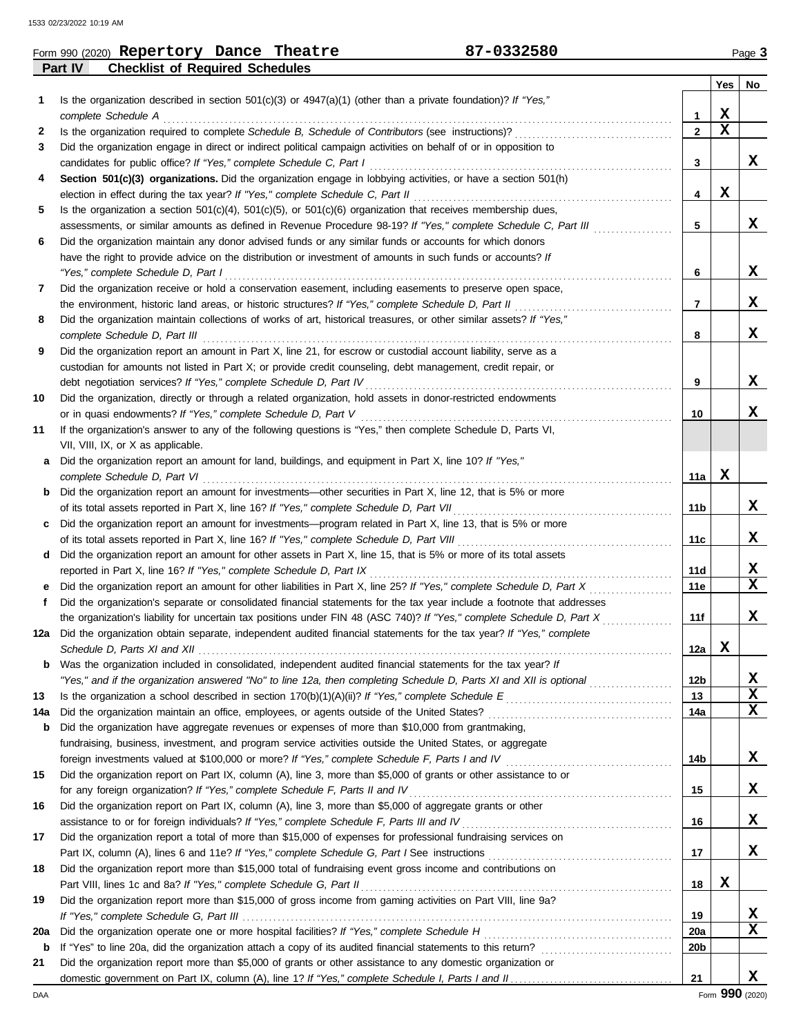**10**

**11**

| 87-0332580 |  |
|------------|--|
|            |  |
|            |  |

|    |         | Form 990 (2020) Repertory Dance Theatre                                                                 |  | 87-0332580                                                                                                              |                 |                         | Page 3       |
|----|---------|---------------------------------------------------------------------------------------------------------|--|-------------------------------------------------------------------------------------------------------------------------|-----------------|-------------------------|--------------|
|    | Part IV | <b>Checklist of Required Schedules</b>                                                                  |  |                                                                                                                         |                 |                         |              |
|    |         |                                                                                                         |  |                                                                                                                         |                 | Yes                     | No           |
| 1  |         |                                                                                                         |  | Is the organization described in section 501(c)(3) or 4947(a)(1) (other than a private foundation)? If "Yes,"           |                 |                         |              |
|    |         | complete Schedule A                                                                                     |  |                                                                                                                         | $\mathbf{1}$    | X                       |              |
| 2  |         |                                                                                                         |  |                                                                                                                         | $\mathbf{2}$    | $\overline{\mathbf{x}}$ |              |
| 3  |         |                                                                                                         |  | Did the organization engage in direct or indirect political campaign activities on behalf of or in opposition to        |                 |                         |              |
|    |         | candidates for public office? If "Yes," complete Schedule C, Part I                                     |  |                                                                                                                         | 3               |                         | x            |
| 4  |         |                                                                                                         |  | Section 501(c)(3) organizations. Did the organization engage in lobbying activities, or have a section 501(h)           |                 |                         |              |
|    |         | election in effect during the tax year? If "Yes," complete Schedule C, Part II                          |  |                                                                                                                         | 4               | X                       |              |
| 5  |         |                                                                                                         |  | Is the organization a section $501(c)(4)$ , $501(c)(5)$ , or $501(c)(6)$ organization that receives membership dues,    |                 |                         |              |
|    |         |                                                                                                         |  | assessments, or similar amounts as defined in Revenue Procedure 98-19? If "Yes," complete Schedule C, Part III          | 5               |                         | X            |
| 6  |         | Did the organization maintain any donor advised funds or any similar funds or accounts for which donors |  |                                                                                                                         |                 |                         |              |
|    |         |                                                                                                         |  | have the right to provide advice on the distribution or investment of amounts in such funds or accounts? If             |                 |                         |              |
|    |         |                                                                                                         |  |                                                                                                                         | 6               |                         | X            |
| 7  |         |                                                                                                         |  | Did the organization receive or hold a conservation easement, including easements to preserve open space,               |                 |                         |              |
|    |         | the environment, historic land areas, or historic structures? If "Yes," complete Schedule D, Part II    |  |                                                                                                                         | $\overline{7}$  |                         | x            |
| 8  |         |                                                                                                         |  | Did the organization maintain collections of works of art, historical treasures, or other similar assets? If "Yes,"     |                 |                         |              |
|    |         | complete Schedule D, Part III                                                                           |  |                                                                                                                         | 8               |                         | x            |
| 9  |         |                                                                                                         |  | Did the organization report an amount in Part X, line 21, for escrow or custodial account liability, serve as a         |                 |                         |              |
|    |         |                                                                                                         |  | custodian for amounts not listed in Part X; or provide credit counseling, debt management, credit repair, or            |                 |                         |              |
|    |         |                                                                                                         |  |                                                                                                                         | 9               |                         | X            |
| 10 |         |                                                                                                         |  | Did the organization, directly or through a related organization, hold assets in donor-restricted endowments            |                 |                         |              |
|    |         | or in quasi endowments? If "Yes," complete Schedule D, Part V                                           |  |                                                                                                                         | 10              |                         | X            |
| 11 |         |                                                                                                         |  | If the organization's answer to any of the following questions is "Yes," then complete Schedule D, Parts VI,            |                 |                         |              |
|    |         | VII, VIII, IX, or X as applicable.                                                                      |  |                                                                                                                         |                 |                         |              |
| a  |         | Did the organization report an amount for land, buildings, and equipment in Part X, line 10? If "Yes,"  |  |                                                                                                                         |                 |                         |              |
|    |         | complete Schedule D, Part VI                                                                            |  |                                                                                                                         | 11a             | $\mathbf x$             |              |
| b  |         |                                                                                                         |  | Did the organization report an amount for investments—other securities in Part X, line 12, that is 5% or more           |                 |                         |              |
|    |         |                                                                                                         |  |                                                                                                                         | 11 <sub>b</sub> |                         | X            |
| c  |         |                                                                                                         |  | Did the organization report an amount for investments—program related in Part X, line 13, that is 5% or more            |                 |                         |              |
|    |         |                                                                                                         |  | of its total assets reported in Part X, line 16? If "Yes," complete Schedule D, Part VIII [[[[[[[[[[[[[[[[[[[[          | 11c             |                         | x            |
| d  |         |                                                                                                         |  | Did the organization report an amount for other assets in Part X, line 15, that is 5% or more of its total assets       |                 |                         |              |
|    |         | reported in Part X, line 16? If "Yes," complete Schedule D, Part IX                                     |  |                                                                                                                         | 11d             |                         | X            |
|    |         |                                                                                                         |  | e Did the organization report an amount for other liabilities in Part X, line 25? If "Yes," complete Schedule D, Part X | 11e             |                         | $\mathbf{x}$ |
| f  |         |                                                                                                         |  | Did the organization's separate or consolidated financial statements for the tax year include a footnote that addresses |                 |                         |              |
|    |         |                                                                                                         |  | the organization's liability for uncertain tax positions under FIN 48 (ASC 740)? If "Yes," complete Schedule D, Part X  | 11f             |                         | x            |
|    |         |                                                                                                         |  | 12a Did the organization obtain separate, independent audited financial statements for the tax year? If "Yes," complete |                 |                         |              |
|    |         |                                                                                                         |  |                                                                                                                         | 12a             | X                       |              |
|    |         |                                                                                                         |  | <b>b</b> Was the organization included in consolidated, independent audited financial statements for the tax year? If   |                 |                         |              |

|     | VII, VIII, IX, or X as applicable.                                                                                      |                 |   |                 |
|-----|-------------------------------------------------------------------------------------------------------------------------|-----------------|---|-----------------|
| а   | Did the organization report an amount for land, buildings, and equipment in Part X, line 10? If "Yes,"                  |                 |   |                 |
|     | complete Schedule D, Part VI                                                                                            | 11a             | X |                 |
|     | Did the organization report an amount for investments—other securities in Part X, line 12, that is 5% or more           |                 |   |                 |
|     | of its total assets reported in Part X, line 16? If "Yes," complete Schedule D, Part VII                                | 11 <sub>b</sub> |   | x               |
| c   | Did the organization report an amount for investments—program related in Part X, line 13, that is 5% or more            |                 |   |                 |
|     | of its total assets reported in Part X, line 16? If "Yes," complete Schedule D, Part VIII                               | 11c             |   | x               |
| d   | Did the organization report an amount for other assets in Part X, line 15, that is 5% or more of its total assets       |                 |   |                 |
|     | reported in Part X, line 16? If "Yes," complete Schedule D, Part IX                                                     | 11d             |   | х               |
| е   | Did the organization report an amount for other liabilities in Part X, line 25? If "Yes," complete Schedule D, Part X   | 11e             |   | x               |
| f   | Did the organization's separate or consolidated financial statements for the tax year include a footnote that addresses |                 |   |                 |
|     | the organization's liability for uncertain tax positions under FIN 48 (ASC 740)? If "Yes," complete Schedule D, Part X  | 11f             |   | x               |
| 12a | Did the organization obtain separate, independent audited financial statements for the tax year? If "Yes," complete     |                 |   |                 |
|     |                                                                                                                         | 12a             | X |                 |
|     | Was the organization included in consolidated, independent audited financial statements for the tax year? If            |                 |   |                 |
|     | "Yes," and if the organization answered "No" to line 12a, then completing Schedule D, Parts XI and XII is optional      | 12 <sub>b</sub> |   | X               |
| 13  |                                                                                                                         | 13              |   | $\mathbf x$     |
| 14a |                                                                                                                         | 14a             |   | $\mathbf x$     |
| b   | Did the organization have aggregate revenues or expenses of more than \$10,000 from grantmaking,                        |                 |   |                 |
|     | fundraising, business, investment, and program service activities outside the United States, or aggregate               |                 |   |                 |
|     | foreign investments valued at \$100,000 or more? If "Yes," complete Schedule F, Parts I and IV                          | 14 <sub>b</sub> |   | x               |
| 15  | Did the organization report on Part IX, column (A), line 3, more than \$5,000 of grants or other assistance to or       |                 |   |                 |
|     | for any foreign organization? If "Yes," complete Schedule F, Parts II and IV                                            | 15              |   | x               |
| 16  | Did the organization report on Part IX, column (A), line 3, more than \$5,000 of aggregate grants or other              |                 |   |                 |
|     | assistance to or for foreign individuals? If "Yes," complete Schedule F, Parts III and IV                               | 16              |   | х               |
| 17  | Did the organization report a total of more than \$15,000 of expenses for professional fundraising services on          |                 |   |                 |
|     |                                                                                                                         | 17              |   | x               |
| 18  | Did the organization report more than \$15,000 total of fundraising event gross income and contributions on             |                 |   |                 |
|     |                                                                                                                         | 18              | X |                 |
| 19  | Did the organization report more than \$15,000 of gross income from gaming activities on Part VIII, line 9a?            |                 |   |                 |
|     |                                                                                                                         | 19              |   | x               |
| 20a | Did the organization operate one or more hospital facilities? If "Yes," complete Schedule H                             | 20a             |   | X               |
| b   | If "Yes" to line 20a, did the organization attach a copy of its audited financial statements to this return?            | 20 <sub>b</sub> |   |                 |
| 21  | Did the organization report more than \$5,000 of grants or other assistance to any domestic organization or             |                 |   |                 |
|     |                                                                                                                         | 21              |   | x               |
| DAA |                                                                                                                         |                 |   | Form 990 (2020) |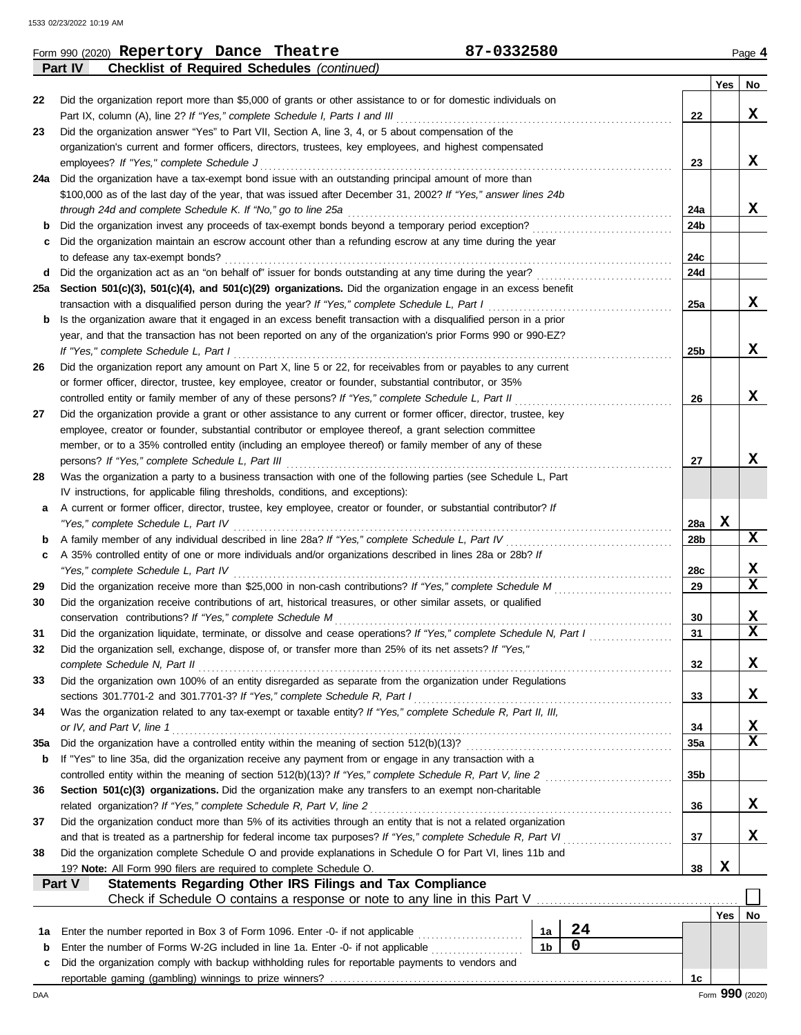|     | 87-0332580<br>Form 990 (2020) Repertory Dance Theatre                                                                                                                                       |                |                |                 |     | Page 4                  |
|-----|---------------------------------------------------------------------------------------------------------------------------------------------------------------------------------------------|----------------|----------------|-----------------|-----|-------------------------|
|     | <b>Checklist of Required Schedules (continued)</b><br>Part IV                                                                                                                               |                |                |                 |     |                         |
|     |                                                                                                                                                                                             |                |                |                 | Yes | No                      |
| 22  | Did the organization report more than \$5,000 of grants or other assistance to or for domestic individuals on                                                                               |                |                |                 |     |                         |
|     | Part IX, column (A), line 2? If "Yes," complete Schedule I, Parts I and III                                                                                                                 |                |                | 22              |     | X                       |
| 23  | Did the organization answer "Yes" to Part VII, Section A, line 3, 4, or 5 about compensation of the                                                                                         |                |                |                 |     |                         |
|     | organization's current and former officers, directors, trustees, key employees, and highest compensated                                                                                     |                |                |                 |     |                         |
|     | employees? If "Yes," complete Schedule J                                                                                                                                                    |                |                | 23              |     | X                       |
|     | 24a Did the organization have a tax-exempt bond issue with an outstanding principal amount of more than                                                                                     |                |                |                 |     |                         |
|     | \$100,000 as of the last day of the year, that was issued after December 31, 2002? If "Yes," answer lines 24b<br>through 24d and complete Schedule K. If "No," go to line 25a               |                |                | 24a             |     | X                       |
| b   | Did the organization invest any proceeds of tax-exempt bonds beyond a temporary period exception?                                                                                           |                |                | 24b             |     |                         |
| c   | Did the organization maintain an escrow account other than a refunding escrow at any time during the year                                                                                   |                |                |                 |     |                         |
|     | to defease any tax-exempt bonds?                                                                                                                                                            |                |                | 24c             |     |                         |
| d   | Did the organization act as an "on behalf of" issuer for bonds outstanding at any time during the year?                                                                                     |                |                | <b>24d</b>      |     |                         |
|     | 25a Section 501(c)(3), 501(c)(4), and 501(c)(29) organizations. Did the organization engage in an excess benefit                                                                            |                |                |                 |     |                         |
|     | transaction with a disqualified person during the year? If "Yes," complete Schedule L, Part I                                                                                               |                |                | 25a             |     | x                       |
| b   | Is the organization aware that it engaged in an excess benefit transaction with a disqualified person in a prior                                                                            |                |                |                 |     |                         |
|     | year, and that the transaction has not been reported on any of the organization's prior Forms 990 or 990-EZ?                                                                                |                |                |                 |     |                         |
|     | If "Yes," complete Schedule L, Part I                                                                                                                                                       |                |                | 25 <sub>b</sub> |     | x                       |
| 26  | Did the organization report any amount on Part X, line 5 or 22, for receivables from or payables to any current                                                                             |                |                |                 |     |                         |
|     | or former officer, director, trustee, key employee, creator or founder, substantial contributor, or 35%                                                                                     |                |                |                 |     |                         |
|     | controlled entity or family member of any of these persons? If "Yes," complete Schedule L, Part II                                                                                          |                |                | 26              |     | X                       |
| 27  | Did the organization provide a grant or other assistance to any current or former officer, director, trustee, key                                                                           |                |                |                 |     |                         |
|     | employee, creator or founder, substantial contributor or employee thereof, a grant selection committee                                                                                      |                |                |                 |     |                         |
|     | member, or to a 35% controlled entity (including an employee thereof) or family member of any of these                                                                                      |                |                |                 |     |                         |
|     | persons? If "Yes," complete Schedule L, Part III                                                                                                                                            |                |                | 27              |     | x                       |
| 28  | Was the organization a party to a business transaction with one of the following parties (see Schedule L, Part                                                                              |                |                |                 |     |                         |
|     | IV instructions, for applicable filing thresholds, conditions, and exceptions):                                                                                                             |                |                |                 |     |                         |
| а   | A current or former officer, director, trustee, key employee, creator or founder, or substantial contributor? If                                                                            |                |                |                 |     |                         |
|     | "Yes," complete Schedule L, Part IV                                                                                                                                                         |                |                | 28a             | X   |                         |
| b   | A family member of any individual described in line 28a? If "Yes," complete Schedule L, Part IV                                                                                             |                |                | 28b             |     | X                       |
| c   | A 35% controlled entity of one or more individuals and/or organizations described in lines 28a or 28b? If                                                                                   |                |                |                 |     |                         |
|     | "Yes," complete Schedule L, Part IV                                                                                                                                                         |                |                | 28c             |     | X                       |
| 29  | Did the organization receive more than \$25,000 in non-cash contributions? If "Yes," complete Schedule M                                                                                    |                |                | 29              |     | $\mathbf x$             |
| 30  | Did the organization receive contributions of art, historical treasures, or other similar assets, or qualified                                                                              |                |                |                 |     |                         |
|     | conservation contributions? If "Yes," complete Schedule M<br>.                                                                                                                              |                |                | 30              |     | X                       |
| 31  | Did the organization liquidate, terminate, or dissolve and cease operations? If "Yes," complete Schedule N, Part I                                                                          |                |                | 31              |     | $\overline{\mathbf{x}}$ |
| 32  | Did the organization sell, exchange, dispose of, or transfer more than 25% of its net assets? If "Yes,"                                                                                     |                |                |                 |     |                         |
|     | complete Schedule N, Part II                                                                                                                                                                |                |                | 32              |     | X                       |
| 33  | Did the organization own 100% of an entity disregarded as separate from the organization under Regulations                                                                                  |                |                |                 |     | X                       |
|     | sections 301.7701-2 and 301.7701-3? If "Yes," complete Schedule R, Part I<br>Was the organization related to any tax-exempt or taxable entity? If "Yes," complete Schedule R, Part II, III, |                |                | 33              |     |                         |
| 34  | or IV, and Part V, line 1                                                                                                                                                                   |                |                | 34              |     | X                       |
| 35a | Did the organization have a controlled entity within the meaning of section 512(b)(13)?                                                                                                     |                |                | 35a             |     | $\mathbf x$             |
| b   | If "Yes" to line 35a, did the organization receive any payment from or engage in any transaction with a                                                                                     |                |                |                 |     |                         |
|     | controlled entity within the meaning of section 512(b)(13)? If "Yes," complete Schedule R, Part V, line 2                                                                                   |                |                | 35 <sub>b</sub> |     |                         |
| 36  | Section 501(c)(3) organizations. Did the organization make any transfers to an exempt non-charitable                                                                                        |                |                |                 |     |                         |
|     | related organization? If "Yes," complete Schedule R, Part V, line 2                                                                                                                         |                |                | 36              |     | X                       |
| 37  | Did the organization conduct more than 5% of its activities through an entity that is not a related organization                                                                            |                |                |                 |     |                         |
|     | and that is treated as a partnership for federal income tax purposes? If "Yes," complete Schedule R, Part VI                                                                                |                |                | 37              |     | X                       |
| 38  | Did the organization complete Schedule O and provide explanations in Schedule O for Part VI, lines 11b and                                                                                  |                |                |                 |     |                         |
|     | 19? Note: All Form 990 filers are required to complete Schedule O.                                                                                                                          |                |                | 38              | X   |                         |
|     | Statements Regarding Other IRS Filings and Tax Compliance<br>Part V                                                                                                                         |                |                |                 |     |                         |
|     |                                                                                                                                                                                             |                |                |                 |     |                         |
|     |                                                                                                                                                                                             |                |                |                 | Yes | No                      |
| 1a  | Enter the number reported in Box 3 of Form 1096. Enter -0- if not applicable                                                                                                                | 1a             | 24             |                 |     |                         |
|     | Enter the number of Forms W-2G included in line 1a. Enter -0- if not applicable                                                                                                             | 1 <sub>b</sub> | $\overline{0}$ |                 |     |                         |
| b   |                                                                                                                                                                                             |                |                |                 |     |                         |
| c   | Did the organization comply with backup withholding rules for reportable payments to vendors and                                                                                            |                |                |                 |     |                         |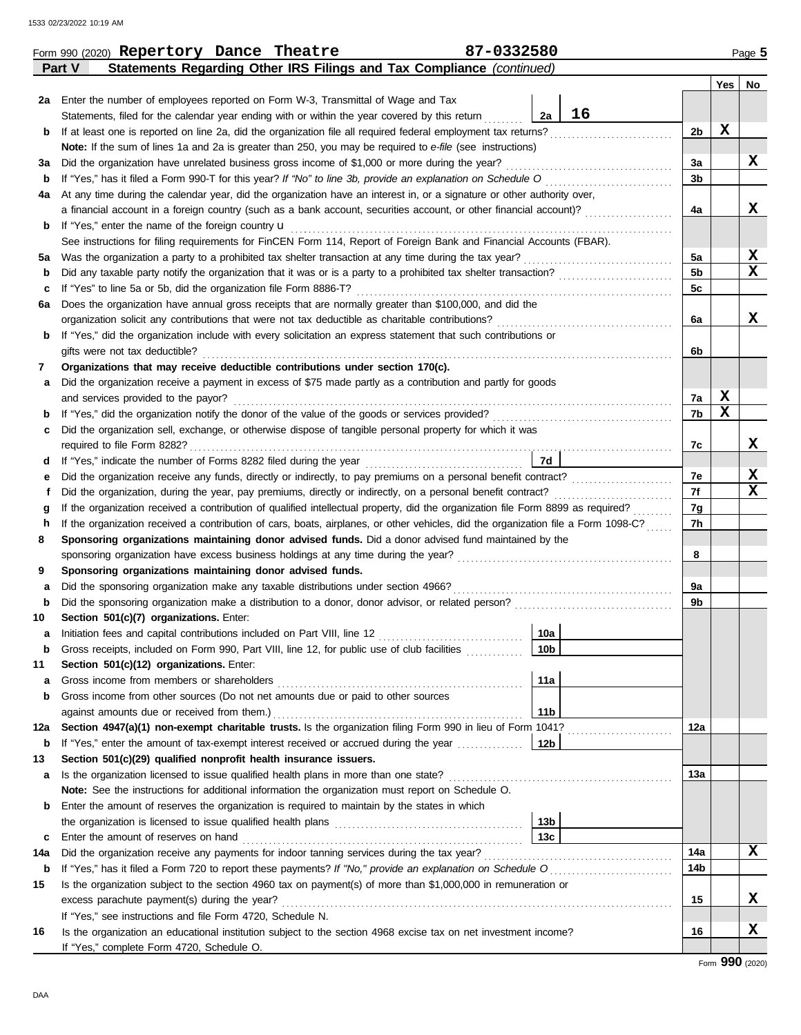|                  |                                                                                                                                                                                                                              |                 |    |                      | Yes | No              |  |  |  |  |  |
|------------------|------------------------------------------------------------------------------------------------------------------------------------------------------------------------------------------------------------------------------|-----------------|----|----------------------|-----|-----------------|--|--|--|--|--|
| 2a               | Enter the number of employees reported on Form W-3, Transmittal of Wage and Tax                                                                                                                                              |                 |    |                      |     |                 |  |  |  |  |  |
|                  | Statements, filed for the calendar year ending with or within the year covered by this return                                                                                                                                | 2a              | 16 |                      |     |                 |  |  |  |  |  |
| b                | If at least one is reported on line 2a, did the organization file all required federal employment tax returns?                                                                                                               |                 |    | 2b                   | х   |                 |  |  |  |  |  |
|                  | Note: If the sum of lines 1a and 2a is greater than 250, you may be required to e-file (see instructions)                                                                                                                    |                 |    |                      |     |                 |  |  |  |  |  |
| За               | Did the organization have unrelated business gross income of \$1,000 or more during the year?                                                                                                                                |                 |    | За                   |     | X               |  |  |  |  |  |
| $\mathbf b$      | If "Yes," has it filed a Form 990-T for this year? If "No" to line 3b, provide an explanation on Schedule O consequences                                                                                                     |                 |    | 3b                   |     |                 |  |  |  |  |  |
| 4a               | At any time during the calendar year, did the organization have an interest in, or a signature or other authority over,                                                                                                      |                 |    |                      |     |                 |  |  |  |  |  |
|                  | a financial account in a foreign country (such as a bank account, securities account, or other financial account)?                                                                                                           |                 |    | 4a                   |     | x               |  |  |  |  |  |
| b                | If "Yes," enter the name of the foreign country <b>u</b>                                                                                                                                                                     |                 |    |                      |     |                 |  |  |  |  |  |
|                  | See instructions for filing requirements for FinCEN Form 114, Report of Foreign Bank and Financial Accounts (FBAR).<br>Was the organization a party to a prohibited tax shelter transaction at any time during the tax year? |                 |    | 5a                   |     | X               |  |  |  |  |  |
| 5a               | $\mathbf b$                                                                                                                                                                                                                  |                 |    |                      |     |                 |  |  |  |  |  |
| c                | If "Yes" to line 5a or 5b, did the organization file Form 8886-T?                                                                                                                                                            |                 |    | 5 <sub>b</sub><br>5c |     | X               |  |  |  |  |  |
| 6а               | Does the organization have annual gross receipts that are normally greater than \$100,000, and did the                                                                                                                       |                 |    |                      |     |                 |  |  |  |  |  |
|                  | organization solicit any contributions that were not tax deductible as charitable contributions?                                                                                                                             |                 |    | 6a                   |     | x               |  |  |  |  |  |
| b                | If "Yes," did the organization include with every solicitation an express statement that such contributions or                                                                                                               |                 |    |                      |     |                 |  |  |  |  |  |
|                  | gifts were not tax deductible?                                                                                                                                                                                               |                 |    | 6b                   |     |                 |  |  |  |  |  |
| 7                | Organizations that may receive deductible contributions under section 170(c).                                                                                                                                                |                 |    |                      |     |                 |  |  |  |  |  |
| а                | Did the organization receive a payment in excess of \$75 made partly as a contribution and partly for goods                                                                                                                  |                 |    |                      |     |                 |  |  |  |  |  |
|                  | and services provided to the payor?                                                                                                                                                                                          |                 |    | 7a                   | x   |                 |  |  |  |  |  |
| b                |                                                                                                                                                                                                                              |                 |    | 7b                   | x   |                 |  |  |  |  |  |
| c                | Did the organization sell, exchange, or otherwise dispose of tangible personal property for which it was                                                                                                                     |                 |    |                      |     |                 |  |  |  |  |  |
|                  |                                                                                                                                                                                                                              |                 |    | 7с                   |     | x               |  |  |  |  |  |
| d                |                                                                                                                                                                                                                              | 7d              |    |                      |     |                 |  |  |  |  |  |
| е                | Did the organization receive any funds, directly or indirectly, to pay premiums on a personal benefit contract?                                                                                                              |                 |    | 7e                   |     | X<br>X          |  |  |  |  |  |
| f                | Did the organization, during the year, pay premiums, directly or indirectly, on a personal benefit contract?                                                                                                                 |                 |    |                      |     |                 |  |  |  |  |  |
| g                |                                                                                                                                                                                                                              |                 |    |                      |     |                 |  |  |  |  |  |
| h                | If the organization received a contribution of cars, boats, airplanes, or other vehicles, did the organization file a Form 1098-C?                                                                                           |                 |    | 7h                   |     |                 |  |  |  |  |  |
| 8                | Sponsoring organizations maintaining donor advised funds. Did a donor advised fund maintained by the                                                                                                                         |                 |    |                      |     |                 |  |  |  |  |  |
|                  | sponsoring organization have excess business holdings at any time during the year?                                                                                                                                           |                 |    | 8                    |     |                 |  |  |  |  |  |
| 9                | Sponsoring organizations maintaining donor advised funds.                                                                                                                                                                    |                 |    |                      |     |                 |  |  |  |  |  |
| а                | Did the sponsoring organization make any taxable distributions under section 4966?                                                                                                                                           |                 |    | 9a                   |     |                 |  |  |  |  |  |
| $\mathbf b$      |                                                                                                                                                                                                                              |                 |    | 9b                   |     |                 |  |  |  |  |  |
| 10               | Section 501(c)(7) organizations. Enter:<br>Initiation fees and capital contributions included on Part VIII, line 12                                                                                                          | 10a             |    |                      |     |                 |  |  |  |  |  |
| а<br>$\mathbf b$ | Gross receipts, included on Form 990, Part VIII, line 12, for public use of club facilities                                                                                                                                  | 10b             |    |                      |     |                 |  |  |  |  |  |
| 11               | Section 501(c)(12) organizations. Enter:                                                                                                                                                                                     |                 |    |                      |     |                 |  |  |  |  |  |
| а                |                                                                                                                                                                                                                              | 11a             |    |                      |     |                 |  |  |  |  |  |
| $\mathbf b$      | Gross income from other sources (Do not net amounts due or paid to other sources                                                                                                                                             |                 |    |                      |     |                 |  |  |  |  |  |
|                  | against amounts due or received from them.)                                                                                                                                                                                  | 11 <sub>b</sub> |    |                      |     |                 |  |  |  |  |  |
| 12a              | Section 4947(a)(1) non-exempt charitable trusts. Is the organization filing Form 990 in lieu of Form 1041?                                                                                                                   |                 |    | 12a                  |     |                 |  |  |  |  |  |
| b                | If "Yes," enter the amount of tax-exempt interest received or accrued during the year                                                                                                                                        | 12 <sub>b</sub> |    |                      |     |                 |  |  |  |  |  |
| 13               | Section 501(c)(29) qualified nonprofit health insurance issuers.                                                                                                                                                             |                 |    |                      |     |                 |  |  |  |  |  |
| а                | Is the organization licensed to issue qualified health plans in more than one state?                                                                                                                                         |                 |    | 13a                  |     |                 |  |  |  |  |  |
|                  | Note: See the instructions for additional information the organization must report on Schedule O.                                                                                                                            |                 |    |                      |     |                 |  |  |  |  |  |
| b                | Enter the amount of reserves the organization is required to maintain by the states in which                                                                                                                                 |                 |    |                      |     |                 |  |  |  |  |  |
|                  |                                                                                                                                                                                                                              | 13 <sub>b</sub> |    |                      |     |                 |  |  |  |  |  |
| c                |                                                                                                                                                                                                                              | 13 <sub>c</sub> |    |                      |     |                 |  |  |  |  |  |
| 14a              | Did the organization receive any payments for indoor tanning services during the tax year?                                                                                                                                   |                 |    | 14a                  |     | X               |  |  |  |  |  |
| b                |                                                                                                                                                                                                                              |                 |    | 14b                  |     |                 |  |  |  |  |  |
| 15               | Is the organization subject to the section 4960 tax on payment(s) of more than \$1,000,000 in remuneration or                                                                                                                |                 |    |                      |     |                 |  |  |  |  |  |
|                  |                                                                                                                                                                                                                              |                 |    | 15                   |     | x               |  |  |  |  |  |
|                  | If "Yes," see instructions and file Form 4720, Schedule N.                                                                                                                                                                   |                 |    |                      |     | X               |  |  |  |  |  |
| 16               | Is the organization an educational institution subject to the section 4968 excise tax on net investment income?<br>If "Yes," complete Form 4720, Schedule O.                                                                 |                 |    | 16                   |     |                 |  |  |  |  |  |
|                  |                                                                                                                                                                                                                              |                 |    |                      |     | Form 990 (2020) |  |  |  |  |  |
|                  |                                                                                                                                                                                                                              |                 |    |                      |     |                 |  |  |  |  |  |

**Part V Statements Regarding Other IRS Filings and Tax Compliance** *(continued)*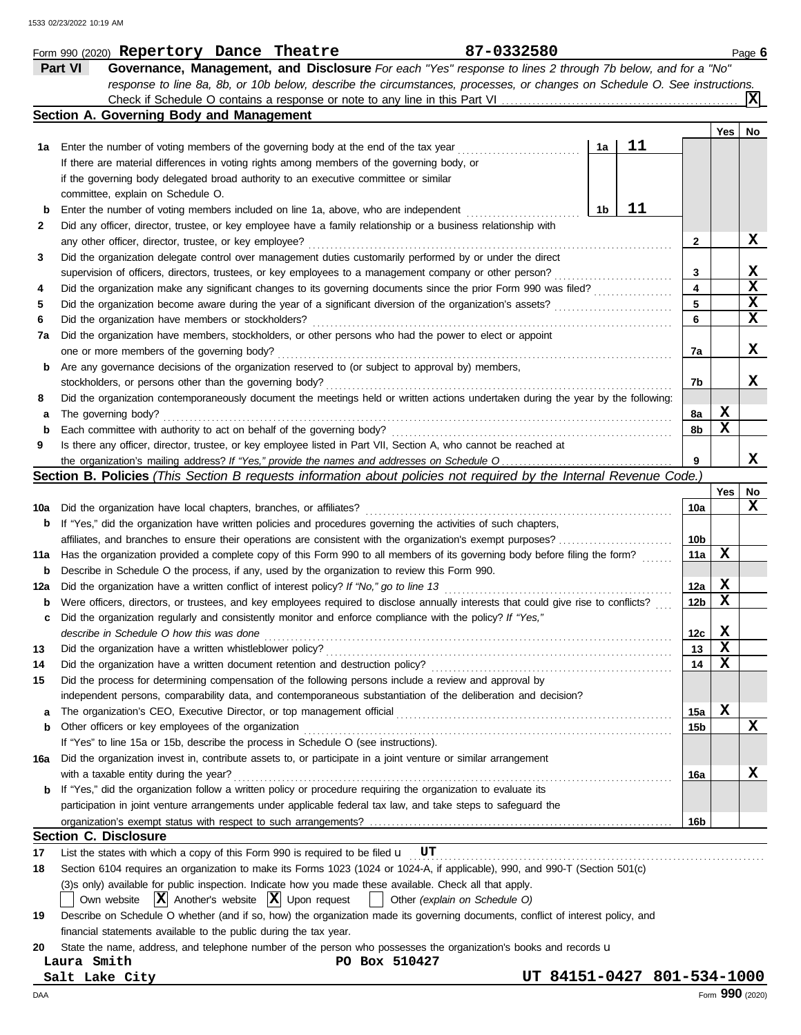|     | Part VI<br>Governance, Management, and Disclosure For each "Yes" response to lines 2 through 7b below, and for a "No"<br>response to line 8a, 8b, or 10b below, describe the circumstances, processes, or changes on Schedule O. See instructions. |                 |                         |                 |
|-----|----------------------------------------------------------------------------------------------------------------------------------------------------------------------------------------------------------------------------------------------------|-----------------|-------------------------|-----------------|
|     |                                                                                                                                                                                                                                                    |                 |                         | x               |
|     | Section A. Governing Body and Management                                                                                                                                                                                                           |                 | Yes                     | No              |
| 1а  | 11<br>1a<br>Enter the number of voting members of the governing body at the end of the tax year                                                                                                                                                    |                 |                         |                 |
|     | If there are material differences in voting rights among members of the governing body, or                                                                                                                                                         |                 |                         |                 |
|     | if the governing body delegated broad authority to an executive committee or similar                                                                                                                                                               |                 |                         |                 |
|     | committee, explain on Schedule O.                                                                                                                                                                                                                  |                 |                         |                 |
| b   | 11<br>1b<br>Enter the number of voting members included on line 1a, above, who are independent                                                                                                                                                     |                 |                         |                 |
| 2   | Did any officer, director, trustee, or key employee have a family relationship or a business relationship with                                                                                                                                     |                 |                         |                 |
|     | any other officer, director, trustee, or key employee?                                                                                                                                                                                             | 2               |                         | X               |
| 3   | Did the organization delegate control over management duties customarily performed by or under the direct                                                                                                                                          |                 |                         |                 |
|     | supervision of officers, directors, trustees, or key employees to a management company or other person?                                                                                                                                            | 3               |                         | X               |
| 4   | Did the organization make any significant changes to its governing documents since the prior Form 990 was filed?                                                                                                                                   | 4               |                         | X               |
| 5   | Did the organization become aware during the year of a significant diversion of the organization's assets?                                                                                                                                         | 5               |                         | X               |
| 6   | Did the organization have members or stockholders?                                                                                                                                                                                                 | 6               |                         | X               |
| 7a  | Did the organization have members, stockholders, or other persons who had the power to elect or appoint                                                                                                                                            |                 |                         |                 |
|     | one or more members of the governing body?                                                                                                                                                                                                         | 7a              |                         | х               |
| b   | Are any governance decisions of the organization reserved to (or subject to approval by) members,                                                                                                                                                  |                 |                         |                 |
|     | stockholders, or persons other than the governing body?                                                                                                                                                                                            | 7b              |                         | x               |
| 8   | Did the organization contemporaneously document the meetings held or written actions undertaken during the year by the following:                                                                                                                  |                 |                         |                 |
| а   | The governing body?                                                                                                                                                                                                                                | 8а              | X                       |                 |
| b   | Each committee with authority to act on behalf of the governing body?                                                                                                                                                                              | 8b              | $\mathbf x$             |                 |
| 9   | Is there any officer, director, trustee, or key employee listed in Part VII, Section A, who cannot be reached at                                                                                                                                   |                 |                         |                 |
|     |                                                                                                                                                                                                                                                    | 9               |                         | х               |
|     | <b>Section B. Policies</b> (This Section B requests information about policies not required by the Internal Revenue Code.)                                                                                                                         |                 |                         |                 |
|     |                                                                                                                                                                                                                                                    |                 | Yes                     | No              |
| 10a | Did the organization have local chapters, branches, or affiliates?                                                                                                                                                                                 | 10a             |                         | х               |
| b   | If "Yes," did the organization have written policies and procedures governing the activities of such chapters,                                                                                                                                     |                 |                         |                 |
|     | affiliates, and branches to ensure their operations are consistent with the organization's exempt purposes?                                                                                                                                        | 10b             |                         |                 |
| 11a | Has the organization provided a complete copy of this Form 990 to all members of its governing body before filing the form?                                                                                                                        | 11a             | X                       |                 |
| b   | Describe in Schedule O the process, if any, used by the organization to review this Form 990.                                                                                                                                                      |                 |                         |                 |
| 12a | Did the organization have a written conflict of interest policy? If "No," go to line 13                                                                                                                                                            | 12a             | X                       |                 |
| b   | Were officers, directors, or trustees, and key employees required to disclose annually interests that could give rise to conflicts?                                                                                                                | 12 <sub>b</sub> | X                       |                 |
|     | Did the organization regularly and consistently monitor and enforce compliance with the policy? If "Yes,"                                                                                                                                          |                 |                         |                 |
|     | describe in Schedule O how this was done                                                                                                                                                                                                           | 12c             | X                       |                 |
| 13  | Did the organization have a written whistleblower policy?                                                                                                                                                                                          | 13              | $\overline{\mathbf{x}}$ |                 |
| 14  | Did the organization have a written document retention and destruction policy?                                                                                                                                                                     | 14              | X                       |                 |
| 15  | Did the process for determining compensation of the following persons include a review and approval by                                                                                                                                             |                 |                         |                 |
|     | independent persons, comparability data, and contemporaneous substantiation of the deliberation and decision?                                                                                                                                      |                 |                         |                 |
| a   |                                                                                                                                                                                                                                                    | 15a             | X                       |                 |
| b   | Other officers or key employees of the organization                                                                                                                                                                                                | 15b             |                         | x               |
|     | If "Yes" to line 15a or 15b, describe the process in Schedule O (see instructions).                                                                                                                                                                |                 |                         |                 |
| 16a | Did the organization invest in, contribute assets to, or participate in a joint venture or similar arrangement                                                                                                                                     |                 |                         |                 |
|     | with a taxable entity during the year?                                                                                                                                                                                                             | 16a             |                         | x               |
| b   | If "Yes," did the organization follow a written policy or procedure requiring the organization to evaluate its                                                                                                                                     |                 |                         |                 |
|     | participation in joint venture arrangements under applicable federal tax law, and take steps to safeguard the                                                                                                                                      |                 |                         |                 |
|     |                                                                                                                                                                                                                                                    | 16b             |                         |                 |
|     | <b>Section C. Disclosure</b>                                                                                                                                                                                                                       |                 |                         |                 |
| 17  | List the states with which a copy of this Form 990 is required to be filed $\mathbf{u}$ UT                                                                                                                                                         |                 |                         |                 |
| 18  | Section 6104 requires an organization to make its Forms 1023 (1024 or 1024-A, if applicable), 990, and 990-T (Section 501(c)                                                                                                                       |                 |                         |                 |
|     | (3)s only) available for public inspection. Indicate how you made these available. Check all that apply.                                                                                                                                           |                 |                         |                 |
|     | $ \mathbf{X} $ Another's website $ \mathbf{X} $ Upon request<br>Own website<br>Other (explain on Schedule O)                                                                                                                                       |                 |                         |                 |
| 19  | Describe on Schedule O whether (and if so, how) the organization made its governing documents, conflict of interest policy, and                                                                                                                    |                 |                         |                 |
|     | financial statements available to the public during the tax year.                                                                                                                                                                                  |                 |                         |                 |
| 20  | State the name, address, and telephone number of the person who possesses the organization's books and records u                                                                                                                                   |                 |                         |                 |
|     | Laura Smith<br>PO Box 510427                                                                                                                                                                                                                       |                 |                         |                 |
|     | UT 84151-0427 801-534-1000<br>Salt Lake City                                                                                                                                                                                                       |                 |                         |                 |
| DAA |                                                                                                                                                                                                                                                    |                 |                         | Form 990 (2020) |

Form 990 (2020) Page **6 Repertory Dance Theatre 87-0332580**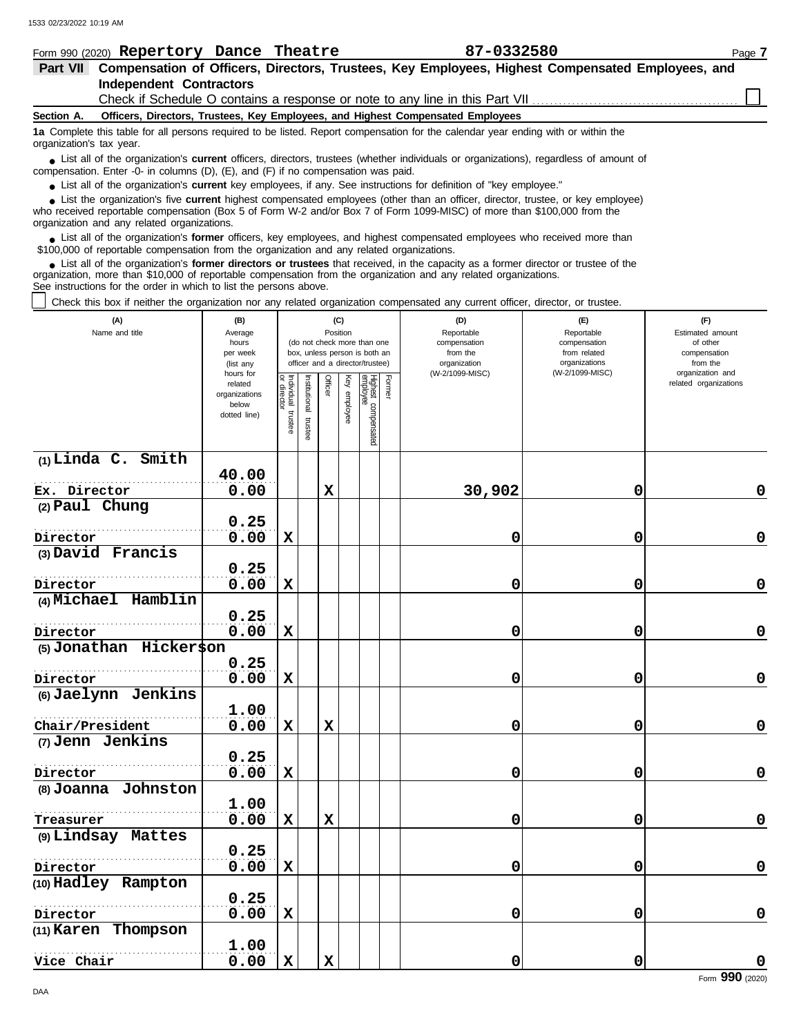|                          | Form 990 (2020) Repertory Dance Theatre                                                                                                                                                                                            | 87-0332580                                                                                                                                                                                                                                                | Page 7 |  |  |  |  |  |  |
|--------------------------|------------------------------------------------------------------------------------------------------------------------------------------------------------------------------------------------------------------------------------|-----------------------------------------------------------------------------------------------------------------------------------------------------------------------------------------------------------------------------------------------------------|--------|--|--|--|--|--|--|
| <b>Part VII</b>          |                                                                                                                                                                                                                                    | Compensation of Officers, Directors, Trustees, Key Employees, Highest Compensated Employees, and                                                                                                                                                          |        |  |  |  |  |  |  |
|                          | <b>Independent Contractors</b>                                                                                                                                                                                                     |                                                                                                                                                                                                                                                           |        |  |  |  |  |  |  |
|                          |                                                                                                                                                                                                                                    | Check if Schedule O contains a response or note to any line in this Part VII                                                                                                                                                                              |        |  |  |  |  |  |  |
| Section A.               | Officers, Directors, Trustees, Key Employees, and Highest Compensated Employees                                                                                                                                                    |                                                                                                                                                                                                                                                           |        |  |  |  |  |  |  |
| organization's tax year. |                                                                                                                                                                                                                                    | 1a Complete this table for all persons required to be listed. Report compensation for the calendar year ending with or within the                                                                                                                         |        |  |  |  |  |  |  |
|                          | • List all of the organization's <b>current</b> officers, directors, trustees (whether individuals or organizations), regardless of amount of<br>compensation. Enter -0- in columns (D), (E), and (F) if no compensation was paid. |                                                                                                                                                                                                                                                           |        |  |  |  |  |  |  |
|                          | • List all of the organization's current key employees, if any. See instructions for definition of "key employee."                                                                                                                 |                                                                                                                                                                                                                                                           |        |  |  |  |  |  |  |
|                          | organization and any related organizations.                                                                                                                                                                                        | List the organization's five current highest compensated employees (other than an officer, director, trustee, or key employee)<br>who received reportable compensation (Box 5 of Form W-2 and/or Box 7 of Form 1099-MISC) of more than \$100,000 from the |        |  |  |  |  |  |  |
|                          | \$100,000 of reportable compensation from the organization and any related organizations.                                                                                                                                          | • List all of the organization's former officers, key employees, and highest compensated employees who received more than                                                                                                                                 |        |  |  |  |  |  |  |
|                          | organization, more than \$10,000 of reportable compensation from the organization and any related organizations.<br>See instructions for the order in which to list the persons above.                                             | • List all of the organization's former directors or trustees that received, in the capacity as a former director or trustee of the                                                                                                                       |        |  |  |  |  |  |  |

Check this box if neither the organization nor any related organization compensated any current officer, director, or trustee.

| (A)<br>Name and title               | (B)<br>Average<br>hours<br>per week<br>(list any<br>hours for |                                   |                          | Position    | (C)          | (do not check more than one<br>box, unless person is both an<br>officer and a director/trustee) |        | (D)<br>Reportable<br>compensation<br>from the<br>organization<br>(W-2/1099-MISC) | (E)<br>Reportable<br>compensation<br>from related<br>organizations<br>(W-2/1099-MISC) | (F)<br>Estimated amount<br>of other<br>compensation<br>from the<br>organization and |
|-------------------------------------|---------------------------------------------------------------|-----------------------------------|--------------------------|-------------|--------------|-------------------------------------------------------------------------------------------------|--------|----------------------------------------------------------------------------------|---------------------------------------------------------------------------------------|-------------------------------------------------------------------------------------|
|                                     | related<br>organizations<br>below<br>dotted line)             | Individual trustee<br>or director | Institutional<br>trustee | Officer     | Key employee | Highest compensated<br>employee                                                                 | Former |                                                                                  |                                                                                       | related organizations                                                               |
| $(1)$ Linda C. Smith                |                                                               |                                   |                          |             |              |                                                                                                 |        |                                                                                  |                                                                                       |                                                                                     |
|                                     | 40.00                                                         |                                   |                          |             |              |                                                                                                 |        |                                                                                  |                                                                                       |                                                                                     |
| Ex. Director                        | 0.00                                                          |                                   |                          | $\mathbf x$ |              |                                                                                                 |        | 30,902                                                                           | 0                                                                                     | 0                                                                                   |
| (2) Paul Chung                      | 0.25                                                          |                                   |                          |             |              |                                                                                                 |        |                                                                                  |                                                                                       |                                                                                     |
| Director                            | 0.00                                                          | $\mathbf x$                       |                          |             |              |                                                                                                 |        | 0                                                                                | 0                                                                                     | $\mathbf 0$                                                                         |
| (3) David Francis                   |                                                               |                                   |                          |             |              |                                                                                                 |        |                                                                                  |                                                                                       |                                                                                     |
| Director                            | 0.25<br>0.00                                                  | $\mathbf x$                       |                          |             |              |                                                                                                 |        | 0                                                                                | 0                                                                                     | $\mathbf 0$                                                                         |
| (4) Michael Hamblin                 |                                                               |                                   |                          |             |              |                                                                                                 |        |                                                                                  |                                                                                       |                                                                                     |
|                                     | 0.25                                                          |                                   |                          |             |              |                                                                                                 |        |                                                                                  |                                                                                       |                                                                                     |
| Director                            | 0.00                                                          | $\mathbf x$                       |                          |             |              |                                                                                                 |        | 0                                                                                | 0                                                                                     | $\mathbf 0$                                                                         |
| (5) Jonathan Hickerson              |                                                               |                                   |                          |             |              |                                                                                                 |        |                                                                                  |                                                                                       |                                                                                     |
|                                     | 0.25                                                          |                                   |                          |             |              |                                                                                                 |        |                                                                                  |                                                                                       |                                                                                     |
| Director                            | 0.00                                                          | $\mathbf x$                       |                          |             |              |                                                                                                 |        | 0                                                                                | 0                                                                                     | $\mathbf 0$                                                                         |
| (6) Jaelynn Jenkins                 |                                                               |                                   |                          |             |              |                                                                                                 |        |                                                                                  |                                                                                       |                                                                                     |
|                                     | 1.00                                                          |                                   |                          |             |              |                                                                                                 |        |                                                                                  |                                                                                       |                                                                                     |
| Chair/President<br>(7) Jenn Jenkins | 0.00                                                          | $\mathbf x$                       |                          | $\mathbf x$ |              |                                                                                                 |        | 0                                                                                | 0                                                                                     | $\mathbf 0$                                                                         |
|                                     | 0.25                                                          |                                   |                          |             |              |                                                                                                 |        |                                                                                  |                                                                                       |                                                                                     |
| Director                            | 0.00                                                          | $\mathbf x$                       |                          |             |              |                                                                                                 |        | 0                                                                                | $\mathbf 0$                                                                           | $\mathbf 0$                                                                         |
| (8) Joanna Johnston                 |                                                               |                                   |                          |             |              |                                                                                                 |        |                                                                                  |                                                                                       |                                                                                     |
|                                     | 1.00                                                          |                                   |                          |             |              |                                                                                                 |        |                                                                                  |                                                                                       |                                                                                     |
| Treasurer                           | 0.00                                                          | $\mathbf x$                       |                          | $\mathbf x$ |              |                                                                                                 |        | 0                                                                                | 0                                                                                     | $\mathbf 0$                                                                         |
| (9) Lindsay Mattes                  |                                                               |                                   |                          |             |              |                                                                                                 |        |                                                                                  |                                                                                       |                                                                                     |
|                                     | 0.25                                                          |                                   |                          |             |              |                                                                                                 |        |                                                                                  |                                                                                       |                                                                                     |
| Director                            | 0.00                                                          | $\mathbf x$                       |                          |             |              |                                                                                                 |        | 0                                                                                | 0                                                                                     | $\mathbf 0$                                                                         |
| (10) Hadley Rampton                 | 0.25                                                          |                                   |                          |             |              |                                                                                                 |        |                                                                                  |                                                                                       |                                                                                     |
| Director                            | 0.00                                                          | $\mathbf x$                       |                          |             |              |                                                                                                 |        | 0                                                                                | 0                                                                                     | $\mathbf 0$                                                                         |
| (11) Karen Thompson                 |                                                               |                                   |                          |             |              |                                                                                                 |        |                                                                                  |                                                                                       |                                                                                     |
|                                     | 1.00                                                          |                                   |                          |             |              |                                                                                                 |        |                                                                                  |                                                                                       |                                                                                     |
| Vice Chair                          | 0.00                                                          | $\mathbf x$                       |                          | $\mathbf x$ |              |                                                                                                 |        | 0                                                                                | $\mathbf 0$                                                                           | $\mathbf 0$                                                                         |

Form **990** (2020)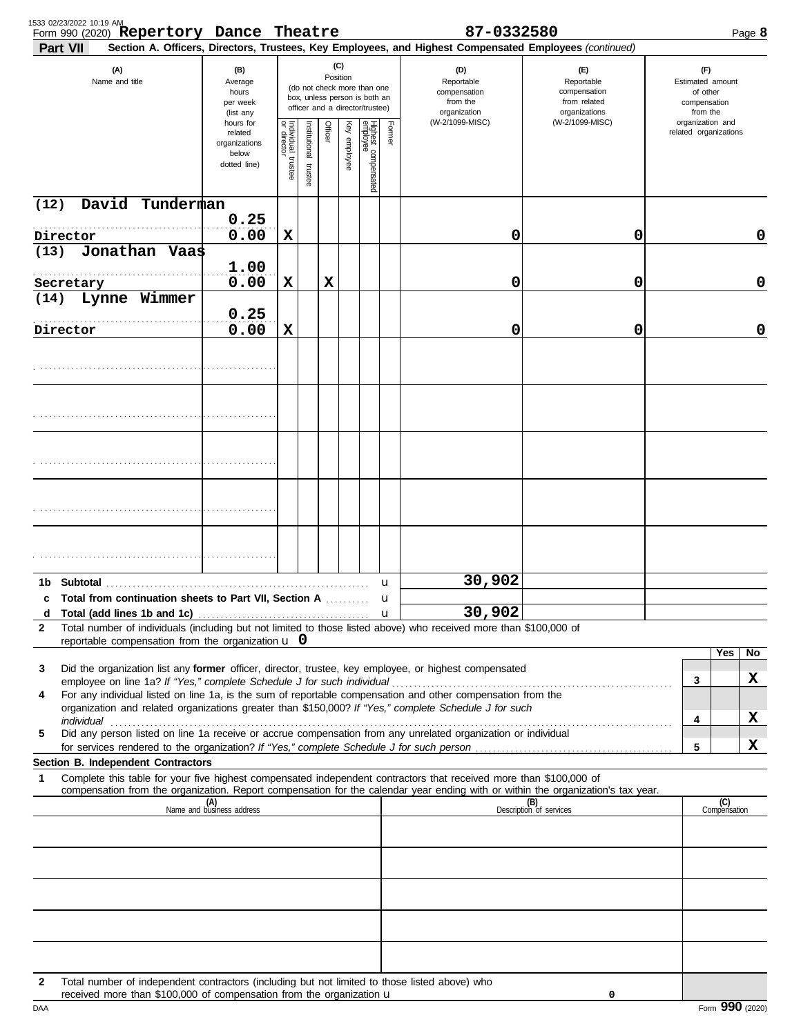| 1533 02/23/2022 10:19 AM | Form 990 (2020) Repertory Dance Theatre                                                                                                                                                                                        |                                                                |                                   |                       |         |                 |                                                                                                 |        | 87-0332580                                                                                                                                                                                                           |                                                                    |                                                                 | Page 8    |
|--------------------------|--------------------------------------------------------------------------------------------------------------------------------------------------------------------------------------------------------------------------------|----------------------------------------------------------------|-----------------------------------|-----------------------|---------|-----------------|-------------------------------------------------------------------------------------------------|--------|----------------------------------------------------------------------------------------------------------------------------------------------------------------------------------------------------------------------|--------------------------------------------------------------------|-----------------------------------------------------------------|-----------|
| Part VII                 |                                                                                                                                                                                                                                |                                                                |                                   |                       |         |                 |                                                                                                 |        | Section A. Officers, Directors, Trustees, Key Employees, and Highest Compensated Employees (continued)                                                                                                               |                                                                    |                                                                 |           |
| (A)<br>Name and title    |                                                                                                                                                                                                                                | (B)<br>Average<br>hours<br>per week<br>(list any               |                                   |                       |         | (C)<br>Position | (do not check more than one<br>box, unless person is both an<br>officer and a director/trustee) |        | (D)<br>Reportable<br>compensation<br>from the<br>organization                                                                                                                                                        | (E)<br>Reportable<br>compensation<br>from related<br>organizations | (F)<br>Estimated amount<br>of other<br>compensation<br>from the |           |
|                          |                                                                                                                                                                                                                                | hours for<br>related<br>organizations<br>below<br>dotted line) | Individual trustee<br>or director | Institutional trustee | Officer | Key employee    | Highest compensated<br>employee                                                                 | Former | (W-2/1099-MISC)                                                                                                                                                                                                      | (W-2/1099-MISC)                                                    | organization and<br>related organizations                       |           |
| (12)                     | David Tunderman                                                                                                                                                                                                                |                                                                |                                   |                       |         |                 |                                                                                                 |        |                                                                                                                                                                                                                      |                                                                    |                                                                 |           |
| Director                 |                                                                                                                                                                                                                                | 0.25<br>0.00                                                   | $\mathbf x$                       |                       |         |                 |                                                                                                 |        | 0                                                                                                                                                                                                                    | 0                                                                  |                                                                 | 0         |
| (13)                     | Jonathan Vaas                                                                                                                                                                                                                  | 1.00<br>0.00                                                   | X                                 |                       | X       |                 |                                                                                                 |        |                                                                                                                                                                                                                      | 0                                                                  |                                                                 | 0         |
| Secretary<br>(14)        | Lynne Wimmer                                                                                                                                                                                                                   |                                                                |                                   |                       |         |                 |                                                                                                 |        | 0                                                                                                                                                                                                                    |                                                                    |                                                                 |           |
| Director                 |                                                                                                                                                                                                                                | 0.25<br>0.00                                                   | $\mathbf x$                       |                       |         |                 |                                                                                                 |        | 0                                                                                                                                                                                                                    | 0                                                                  |                                                                 | 0         |
|                          |                                                                                                                                                                                                                                |                                                                |                                   |                       |         |                 |                                                                                                 |        |                                                                                                                                                                                                                      |                                                                    |                                                                 |           |
|                          |                                                                                                                                                                                                                                |                                                                |                                   |                       |         |                 |                                                                                                 |        |                                                                                                                                                                                                                      |                                                                    |                                                                 |           |
|                          |                                                                                                                                                                                                                                |                                                                |                                   |                       |         |                 |                                                                                                 |        |                                                                                                                                                                                                                      |                                                                    |                                                                 |           |
|                          |                                                                                                                                                                                                                                |                                                                |                                   |                       |         |                 |                                                                                                 |        |                                                                                                                                                                                                                      |                                                                    |                                                                 |           |
|                          |                                                                                                                                                                                                                                |                                                                |                                   |                       |         |                 |                                                                                                 |        |                                                                                                                                                                                                                      |                                                                    |                                                                 |           |
|                          |                                                                                                                                                                                                                                |                                                                |                                   |                       |         |                 |                                                                                                 | u      | 30,902                                                                                                                                                                                                               |                                                                    |                                                                 |           |
|                          | c Total from continuation sheets to Part VII. Section A                                                                                                                                                                        |                                                                |                                   |                       |         |                 |                                                                                                 | u      | 30,902                                                                                                                                                                                                               |                                                                    |                                                                 |           |
| d<br>2                   | reportable compensation from the organization $\bf{u}$ 0                                                                                                                                                                       |                                                                |                                   |                       |         |                 |                                                                                                 |        | Total number of individuals (including but not limited to those listed above) who received more than \$100,000 of                                                                                                    |                                                                    |                                                                 |           |
|                          |                                                                                                                                                                                                                                |                                                                |                                   |                       |         |                 |                                                                                                 |        |                                                                                                                                                                                                                      |                                                                    |                                                                 | No<br>Yes |
| 3                        | employee on line 1a? If "Yes," complete Schedule J for such individual                                                                                                                                                         |                                                                |                                   |                       |         |                 |                                                                                                 |        | Did the organization list any former officer, director, trustee, key employee, or highest compensated                                                                                                                |                                                                    | 3                                                               | X         |
| 4                        |                                                                                                                                                                                                                                |                                                                |                                   |                       |         |                 |                                                                                                 |        | For any individual listed on line 1a, is the sum of reportable compensation and other compensation from the<br>organization and related organizations greater than \$150,000? If "Yes," complete Schedule J for such |                                                                    |                                                                 |           |
|                          | individual communications and contact the contract of the contract of the contract of the contract of the contract of the contract of the contract of the contract of the contract of the contract of the contract of the cont |                                                                |                                   |                       |         |                 |                                                                                                 |        | Did any person listed on line 1a receive or accrue compensation from any unrelated organization or individual                                                                                                        |                                                                    | 4                                                               | X         |
| 5                        |                                                                                                                                                                                                                                |                                                                |                                   |                       |         |                 |                                                                                                 |        |                                                                                                                                                                                                                      |                                                                    | 5                                                               | x         |
| 1                        | Section B. Independent Contractors                                                                                                                                                                                             |                                                                |                                   |                       |         |                 |                                                                                                 |        | Complete this table for your five highest compensated independent contractors that received more than \$100,000 of                                                                                                   |                                                                    |                                                                 |           |
|                          |                                                                                                                                                                                                                                |                                                                |                                   |                       |         |                 |                                                                                                 |        | compensation from the organization. Report compensation for the calendar year ending with or within the organization's tax year.                                                                                     |                                                                    |                                                                 |           |
|                          |                                                                                                                                                                                                                                | (A)<br>Name and business address                               |                                   |                       |         |                 |                                                                                                 |        |                                                                                                                                                                                                                      | (B)<br>Description of services                                     | (C)<br>Compensation                                             |           |
|                          |                                                                                                                                                                                                                                |                                                                |                                   |                       |         |                 |                                                                                                 |        |                                                                                                                                                                                                                      |                                                                    |                                                                 |           |
|                          |                                                                                                                                                                                                                                |                                                                |                                   |                       |         |                 |                                                                                                 |        |                                                                                                                                                                                                                      |                                                                    |                                                                 |           |
|                          |                                                                                                                                                                                                                                |                                                                |                                   |                       |         |                 |                                                                                                 |        |                                                                                                                                                                                                                      |                                                                    |                                                                 |           |
| $\mathbf{2}$             | Total number of independent contractors (including but not limited to those listed above) who                                                                                                                                  |                                                                |                                   |                       |         |                 |                                                                                                 |        |                                                                                                                                                                                                                      |                                                                    |                                                                 |           |
|                          | received more than \$100,000 of compensation from the organization $\mathbf u$                                                                                                                                                 |                                                                |                                   |                       |         |                 |                                                                                                 |        |                                                                                                                                                                                                                      | 0                                                                  |                                                                 |           |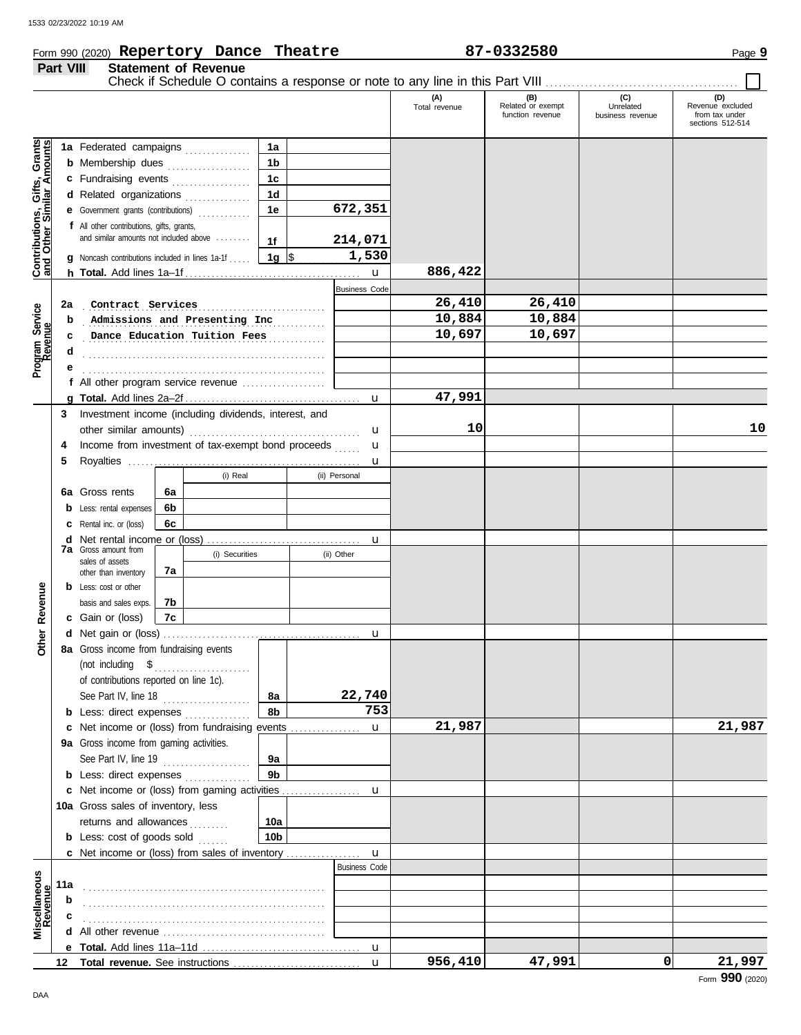**Part VIII Statement of Revenue**

# Form 990 (2020) Page **9 Repertory Dance Theatre 87-0332580**

#### **(A) (B) (C) (D)** Total revenue Related or exempt Unrelated Revenue excluded function revenue business revenue from tax under sections 512-514 <u>ិទី</u> **Contributions, Gifts, Grants and Other Similar Amounts 1a 1a** Federated campaigns **. . . . . . . . . . . .** Gifts, Grant<br>nilar Amount: **1b b** Membership dues . . . . . . . . . . . . . . . . **1c c** Fundraising events **. . . . . . . . . . . . . .** . . **1d d** Related organizations . . . . . . . . . . . . . **672,351** Contributions,<br>and Other Sim **1e e** Government grants (contributions) . . . . . . . . . . . . **f** All other contributions, gifts, grants, and similar amounts not included above ........ **214,071 1f 1g** \$ . . . . . . . . . . . . . . . . . . . . . **1,530 g** Noncash contributions included in lines 1a-1f . . . . . **886,422** u **h Total.** Add lines 1a–1f . . . . . . . . . . . . . . . . . . . . . . . . . . . . . . . . . . . . . . . . Business Code . . . . . . . . . . . . . . . . . . . . . . . . . . . . . . . . . . . . . . . . . . . . . . . . . . . . . . . **2a Contract Services 26,410 26,410** Program Service<br>Revenue **Program Service Admissions and Presenting Inc 10,884 10,884 b Dance Education Tuition Fees 10,697 10,697 c d** . . . . . . . . . . . . . . . . . . . . . . . . . . . . . . . . . . . . . . . . . . . . . . . . . . . . . . . **e** . . . . . . . . . . . . . . . . . . . . . . . . . . . . . . . . . . . . . . . . . . . . . . . . . . . . . . . **f** All other program service revenue . . . . . . . . . . . . . . . . . . . **47,991 g Total.** Add lines 2a–2f . . . . . . . . . . . . . . . . . . . . . . . . . . . . . . . . . . . . . . . . u **3** Investment income (including dividends, interest, and **10 10** other similar amounts) . . . . . . . . . . . . . . . . . . . . . . . . . . . . . . . . . . . . . . . u u **4** Income from investment of tax-exempt bond proceeds ...... **5** Royalties . . . . . . . . . . . . . . . . . . . . . . . . . . . . . . . . . . . . . . . . . . . . . . . . . . . . . u (i) Real (ii) Personal **6a 6a** Gross rents **6b b** Less: rental expenses **6c c** Rental inc. or (loss) **d** Net rental income or (loss) . . . . . . . . . . . . . . . . . . . . . . . . . . . . . . . . . . . u **7a** Gross amount from (i) Securities (ii) Other sales of assets **7a** other than inventory Revenue **b** Less: cost or other **Other Revenue** basis and sales exps. **7b 7c c** Gain or (loss) **Other d** u Net gain or (loss) . . . . . . . . . . . . . . . . . . . . . . . . . . . . . . . . . . . . . . . . . . . . . **8a** Gross income from fundraising events (not including \$ . . . . . . . . . . . . . . . . . . . . . . of contributions reported on line 1c). See Part IV, line 18 . . . . . . . . . . . . . . . . . . . . **22,740 8a 8b 753 b** Less: direct expenses . . . . . . . . . . . . . **21,987 21,987** u **c** Net income or (loss) from fundraising events ............... **9a** Gross income from gaming activities. See Part IV, line 19 . . . . . . . . . . . . . . . . . . . . **9a 9b b** Less: direct expenses ............... u Net income or (loss) from gaming activities . . . . . . . . . . . . . . . . . . **c** 10a Gross sales of inventory, less returns and allowances .......... **10a 10b b** Less: cost of goods sold  $\ldots$ Net income or (loss) from sales of inventory . . . . . . . . . . . . . . . . . **c** u Business Code **Revenue Miscellaneous 11a** . . . . . . . . . . . . . . . . . . . . . . . . . . . . . . . . . . . . . . . . . . . . . . . . . . . . . . . **b** . . . . . . . . . . . . . . . . . . . . . . . . . . . . . . . . . . . . . . . . . . . . . . . . . . . . . . . **c d** All other revenue . . . . . . . . . . . . . . . . . . . . . . . . . . . . . . . . . . . . . **e Total.** Add lines 11a–11d . . . . . . . . . . . . . . . . . . . . . . . . . . . . . . . . . . . . u **956,410 47,991 0 21,997 Total revenue.** See instructions **12** u

Check if Schedule O contains a response or note to any line in this Part VIII .........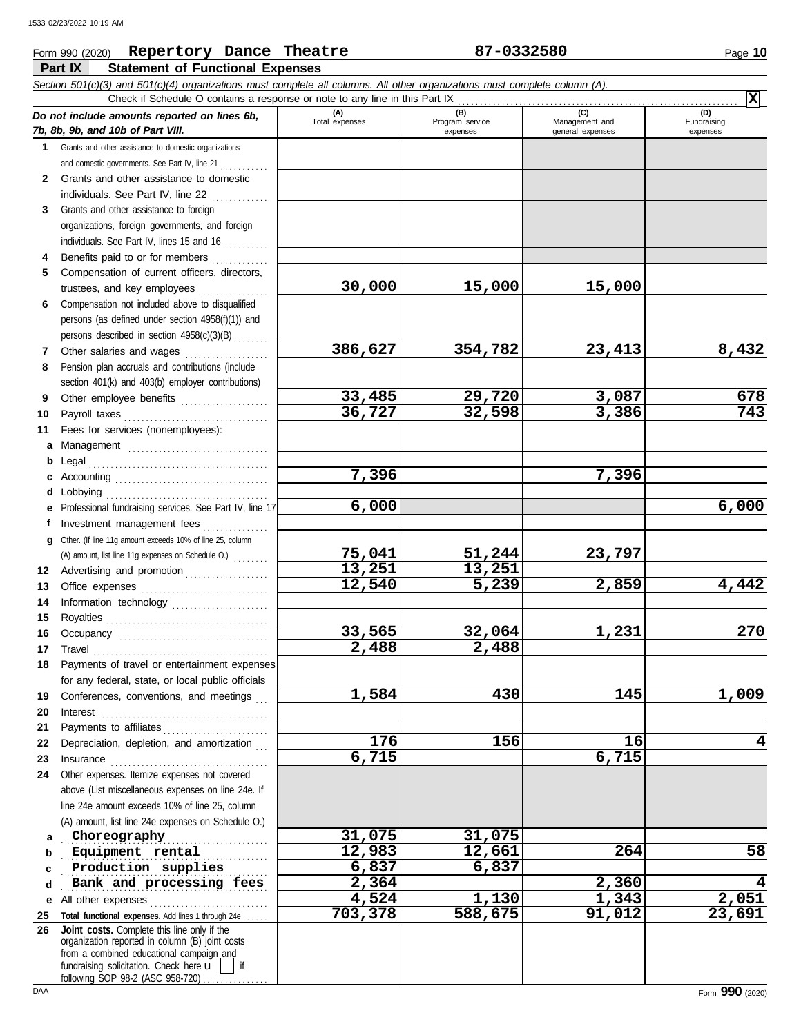### **Part IX Statement of Functional Expenses** Form 990 (2020) Page **10 Repertory Dance Theatre 87-0332580** *Section 501(c)(3) and 501(c)(4) organizations must complete all columns. All other organizations must complete column (A). Do not include amounts reported on lines 6b, 7b, 8b, 9b, and 10b of Part VIII.* **1 2 3** Grants and other assistance to foreign **4 5 6 7 8 9 10 11 a** Management ................................. **b** Legal . . . . . . . . . . . . . . . . . . . . . . . . . . . . . . . . . . . . . . . . . **c** Accounting . . . . . . . . . . . . . . . . . . . . . . . . . . . . . . . . . . . **d** Lobbying . . . . . . . . . . . . . . . . . . . . . . . . . . . . . . . . . . . . . **e** Professional fundraising services. See Part IV, line 17 **f g** Other. (If line 11g amount exceeds 10% of line 25, column **12** Advertising and promotion . . . . . . . . . . . . . . . . . . **13 14 15 16 17 18 19 20 21 22 23 24** Grants and other assistance to domestic organizations and domestic governments. See Part IV, line 21 . . . . . . . . . . . Grants and other assistance to domestic individuals. See Part IV, line 22 . . . . . . . . . . . . . organizations, foreign governments, and foreign individuals. See Part IV, lines 15 and 16 Benefits paid to or for members ............. Compensation of current officers, directors, trustees, and key employees . . . . . . . . . . . . . . . . Compensation not included above to disqualified persons (as defined under section 4958(f)(1)) and persons described in section 4958(c)(3)(B) . . . . . . . . Other salaries and wages ................... Pension plan accruals and contributions (include section 401(k) and 403(b) employer contributions) Other employee benefits .................... Payroll taxes . . . . . . . . . . . . . . . . . . . . . . . . . . . . . . . . . Fees for services (nonemployees): Investment management fees ................ Office expenses ............................... Information technology ...................... Royalties . . . . . . . . . . . . . . . . . . . . . . . . . . . . . . . . . . . . . Occupancy . . . . . . . . . . . . . . . . . . . . . . . . . . . . . . . . . . Travel . . . . . . . . . . . . . . . . . . . . . . . . . . . . . . . . . . . . . . . . Payments of travel or entertainment expenses for any federal, state, or local public officials Conferences, conventions, and meetings Interest . . . . . . . . . . . . . . . . . . . . . . . . . . . . . . . . . . . . . . Payments to affiliates . . . . . . . . . . . . . . . . . . . . . . . . Depreciation, depletion, and amortization Insurance . . . . . . . . . . . . . . . . . . . . . . . . . . . . . . . . . . . . Other expenses. Itemize expenses not covered above (List miscellaneous expenses on line 24e. If **(A) (B) (C) (D)** Total expenses Program service Management and expenses and general expenses (D)<br>Fundraising expenses Check if Schedule O contains a response or note to any line in this Part IX (A) amount, list line 11g expenses on Schedule O.) . . . . . . . . **X 30,000 15,000 15,000 386,627 354,782 23,413 8,432 33,485 29,720 3,087 678 36,727 32,598 3,386 743 7,396 7,396 6,000 6,000 75,041 51,244 23,797 13,251 13,251 12,540 5,239 2,859 4,442 33,565 32,064 1,231 270 2,488 2,488 1,584 430 145 1,009 176 156 16 4 6,715 6,715** 1533 02/23/2022 10:19 AM

| 24 | Other expenses. Itemize expenses not covered                                                                                                                                                    |         |         |        |        |
|----|-------------------------------------------------------------------------------------------------------------------------------------------------------------------------------------------------|---------|---------|--------|--------|
|    | above (List miscellaneous expenses on line 24e. If                                                                                                                                              |         |         |        |        |
|    | line 24e amount exceeds 10% of line 25, column                                                                                                                                                  |         |         |        |        |
|    | (A) amount, list line 24e expenses on Schedule O.)                                                                                                                                              |         |         |        |        |
| a  | Choreography                                                                                                                                                                                    | 31,075  | 31,075  |        |        |
| b  | Equipment rental                                                                                                                                                                                | 12,983  | 12,661  | 264    | 58     |
|    | Production supplies                                                                                                                                                                             | 6,837   | 6,837   |        |        |
| d  | Bank and processing fees                                                                                                                                                                        | 2,364   |         | 2,360  |        |
|    | <b>e</b> All other expenses                                                                                                                                                                     | 4,524   | 1,130   | 1,343  | 2,051  |
| 25 | Total functional expenses. Add lines 1 through 24e                                                                                                                                              | 703,378 | 588,675 | 91,012 | 23,691 |
| 26 | Joint costs. Complete this line only if the<br>organization reported in column (B) joint costs<br>from a combined educational campaign and<br>fundraising solicitation. Check here $\mathbf{u}$ |         |         |        |        |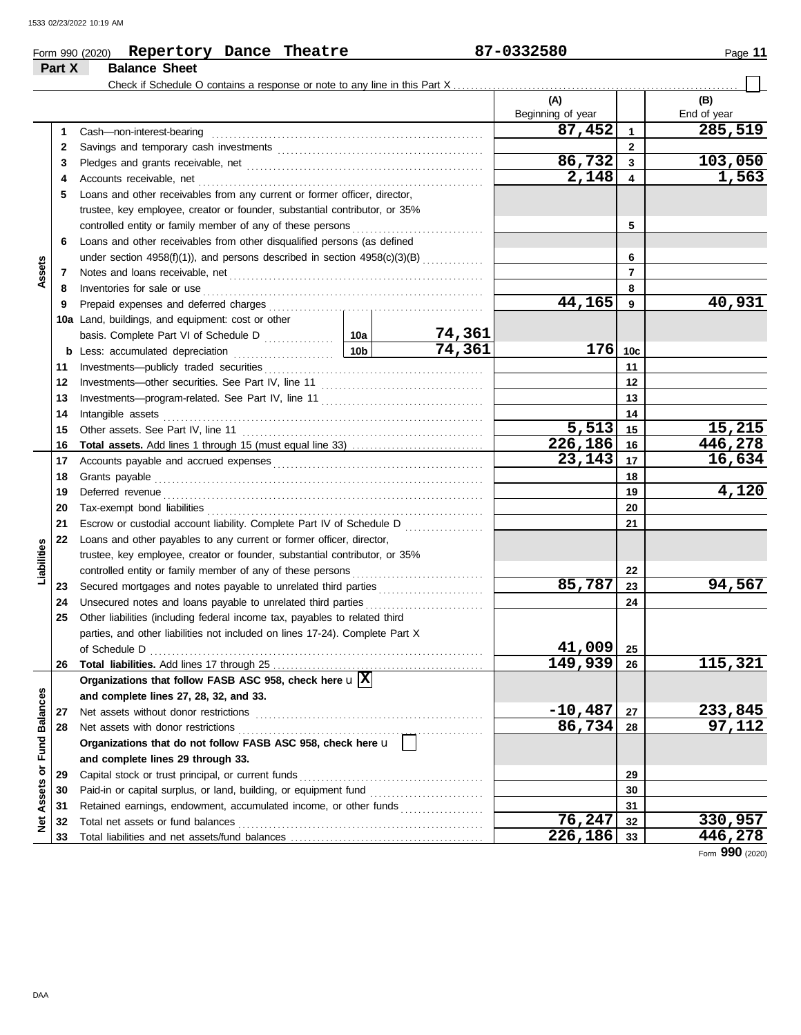|                      | Part X | <b>Balance Sheet</b>                                                                                                                                                                                                           |                 |                     |                          |                          |                    |
|----------------------|--------|--------------------------------------------------------------------------------------------------------------------------------------------------------------------------------------------------------------------------------|-----------------|---------------------|--------------------------|--------------------------|--------------------|
|                      |        | Check if Schedule O contains a response or note to any line in this Part X                                                                                                                                                     |                 |                     |                          |                          |                    |
|                      |        |                                                                                                                                                                                                                                |                 |                     | (A)<br>Beginning of year |                          | (B)<br>End of year |
|                      | 1      | Cash-non-interest-bearing                                                                                                                                                                                                      |                 |                     | 87,452                   | 1                        | 285,519            |
|                      | 2      |                                                                                                                                                                                                                                |                 |                     |                          | $\mathbf{2}$             |                    |
|                      | 3      |                                                                                                                                                                                                                                |                 |                     | 86,732                   | 3                        | 103,050            |
|                      | 4      | Accounts receivable, net                                                                                                                                                                                                       |                 |                     | 2,148                    | 4                        | 1,563              |
|                      | 5      | Loans and other receivables from any current or former officer, director,                                                                                                                                                      |                 |                     |                          |                          |                    |
|                      |        | trustee, key employee, creator or founder, substantial contributor, or 35%                                                                                                                                                     |                 |                     |                          |                          |                    |
|                      |        | controlled entity or family member of any of these persons                                                                                                                                                                     |                 |                     |                          | 5                        |                    |
|                      | 6      | Loans and other receivables from other disqualified persons (as defined                                                                                                                                                        |                 |                     |                          |                          |                    |
|                      |        | under section 4958(f)(1)), and persons described in section 4958(c)(3)(B)                                                                                                                                                      |                 |                     |                          | 6                        |                    |
| Assets               | 7      |                                                                                                                                                                                                                                |                 |                     |                          | $\overline{7}$           |                    |
|                      | 8      | Inventories for sale or use                                                                                                                                                                                                    |                 |                     |                          | 8                        |                    |
|                      | 9      | Prepaid expenses and deferred charges                                                                                                                                                                                          |                 |                     | 44,165                   | 9                        | 40,931             |
|                      | 10a    | Land, buildings, and equipment: cost or other                                                                                                                                                                                  |                 |                     |                          |                          |                    |
|                      |        |                                                                                                                                                                                                                                |                 | 74,361              |                          |                          |                    |
|                      | b      | Less: accumulated depreciation                                                                                                                                                                                                 | 10 <sub>b</sub> | 74,361              | 176                      | 10 <sub>c</sub>          |                    |
|                      | 11     |                                                                                                                                                                                                                                |                 |                     |                          | 11                       |                    |
|                      | 12     |                                                                                                                                                                                                                                |                 |                     |                          | 12                       |                    |
|                      | 13     |                                                                                                                                                                                                                                |                 |                     |                          | 13                       |                    |
|                      | 14     | Intangible assets                                                                                                                                                                                                              |                 |                     |                          | 14                       |                    |
|                      | 15     | Other assets. See Part IV. line 11                                                                                                                                                                                             |                 |                     | 5,513                    | 15                       | 15,215             |
|                      | 16     |                                                                                                                                                                                                                                |                 |                     | 226,186                  | 16                       | 446,278            |
|                      | 17     |                                                                                                                                                                                                                                |                 |                     | 23,143                   | 17                       | 16,634             |
|                      | 18     | Grants payable                                                                                                                                                                                                                 |                 |                     |                          | 18                       |                    |
|                      | 19     | Deferred revenue contains and all the container and all the container and all the container and all the containing of the containing of the containing of the containing of the containing of the containing of the containing |                 |                     |                          | 19                       | 4,120              |
|                      | 20     |                                                                                                                                                                                                                                |                 |                     |                          | 20                       |                    |
|                      | 21     | Escrow or custodial account liability. Complete Part IV of Schedule D                                                                                                                                                          |                 |                     |                          | 21                       |                    |
|                      | 22     | Loans and other payables to any current or former officer, director,                                                                                                                                                           |                 |                     |                          |                          |                    |
|                      |        | trustee, key employee, creator or founder, substantial contributor, or 35%                                                                                                                                                     |                 |                     |                          |                          |                    |
| Liabilities          |        | controlled entity or family member of any of these persons                                                                                                                                                                     |                 |                     |                          | 22                       |                    |
|                      | 23     |                                                                                                                                                                                                                                |                 |                     | 85,787                   | 23                       | 94,567             |
|                      | 24     | Unsecured notes and loans payable to unrelated third parties                                                                                                                                                                   |                 |                     |                          | 24                       |                    |
|                      | 25     | Other liabilities (including federal income tax, payables to related third                                                                                                                                                     |                 |                     |                          |                          |                    |
|                      |        | parties, and other liabilities not included on lines 17-24). Complete Part X                                                                                                                                                   |                 |                     |                          |                          |                    |
|                      |        | of Schedule D                                                                                                                                                                                                                  |                 |                     | <u>41,</u> 009           | 25                       |                    |
|                      | 26     |                                                                                                                                                                                                                                |                 |                     | 149,939                  | 26                       | 115,321            |
|                      |        | Organizations that follow FASB ASC 958, check here $\mathbf{u}$ X                                                                                                                                                              |                 |                     |                          |                          |                    |
|                      |        | and complete lines 27, 28, 32, and 33.                                                                                                                                                                                         |                 |                     |                          |                          |                    |
|                      | 27     | Net assets without donor restrictions                                                                                                                                                                                          |                 | $-10,487$<br>86,734 | 27                       | <u>233,845</u><br>97,112 |                    |
|                      | 28     | Net assets with donor restrictions                                                                                                                                                                                             |                 |                     |                          | 28                       |                    |
| <b>Fund Balances</b> |        | Organizations that do not follow FASB ASC 958, check here u                                                                                                                                                                    |                 |                     |                          |                          |                    |
|                      |        | and complete lines 29 through 33.                                                                                                                                                                                              |                 |                     |                          |                          |                    |
|                      | 29     | Capital stock or trust principal, or current funds                                                                                                                                                                             |                 |                     |                          | 29                       |                    |
| Assets or            | 30     | Paid-in or capital surplus, or land, building, or equipment fund                                                                                                                                                               |                 |                     |                          | 30                       |                    |
|                      | 31     | Retained earnings, endowment, accumulated income, or other funds                                                                                                                                                               |                 |                     | 76,247                   | 31                       | 330,957            |
| $\frac{1}{2}$        | 32     | Total net assets or fund balances                                                                                                                                                                                              |                 |                     | 226,186                  | 32<br>33                 | 446,278            |
|                      | 33     |                                                                                                                                                                                                                                |                 |                     |                          |                          |                    |

**Repertory Dance Theatre 87-0332580**

Form **990** (2020)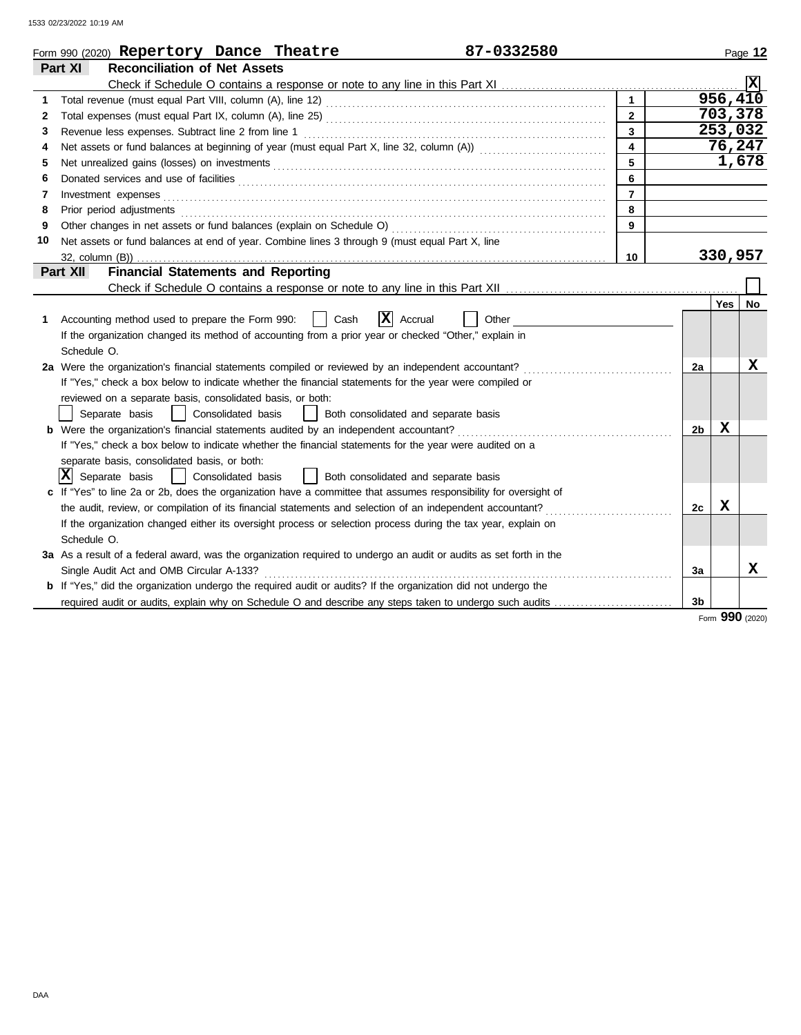|              | 87-0332580<br>Form 990 (2020) Repertory Dance Theatre                                                                                                                                                                               |                         |                |         | Page 12        |
|--------------|-------------------------------------------------------------------------------------------------------------------------------------------------------------------------------------------------------------------------------------|-------------------------|----------------|---------|----------------|
|              | Part XI<br><b>Reconciliation of Net Assets</b>                                                                                                                                                                                      |                         |                |         |                |
|              |                                                                                                                                                                                                                                     |                         |                |         | $ \mathbf{x} $ |
| 1            |                                                                                                                                                                                                                                     | $\mathbf{1}$            |                |         | 956,410        |
| $\mathbf{2}$ |                                                                                                                                                                                                                                     | $\overline{2}$          |                |         | 703,378        |
| 3            |                                                                                                                                                                                                                                     | $\overline{3}$          |                |         | 253,032        |
| 4            |                                                                                                                                                                                                                                     | $\overline{\mathbf{4}}$ |                |         | 76,247         |
| 5            |                                                                                                                                                                                                                                     | $\overline{5}$          |                |         | 1,678          |
| 6            | Donated services and use of facilities <b>constructs</b> and a service of the service of the service of facilities <b>constructs</b>                                                                                                | 6                       |                |         |                |
| 7            | Investment expenses <b>contract and the expenses</b> contract the expenses of the expenses of the expenses of the expenses of the expenses of the expenses of the expenses of the expenses of the expenses of the expenses of the e | $\overline{7}$          |                |         |                |
| 8            | Prior period adjustments                                                                                                                                                                                                            | 8                       |                |         |                |
| 9            |                                                                                                                                                                                                                                     | 9                       |                |         |                |
| 10           | Net assets or fund balances at end of year. Combine lines 3 through 9 (must equal Part X, line                                                                                                                                      |                         |                |         |                |
|              |                                                                                                                                                                                                                                     | 10                      |                | 330,957 |                |
|              | <b>Financial Statements and Reporting</b><br>Part XII                                                                                                                                                                               |                         |                |         |                |
|              |                                                                                                                                                                                                                                     |                         |                |         |                |
|              |                                                                                                                                                                                                                                     |                         |                | Yes     | No             |
| 1            | $ \mathbf{X} $ Accrual<br>Accounting method used to prepare the Form 990:    <br>Cash<br>Other                                                                                                                                      |                         |                |         |                |
|              | If the organization changed its method of accounting from a prior year or checked "Other," explain in                                                                                                                               |                         |                |         |                |
|              | Schedule O.                                                                                                                                                                                                                         |                         |                |         |                |
|              | 2a Were the organization's financial statements compiled or reviewed by an independent accountant?                                                                                                                                  |                         | 2a             |         | x              |
|              | If "Yes," check a box below to indicate whether the financial statements for the year were compiled or                                                                                                                              |                         |                |         |                |
|              | reviewed on a separate basis, consolidated basis, or both:                                                                                                                                                                          |                         |                |         |                |
|              | Separate basis<br>  Consolidated basis<br>  Both consolidated and separate basis                                                                                                                                                    |                         |                |         |                |
|              | <b>b</b> Were the organization's financial statements audited by an independent accountant?                                                                                                                                         |                         | 2 <sub>b</sub> | X       |                |
|              | If "Yes," check a box below to indicate whether the financial statements for the year were audited on a                                                                                                                             |                         |                |         |                |
|              | separate basis, consolidated basis, or both:                                                                                                                                                                                        |                         |                |         |                |
|              | IXI<br>Separate basis<br>Consolidated basis<br>Both consolidated and separate basis<br>$\Box$                                                                                                                                       |                         |                |         |                |
|              | c If "Yes" to line 2a or 2b, does the organization have a committee that assumes responsibility for oversight of                                                                                                                    |                         |                |         |                |
|              |                                                                                                                                                                                                                                     |                         | 2c             | x       |                |
|              | If the organization changed either its oversight process or selection process during the tax year, explain on                                                                                                                       |                         |                |         |                |
|              | Schedule O.                                                                                                                                                                                                                         |                         |                |         |                |
|              | 3a As a result of a federal award, was the organization required to undergo an audit or audits as set forth in the                                                                                                                  |                         |                |         |                |
|              | Single Audit Act and OMB Circular A-133?                                                                                                                                                                                            |                         | За             |         | X              |
|              | <b>b</b> If "Yes," did the organization undergo the required audit or audits? If the organization did not undergo the                                                                                                               |                         |                |         |                |
|              | required audit or audits, explain why on Schedule O and describe any steps taken to undergo such audits                                                                                                                             |                         | 3 <sub>b</sub> |         |                |

Form **990** (2020)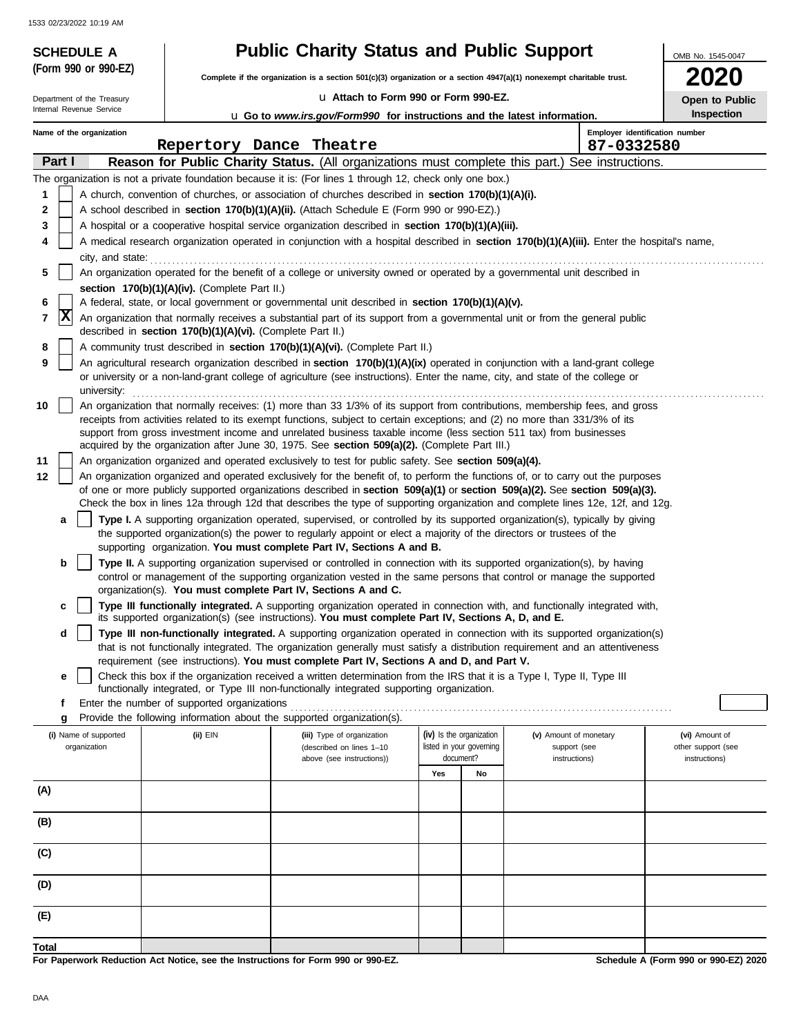| <b>SCHEDULE A</b>          |                                                                                                                                                                                                                                                                                                                                                                                 | <b>Public Charity Status and Public Support</b>                                                                                                                                                                                                                                                                              |                          |    |                        | OMB No. 1545-0047                           |
|----------------------------|---------------------------------------------------------------------------------------------------------------------------------------------------------------------------------------------------------------------------------------------------------------------------------------------------------------------------------------------------------------------------------|------------------------------------------------------------------------------------------------------------------------------------------------------------------------------------------------------------------------------------------------------------------------------------------------------------------------------|--------------------------|----|------------------------|---------------------------------------------|
| (Form 990 or 990-EZ)       |                                                                                                                                                                                                                                                                                                                                                                                 | Complete if the organization is a section 501(c)(3) organization or a section 4947(a)(1) nonexempt charitable trust.                                                                                                                                                                                                         |                          |    |                        |                                             |
| Department of the Treasury |                                                                                                                                                                                                                                                                                                                                                                                 | La Attach to Form 990 or Form 990-EZ.                                                                                                                                                                                                                                                                                        |                          |    |                        |                                             |
| Internal Revenue Service   |                                                                                                                                                                                                                                                                                                                                                                                 | u Go to www.irs.gov/Form990 for instructions and the latest information.                                                                                                                                                                                                                                                     |                          |    |                        | Open to Public<br>Inspection                |
| Name of the organization   |                                                                                                                                                                                                                                                                                                                                                                                 |                                                                                                                                                                                                                                                                                                                              |                          |    |                        | Employer identification number              |
|                            | Repertory Dance Theatre                                                                                                                                                                                                                                                                                                                                                         |                                                                                                                                                                                                                                                                                                                              |                          |    | 87-0332580             |                                             |
| Part I                     |                                                                                                                                                                                                                                                                                                                                                                                 | Reason for Public Charity Status. (All organizations must complete this part.) See instructions.                                                                                                                                                                                                                             |                          |    |                        |                                             |
|                            |                                                                                                                                                                                                                                                                                                                                                                                 | The organization is not a private foundation because it is: (For lines 1 through 12, check only one box.)                                                                                                                                                                                                                    |                          |    |                        |                                             |
|                            | A church, convention of churches, or association of churches described in section 170(b)(1)(A)(i).<br>1                                                                                                                                                                                                                                                                         |                                                                                                                                                                                                                                                                                                                              |                          |    |                        |                                             |
| 2<br>3                     | A school described in section 170(b)(1)(A)(ii). (Attach Schedule E (Form 990 or 990-EZ).)<br>A hospital or a cooperative hospital service organization described in section 170(b)(1)(A)(iii).                                                                                                                                                                                  |                                                                                                                                                                                                                                                                                                                              |                          |    |                        |                                             |
| 4                          | A medical research organization operated in conjunction with a hospital described in section 170(b)(1)(A)(iii). Enter the hospital's name,                                                                                                                                                                                                                                      |                                                                                                                                                                                                                                                                                                                              |                          |    |                        |                                             |
| city, and state:           |                                                                                                                                                                                                                                                                                                                                                                                 |                                                                                                                                                                                                                                                                                                                              |                          |    |                        |                                             |
| 5                          |                                                                                                                                                                                                                                                                                                                                                                                 | An organization operated for the benefit of a college or university owned or operated by a governmental unit described in                                                                                                                                                                                                    |                          |    |                        |                                             |
|                            | section 170(b)(1)(A)(iv). (Complete Part II.)                                                                                                                                                                                                                                                                                                                                   |                                                                                                                                                                                                                                                                                                                              |                          |    |                        |                                             |
| 6                          |                                                                                                                                                                                                                                                                                                                                                                                 | A federal, state, or local government or governmental unit described in section 170(b)(1)(A)(v).                                                                                                                                                                                                                             |                          |    |                        |                                             |
| X <br>7                    | described in section 170(b)(1)(A)(vi). (Complete Part II.)                                                                                                                                                                                                                                                                                                                      | An organization that normally receives a substantial part of its support from a governmental unit or from the general public                                                                                                                                                                                                 |                          |    |                        |                                             |
| 8                          |                                                                                                                                                                                                                                                                                                                                                                                 | A community trust described in section 170(b)(1)(A)(vi). (Complete Part II.)                                                                                                                                                                                                                                                 |                          |    |                        |                                             |
| 9<br>university:           |                                                                                                                                                                                                                                                                                                                                                                                 | An agricultural research organization described in section 170(b)(1)(A)(ix) operated in conjunction with a land-grant college<br>or university or a non-land-grant college of agriculture (see instructions). Enter the name, city, and state of the college or                                                              |                          |    |                        |                                             |
| 10                         | An organization that normally receives: (1) more than 33 1/3% of its support from contributions, membership fees, and gross<br>receipts from activities related to its exempt functions, subject to certain exceptions; and (2) no more than 331/3% of its<br>support from gross investment income and unrelated business taxable income (less section 511 tax) from businesses |                                                                                                                                                                                                                                                                                                                              |                          |    |                        |                                             |
|                            |                                                                                                                                                                                                                                                                                                                                                                                 | acquired by the organization after June 30, 1975. See section 509(a)(2). (Complete Part III.)                                                                                                                                                                                                                                |                          |    |                        |                                             |
| 11<br>12                   |                                                                                                                                                                                                                                                                                                                                                                                 | An organization organized and operated exclusively to test for public safety. See section 509(a)(4).<br>An organization organized and operated exclusively for the benefit of, to perform the functions of, or to carry out the purposes                                                                                     |                          |    |                        |                                             |
|                            |                                                                                                                                                                                                                                                                                                                                                                                 | of one or more publicly supported organizations described in section 509(a)(1) or section 509(a)(2). See section 509(a)(3).                                                                                                                                                                                                  |                          |    |                        |                                             |
|                            |                                                                                                                                                                                                                                                                                                                                                                                 | Check the box in lines 12a through 12d that describes the type of supporting organization and complete lines 12e, 12f, and 12g.                                                                                                                                                                                              |                          |    |                        |                                             |
| a                          |                                                                                                                                                                                                                                                                                                                                                                                 | Type I. A supporting organization operated, supervised, or controlled by its supported organization(s), typically by giving<br>the supported organization(s) the power to regularly appoint or elect a majority of the directors or trustees of the<br>supporting organization. You must complete Part IV, Sections A and B. |                          |    |                        |                                             |
| b                          |                                                                                                                                                                                                                                                                                                                                                                                 | Type II. A supporting organization supervised or controlled in connection with its supported organization(s), by having<br>control or management of the supporting organization vested in the same persons that control or manage the supported                                                                              |                          |    |                        |                                             |
| c                          |                                                                                                                                                                                                                                                                                                                                                                                 | organization(s). You must complete Part IV, Sections A and C.<br>Type III functionally integrated. A supporting organization operated in connection with, and functionally integrated with,<br>its supported organization(s) (see instructions). You must complete Part IV, Sections A, D, and E.                            |                          |    |                        |                                             |
| d                          |                                                                                                                                                                                                                                                                                                                                                                                 | Type III non-functionally integrated. A supporting organization operated in connection with its supported organization(s)<br>that is not functionally integrated. The organization generally must satisfy a distribution requirement and an attentiveness                                                                    |                          |    |                        |                                             |
|                            |                                                                                                                                                                                                                                                                                                                                                                                 | requirement (see instructions). You must complete Part IV, Sections A and D, and Part V.                                                                                                                                                                                                                                     |                          |    |                        |                                             |
| е                          |                                                                                                                                                                                                                                                                                                                                                                                 | Check this box if the organization received a written determination from the IRS that it is a Type I, Type II, Type III                                                                                                                                                                                                      |                          |    |                        |                                             |
|                            |                                                                                                                                                                                                                                                                                                                                                                                 | functionally integrated, or Type III non-functionally integrated supporting organization.                                                                                                                                                                                                                                    |                          |    |                        |                                             |
| f                          | Enter the number of supported organizations                                                                                                                                                                                                                                                                                                                                     | Provide the following information about the supported organization(s).                                                                                                                                                                                                                                                       |                          |    |                        |                                             |
| g<br>(i) Name of supported | $(ii)$ $EIN$                                                                                                                                                                                                                                                                                                                                                                    | (iii) Type of organization                                                                                                                                                                                                                                                                                                   | (iv) Is the organization |    | (v) Amount of monetary | (vi) Amount of                              |
| organization               |                                                                                                                                                                                                                                                                                                                                                                                 | (described on lines 1-10                                                                                                                                                                                                                                                                                                     | listed in your governing |    | support (see           | other support (see                          |
|                            |                                                                                                                                                                                                                                                                                                                                                                                 | above (see instructions))                                                                                                                                                                                                                                                                                                    | document?                |    | instructions)          | instructions)                               |
| (A)                        |                                                                                                                                                                                                                                                                                                                                                                                 |                                                                                                                                                                                                                                                                                                                              | Yes                      | No |                        |                                             |
|                            |                                                                                                                                                                                                                                                                                                                                                                                 |                                                                                                                                                                                                                                                                                                                              |                          |    |                        |                                             |
| (B)                        |                                                                                                                                                                                                                                                                                                                                                                                 |                                                                                                                                                                                                                                                                                                                              |                          |    |                        |                                             |
| (C)                        |                                                                                                                                                                                                                                                                                                                                                                                 |                                                                                                                                                                                                                                                                                                                              |                          |    |                        |                                             |
| (D)                        |                                                                                                                                                                                                                                                                                                                                                                                 |                                                                                                                                                                                                                                                                                                                              |                          |    |                        |                                             |
| (E)                        |                                                                                                                                                                                                                                                                                                                                                                                 |                                                                                                                                                                                                                                                                                                                              |                          |    |                        |                                             |
| Total                      |                                                                                                                                                                                                                                                                                                                                                                                 |                                                                                                                                                                                                                                                                                                                              |                          |    |                        |                                             |
| ومعتقم بالممتاحات          | Ant Motio<br>. Indianakter                                                                                                                                                                                                                                                                                                                                                      | -- 000 EZ                                                                                                                                                                                                                                                                                                                    |                          |    |                        | <b>Cohodule A (Ferm 000 or 000 EZ) 2020</b> |

**For Paperwork Reduction Act Notice, see the Instructions for Form 990 or 990-EZ.**

**Schedule A (Form 990 or 990-EZ) 2020**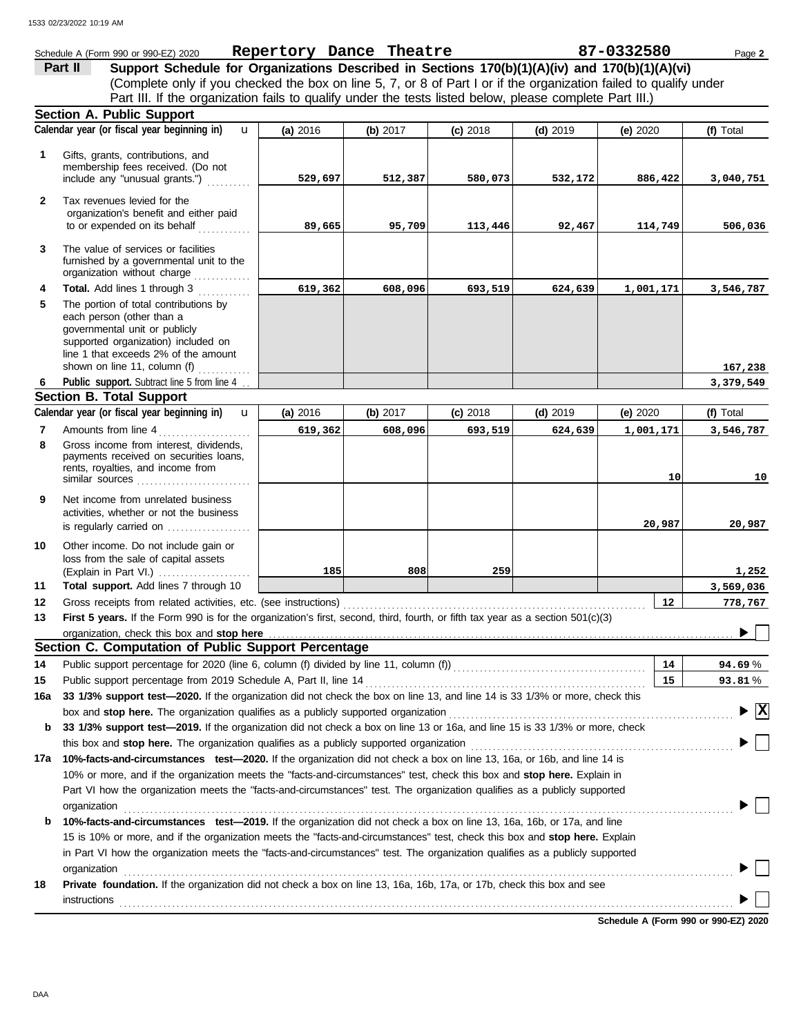|              | Schedule A (Form 990 or 990-EZ) 2020                                                                                                                                                                                                                                                                                                                    | Repertory Dance Theatre |            |            |            | 87-0332580      | Page 2                             |
|--------------|---------------------------------------------------------------------------------------------------------------------------------------------------------------------------------------------------------------------------------------------------------------------------------------------------------------------------------------------------------|-------------------------|------------|------------|------------|-----------------|------------------------------------|
|              | Support Schedule for Organizations Described in Sections 170(b)(1)(A)(iv) and 170(b)(1)(A)(vi)<br>Part II                                                                                                                                                                                                                                               |                         |            |            |            |                 |                                    |
|              | (Complete only if you checked the box on line 5, 7, or 8 of Part I or if the organization failed to qualify under                                                                                                                                                                                                                                       |                         |            |            |            |                 |                                    |
|              | Part III. If the organization fails to qualify under the tests listed below, please complete Part III.)                                                                                                                                                                                                                                                 |                         |            |            |            |                 |                                    |
|              | <b>Section A. Public Support</b>                                                                                                                                                                                                                                                                                                                        |                         |            |            |            |                 |                                    |
|              | Calendar year (or fiscal year beginning in)<br>$\mathbf{u}$                                                                                                                                                                                                                                                                                             | (a) 2016                | (b) $2017$ | $(c)$ 2018 | $(d)$ 2019 | (e) $2020$      | (f) Total                          |
| 1            | Gifts, grants, contributions, and                                                                                                                                                                                                                                                                                                                       |                         |            |            |            |                 |                                    |
|              | membership fees received. (Do not                                                                                                                                                                                                                                                                                                                       |                         |            |            |            |                 |                                    |
|              | include any "unusual grants.")                                                                                                                                                                                                                                                                                                                          | 529,697                 | 512,387    | 580,073    | 532,172    | 886,422         | 3,040,751                          |
| $\mathbf{2}$ | Tax revenues levied for the                                                                                                                                                                                                                                                                                                                             |                         |            |            |            |                 |                                    |
|              | organization's benefit and either paid<br>to or expended on its behalf                                                                                                                                                                                                                                                                                  | 89,665                  | 95,709     | 113,446    | 92,467     | 114,749         | 506,036                            |
|              |                                                                                                                                                                                                                                                                                                                                                         |                         |            |            |            |                 |                                    |
| 3            | The value of services or facilities<br>furnished by a governmental unit to the                                                                                                                                                                                                                                                                          |                         |            |            |            |                 |                                    |
| 4            | organization without charge<br>Total. Add lines 1 through 3                                                                                                                                                                                                                                                                                             | 619,362                 | 608,096    | 693,519    | 624,639    | 1,001,171       | 3,546,787                          |
| 5            | The portion of total contributions by                                                                                                                                                                                                                                                                                                                   |                         |            |            |            |                 |                                    |
|              | each person (other than a                                                                                                                                                                                                                                                                                                                               |                         |            |            |            |                 |                                    |
|              | governmental unit or publicly                                                                                                                                                                                                                                                                                                                           |                         |            |            |            |                 |                                    |
|              | supported organization) included on<br>line 1 that exceeds 2% of the amount                                                                                                                                                                                                                                                                             |                         |            |            |            |                 |                                    |
|              | shown on line 11, column (f) $\ldots$                                                                                                                                                                                                                                                                                                                   |                         |            |            |            |                 | 167,238                            |
| 6            | Public support. Subtract line 5 from line 4                                                                                                                                                                                                                                                                                                             |                         |            |            |            |                 | 3,379,549                          |
|              | <b>Section B. Total Support</b>                                                                                                                                                                                                                                                                                                                         |                         |            |            |            |                 |                                    |
|              | Calendar year (or fiscal year beginning in)<br>$\mathbf{u}$                                                                                                                                                                                                                                                                                             | (a) 2016                | (b) 2017   | $(c)$ 2018 | $(d)$ 2019 | (e) $2020$      | (f) Total                          |
| 7            | Amounts from line 4                                                                                                                                                                                                                                                                                                                                     | 619,362                 | 608,096    | 693,519    | 624,639    | 1,001,171       | 3,546,787                          |
| 8            | Gross income from interest, dividends,<br>payments received on securities loans,                                                                                                                                                                                                                                                                        |                         |            |            |            |                 |                                    |
|              | rents, royalties, and income from                                                                                                                                                                                                                                                                                                                       |                         |            |            |            |                 |                                    |
|              | similar sources                                                                                                                                                                                                                                                                                                                                         |                         |            |            |            | 10 <sub>l</sub> | 10                                 |
| 9            | Net income from unrelated business                                                                                                                                                                                                                                                                                                                      |                         |            |            |            |                 |                                    |
|              | activities, whether or not the business<br>is regularly carried on $\ldots$ , $\ldots$ , $\ldots$                                                                                                                                                                                                                                                       |                         |            |            |            | 20,987          | 20,987                             |
|              |                                                                                                                                                                                                                                                                                                                                                         |                         |            |            |            |                 |                                    |
| 10           | Other income. Do not include gain or<br>loss from the sale of capital assets                                                                                                                                                                                                                                                                            |                         |            |            |            |                 |                                    |
|              | (Explain in Part VI.)                                                                                                                                                                                                                                                                                                                                   | 185                     | 808        | 259        |            |                 | 1,252                              |
| 11           | Total support. Add lines 7 through 10                                                                                                                                                                                                                                                                                                                   |                         |            |            |            |                 | 3,569,036                          |
| 12           | Gross receipts from related activities, etc. (see instructions)                                                                                                                                                                                                                                                                                         |                         |            |            |            | 12              | 778,767                            |
| 13           | First 5 years. If the Form 990 is for the organization's first, second, third, fourth, or fifth tax year as a section 501(c)(3)                                                                                                                                                                                                                         |                         |            |            |            |                 |                                    |
|              | organization, check this box and stop here<br>Section C. Computation of Public Support Percentage                                                                                                                                                                                                                                                       |                         |            |            |            |                 | ▶                                  |
|              |                                                                                                                                                                                                                                                                                                                                                         |                         |            |            |            | 14              | 94.69%                             |
| 14<br>15     | Public support percentage for 2020 (line 6, column (f) divided by line 11, column (f)) [[[[[[[[[[[[[[[[[[[[[[                                                                                                                                                                                                                                           |                         |            |            |            | 15              | 93.81%                             |
| 16a          | 33 1/3% support test-2020. If the organization did not check the box on line 13, and line 14 is 33 1/3% or more, check this                                                                                                                                                                                                                             |                         |            |            |            |                 |                                    |
|              | box and stop here. The organization qualifies as a publicly supported organization [11] content content content content of the content of the content of the content of the content of the content of the content of the conte                                                                                                                          |                         |            |            |            |                 | $\blacktriangleright \overline{X}$ |
| b            | 33 1/3% support test-2019. If the organization did not check a box on line 13 or 16a, and line 15 is 33 1/3% or more, check                                                                                                                                                                                                                             |                         |            |            |            |                 |                                    |
|              |                                                                                                                                                                                                                                                                                                                                                         |                         |            |            |            |                 |                                    |
| 17а          | 10%-facts-and-circumstances test-2020. If the organization did not check a box on line 13, 16a, or 16b, and line 14 is                                                                                                                                                                                                                                  |                         |            |            |            |                 |                                    |
|              | 10% or more, and if the organization meets the "facts-and-circumstances" test, check this box and stop here. Explain in                                                                                                                                                                                                                                 |                         |            |            |            |                 |                                    |
|              | Part VI how the organization meets the "facts-and-circumstances" test. The organization qualifies as a publicly supported                                                                                                                                                                                                                               |                         |            |            |            |                 |                                    |
|              | organization<br><u>expanization</u>                                                                                                                                                                                                                                                                                                                     |                         |            |            |            |                 |                                    |
| b            | 10%-facts-and-circumstances test-2019. If the organization did not check a box on line 13, 16a, 16b, or 17a, and line                                                                                                                                                                                                                                   |                         |            |            |            |                 |                                    |
|              | 15 is 10% or more, and if the organization meets the "facts-and-circumstances" test, check this box and stop here. Explain                                                                                                                                                                                                                              |                         |            |            |            |                 |                                    |
|              | in Part VI how the organization meets the "facts-and-circumstances" test. The organization qualifies as a publicly supported                                                                                                                                                                                                                            |                         |            |            |            |                 |                                    |
| 18           | organization www.commutation.commutation.com/www.commutation.com/www.commutation.com/www.commutation.com/www.commutation.com/www.commutation.com/www.commutation.com/www.commutation.com/www.commutation.com/www.commutation.c<br>Private foundation. If the organization did not check a box on line 13, 16a, 16b, 17a, or 17b, check this box and see |                         |            |            |            |                 |                                    |
|              |                                                                                                                                                                                                                                                                                                                                                         |                         |            |            |            |                 |                                    |
|              |                                                                                                                                                                                                                                                                                                                                                         |                         |            |            |            |                 |                                    |

**Schedule A (Form 990 or 990-EZ) 2020**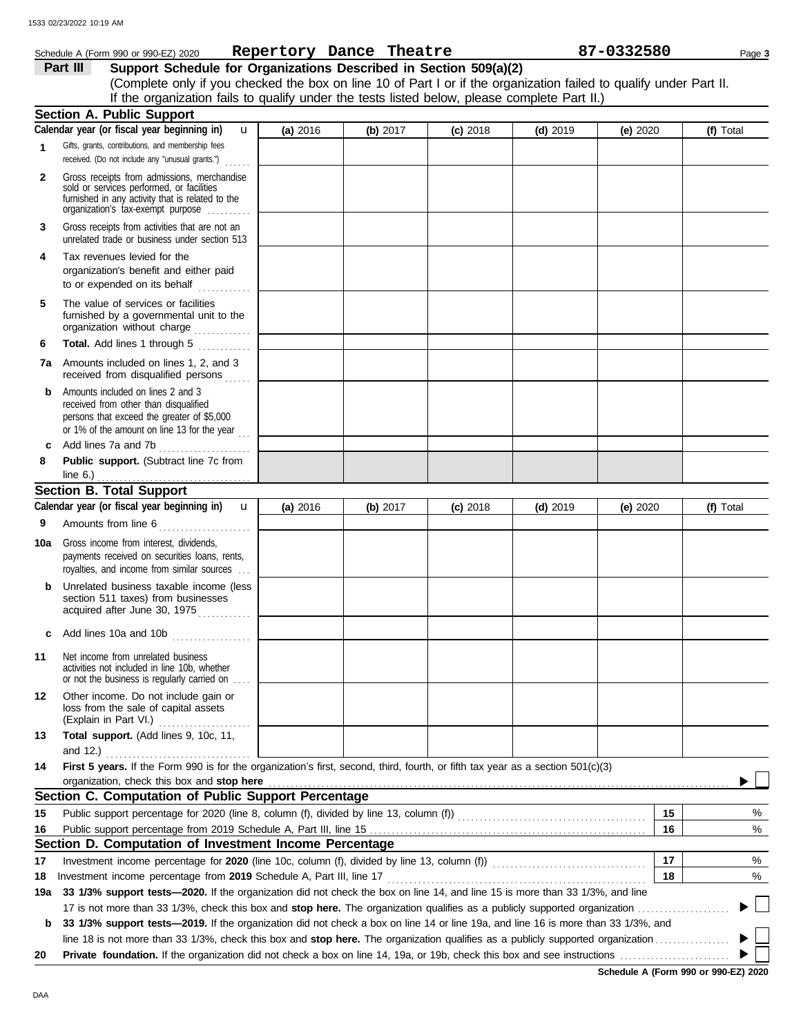### **Section B. Total Support** unrelated trade or business under section 513 **Part III Support Schedule for Organizations Described in Section 509(a)(2)** (Complete only if you checked the box on line 10 of Part I or if the organization failed to qualify under Part II. **1 2 3 6 8** Schedule A (Form 990 or 990-EZ) 2020 Page **3 Repertory Dance Theatre 87-0332580** Gifts, grants, contributions, and membership fees received. (Do not include any "unusual grants.") . . . . . . **Public support.** (Subtract line 7c from Gross receipts from admissions, merchandise sold or services performed, or facilities furnished in any activity that is related to the Gross receipts from activities that are not an **Total.** Add lines 1 through 5 **Section A. Public Support** organization's tax-exempt purpose .......... **4** Tax revenues levied for the organization's benefit and either paid to or expended on its behalf when  $\cdots$ organization without charge .............. furnished by a governmental unit to the **5** The value of services or facilities **7a** Amounts included on lines 1, 2, and 3 received from disqualified persons **b** Amounts included on lines 2 and 3 received from other than disqualified persons that exceed the greater of \$5,000 or 1% of the amount on line 13 for the year  $\ldots$ **c** Add lines 7a and 7b . . . . . . . . . . . . . . . . . . . . . Amounts from line 6 . . . . . . . . . . . . . . . . . . . . . **9** royalties, and income from similar sources . . . payments received on securities loans, rents, **10a** Gross income from interest, dividends, **b** Unrelated business taxable income (less section 511 taxes) from businesses acquired after June 30, 1975 **c** Add lines 10a and 10b . . . . . . . . . . . . . . . . . . **11** Net income from unrelated business activities not included in line 10b, whether or not the business is regularly carried on . . . . (Explain in Part VI.) . . . . . . . . . . . . . . . . . . . . . loss from the sale of capital assets **12** Other income. Do not include gain or **13 Total support.** (Add lines 9, 10c, 11, **14 First 5 years.** If the Form 990 is for the organization's first, second, third, fourth, or fifth tax year as a section 501(c)(3) organization, check this box and stop here **Section C. Computation of Public Support Percentage** Public support percentage from 2019 Schedule A, Part III, line 15 . . . . . . . . . . . . . . . . . . . . . . . . . . . . . . . . . . . . . . . . . . . . . . . . . . . . . . . . . . . . . . . **15** Public support percentage for 2020 (line 8, column (f), divided by line 13, column (f)) . . . . . . . . . . . . . . . . . . . . . . . . . . . . . . . . . . . . . . . . . . . **16 Section D. Computation of Investment Income Percentage 18** Investment income percentage for **2020** (line 10c, column (f), divided by line 13, column (f)) . . . . . . . . . . . . . . . . . . . . . . . . . . . . . . . . . . . **17** Investment income percentage from **2019** Schedule A, Part III, line 17 . . . . . . . . . . . . . . . . . . . . . . . . . . . . . . . . . . . . . . . . . . . . . . . . . . . . . . . . . . . %  $\frac{1}{2}$ **16 15 17 18** % % **(a)** 2016 **(b)** 2017 **(c)** 2018 **(d)** 2019 **(e)** 2020 **(f)** Total **(f)** Total line 6.) . . . . . . . . . . . . . . . . . . . . . . . . . . . . . . . . . . . **Calendar year (or fiscal year beginning in)**  Calendar year (or fiscal year beginning in) **u** and 12.) . . . . . . . . . . . . . . . . . . . . . . . . . . . . . . . . . If the organization fails to qualify under the tests listed below, please complete Part II.) **(a)** 2016 **(b)** 2017 **(c)** 2018 **(d)** 2019 **(e)** 2020 u

17 is not more than 33 1/3%, check this box and **stop here.** The organization qualifies as a publicly supported organization . . . . . . . . . . . . . . . . . . . . . **19a 33 1/3% support tests—2020.** If the organization did not check the box on line 14, and line 15 is more than 33 1/3%, and line **b 33 1/3% support tests—2019.** If the organization did not check a box on line 14 or line 19a, and line 16 is more than 33 1/3%, and

line 18 is not more than 33 1/3%, check this box and **stop here.** The organization qualifies as a publicly supported organization . . . . . . . . . . . . . . . . .

**20 Private foundation.** If the organization did not check a box on line 14, 19a, or 19b, check this box and see instructions . . . . . . . . . . . . . . . . . . . . . . . . .

**Schedule A (Form 990 or 990-EZ) 2020**

 $\blacktriangleright$ 

 $\blacktriangleright$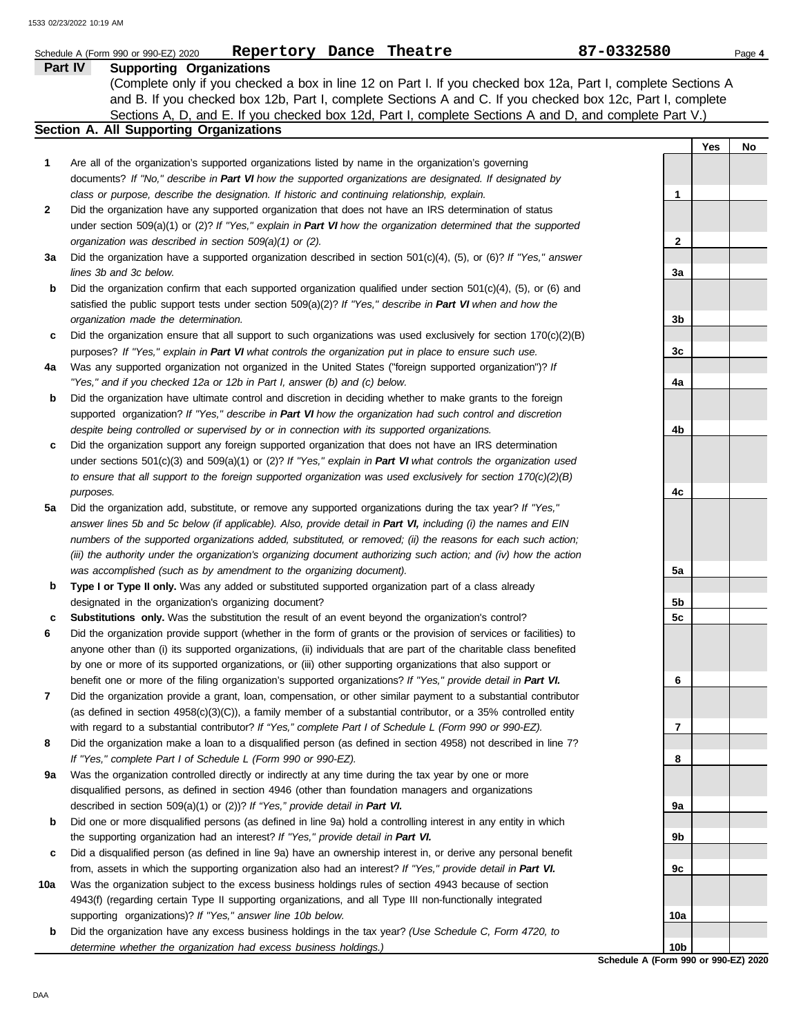|              | Repertory Dance Theatre<br>Schedule A (Form 990 or 990-EZ) 2020                                                          | 87-0332580   |                      | Page 4 |
|--------------|--------------------------------------------------------------------------------------------------------------------------|--------------|----------------------|--------|
|              | <b>Supporting Organizations</b><br>Part IV                                                                               |              |                      |        |
|              | (Complete only if you checked a box in line 12 on Part I. If you checked box 12a, Part I, complete Sections A            |              |                      |        |
|              | and B. If you checked box 12b, Part I, complete Sections A and C. If you checked box 12c, Part I, complete               |              |                      |        |
|              | Sections A, D, and E. If you checked box 12d, Part I, complete Sections A and D, and complete Part V.)                   |              |                      |        |
|              | Section A. All Supporting Organizations                                                                                  |              |                      |        |
|              |                                                                                                                          |              | Yes                  | No     |
| 1            | Are all of the organization's supported organizations listed by name in the organization's governing                     |              |                      |        |
|              |                                                                                                                          |              |                      |        |
|              | documents? If "No," describe in Part VI how the supported organizations are designated. If designated by                 |              |                      |        |
|              | class or purpose, describe the designation. If historic and continuing relationship, explain.                            | 1            |                      |        |
| $\mathbf{2}$ | Did the organization have any supported organization that does not have an IRS determination of status                   |              |                      |        |
|              | under section 509(a)(1) or (2)? If "Yes," explain in Part VI how the organization determined that the supported          |              |                      |        |
|              | organization was described in section 509(a)(1) or (2).                                                                  | $\mathbf{2}$ |                      |        |
| За           | Did the organization have a supported organization described in section $501(c)(4)$ , (5), or (6)? If "Yes," answer      |              |                      |        |
|              | lines 3b and 3c below.                                                                                                   | За           |                      |        |
| b            | Did the organization confirm that each supported organization qualified under section $501(c)(4)$ , $(5)$ , or $(6)$ and |              |                      |        |
|              | satisfied the public support tests under section 509(a)(2)? If "Yes," describe in Part VI when and how the               |              |                      |        |
|              | organization made the determination.                                                                                     | 3b           |                      |        |
| c            | Did the organization ensure that all support to such organizations was used exclusively for section $170(c)(2)(B)$       |              |                      |        |
|              | purposes? If "Yes," explain in Part VI what controls the organization put in place to ensure such use.                   | 3c           |                      |        |
| 4a           | Was any supported organization not organized in the United States ("foreign supported organization")? If                 |              |                      |        |
|              | "Yes," and if you checked 12a or 12b in Part I, answer (b) and (c) below.                                                | 4a           |                      |        |
| b            | Did the organization have ultimate control and discretion in deciding whether to make grants to the foreign              |              |                      |        |
|              | supported organization? If "Yes," describe in Part VI how the organization had such control and discretion               |              |                      |        |
|              |                                                                                                                          |              |                      |        |
|              | despite being controlled or supervised by or in connection with its supported organizations.                             | 4b           |                      |        |
| c            | Did the organization support any foreign supported organization that does not have an IRS determination                  |              |                      |        |
|              | under sections $501(c)(3)$ and $509(a)(1)$ or (2)? If "Yes," explain in Part VI what controls the organization used      |              |                      |        |
|              | to ensure that all support to the foreign supported organization was used exclusively for section $170(c)(2)(B)$         |              |                      |        |
|              | purposes.                                                                                                                | 4c           |                      |        |
| 5a           | Did the organization add, substitute, or remove any supported organizations during the tax year? If "Yes,"               |              |                      |        |
|              | answer lines 5b and 5c below (if applicable). Also, provide detail in Part VI, including (i) the names and EIN           |              |                      |        |
|              | numbers of the supported organizations added, substituted, or removed; (ii) the reasons for each such action;            |              |                      |        |
|              | (iii) the authority under the organization's organizing document authorizing such action; and (iv) how the action        |              |                      |        |
|              | was accomplished (such as by amendment to the organizing document).                                                      | 5a           |                      |        |
| b            | Type I or Type II only. Was any added or substituted supported organization part of a class already                      |              |                      |        |
|              | designated in the organization's organizing document?                                                                    | 5b           |                      |        |
| c            | Substitutions only. Was the substitution the result of an event beyond the organization's control?                       | 5c           |                      |        |
| 6            | Did the organization provide support (whether in the form of grants or the provision of services or facilities) to       |              |                      |        |
|              | anyone other than (i) its supported organizations, (ii) individuals that are part of the charitable class benefited      |              |                      |        |
|              | by one or more of its supported organizations, or (iii) other supporting organizations that also support or              |              |                      |        |
|              | benefit one or more of the filing organization's supported organizations? If "Yes," provide detail in Part VI.           | 6            |                      |        |
| 7            | Did the organization provide a grant, loan, compensation, or other similar payment to a substantial contributor          |              |                      |        |
|              | (as defined in section $4958(c)(3)(C)$ ), a family member of a substantial contributor, or a 35% controlled entity       |              |                      |        |
|              | with regard to a substantial contributor? If "Yes," complete Part I of Schedule L (Form 990 or 990-EZ).                  | 7            |                      |        |
| 8            | Did the organization make a loan to a disqualified person (as defined in section 4958) not described in line 7?          |              |                      |        |
|              | If "Yes," complete Part I of Schedule L (Form 990 or 990-EZ).                                                            | 8            |                      |        |
|              |                                                                                                                          |              |                      |        |
| 9a           | Was the organization controlled directly or indirectly at any time during the tax year by one or more                    |              |                      |        |
|              | disqualified persons, as defined in section 4946 (other than foundation managers and organizations                       |              |                      |        |
|              | described in section 509(a)(1) or (2))? If "Yes," provide detail in Part VI.                                             | 9а           |                      |        |
| b            | Did one or more disqualified persons (as defined in line 9a) hold a controlling interest in any entity in which          |              |                      |        |
|              | the supporting organization had an interest? If "Yes," provide detail in Part VI.                                        | 9b           |                      |        |
| c            | Did a disqualified person (as defined in line 9a) have an ownership interest in, or derive any personal benefit          |              |                      |        |
|              | from, assets in which the supporting organization also had an interest? If "Yes," provide detail in Part VI.             | 9c           |                      |        |
| 10a          | Was the organization subject to the excess business holdings rules of section 4943 because of section                    |              |                      |        |
|              | 4943(f) (regarding certain Type II supporting organizations, and all Type III non-functionally integrated                |              |                      |        |
|              | supporting organizations)? If "Yes," answer line 10b below.                                                              | 10a          |                      |        |
| b            | Did the organization have any excess business holdings in the tax year? (Use Schedule C, Form 4720, to                   |              |                      |        |
|              | determine whether the organization had excess business holdings.)                                                        | 10b          |                      |        |
|              |                                                                                                                          | 000          | $\sim$ 000 $\sim$ 7) |        |

**Schedule A (Form 990 or 990-EZ) 2020**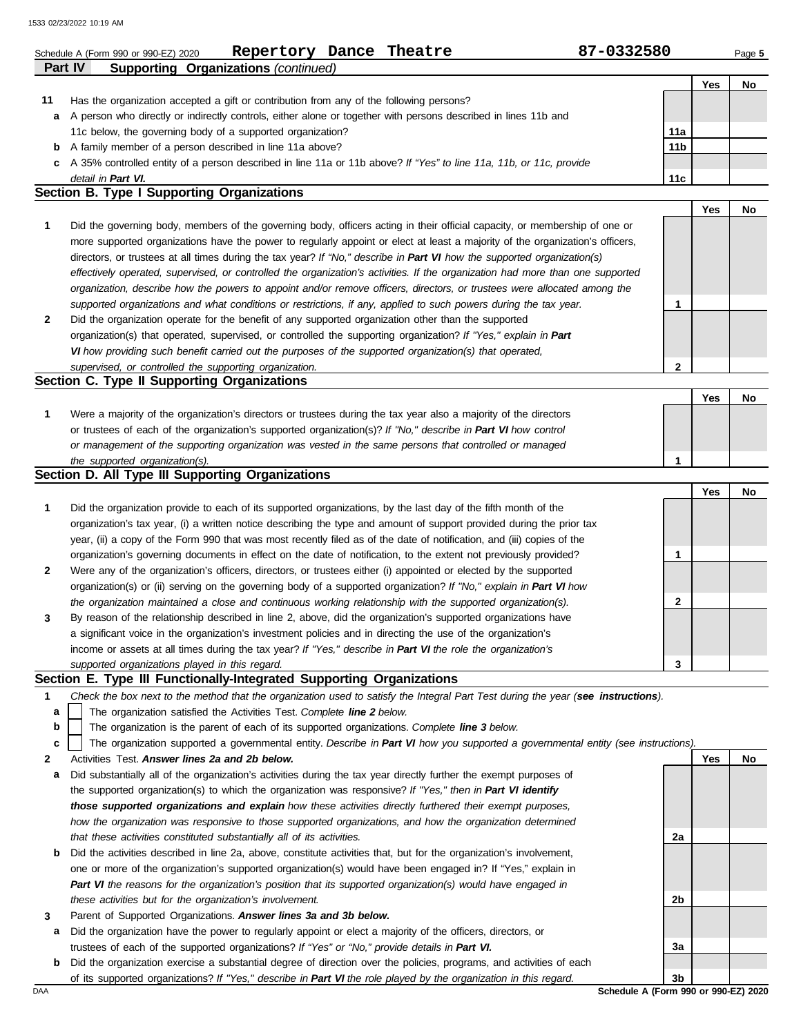|              | Repertory Dance Theatre<br>Schedule A (Form 990 or 990-EZ) 2020                                                                                                                                                           | 87-0332580      |     | Page 5 |
|--------------|---------------------------------------------------------------------------------------------------------------------------------------------------------------------------------------------------------------------------|-----------------|-----|--------|
|              | Part IV<br><b>Supporting Organizations (continued)</b>                                                                                                                                                                    |                 |     |        |
|              |                                                                                                                                                                                                                           |                 | Yes | No     |
| 11           | Has the organization accepted a gift or contribution from any of the following persons?                                                                                                                                   |                 |     |        |
| а            | A person who directly or indirectly controls, either alone or together with persons described in lines 11b and                                                                                                            |                 |     |        |
|              | 11c below, the governing body of a supported organization?                                                                                                                                                                | 11a             |     |        |
| b            | A family member of a person described in line 11a above?                                                                                                                                                                  | 11 <sub>b</sub> |     |        |
| c            | A 35% controlled entity of a person described in line 11a or 11b above? If "Yes" to line 11a, 11b, or 11c, provide                                                                                                        |                 |     |        |
|              | detail in Part VI.                                                                                                                                                                                                        | 11c             |     |        |
|              | Section B. Type I Supporting Organizations                                                                                                                                                                                |                 |     |        |
|              |                                                                                                                                                                                                                           |                 | Yes | No     |
| 1            | Did the governing body, members of the governing body, officers acting in their official capacity, or membership of one or                                                                                                |                 |     |        |
|              | more supported organizations have the power to regularly appoint or elect at least a majority of the organization's officers,                                                                                             |                 |     |        |
|              | directors, or trustees at all times during the tax year? If "No," describe in Part VI how the supported organization(s)                                                                                                   |                 |     |        |
|              | effectively operated, supervised, or controlled the organization's activities. If the organization had more than one supported                                                                                            |                 |     |        |
|              | organization, describe how the powers to appoint and/or remove officers, directors, or trustees were allocated among the                                                                                                  |                 |     |        |
|              | supported organizations and what conditions or restrictions, if any, applied to such powers during the tax year.                                                                                                          | 1               |     |        |
| $\mathbf{2}$ | Did the organization operate for the benefit of any supported organization other than the supported                                                                                                                       |                 |     |        |
|              | organization(s) that operated, supervised, or controlled the supporting organization? If "Yes," explain in Part<br>VI how providing such benefit carried out the purposes of the supported organization(s) that operated, |                 |     |        |
|              | supervised, or controlled the supporting organization.                                                                                                                                                                    | $\mathbf{2}$    |     |        |
|              | Section C. Type II Supporting Organizations                                                                                                                                                                               |                 |     |        |
|              |                                                                                                                                                                                                                           |                 | Yes | No     |
| 1            | Were a majority of the organization's directors or trustees during the tax year also a majority of the directors                                                                                                          |                 |     |        |
|              | or trustees of each of the organization's supported organization(s)? If "No," describe in Part VI how control                                                                                                             |                 |     |        |
|              | or management of the supporting organization was vested in the same persons that controlled or managed                                                                                                                    |                 |     |        |
|              | the supported organization(s).                                                                                                                                                                                            | 1               |     |        |
|              | Section D. All Type III Supporting Organizations                                                                                                                                                                          |                 |     |        |
|              |                                                                                                                                                                                                                           |                 | Yes | No     |
| 1            | Did the organization provide to each of its supported organizations, by the last day of the fifth month of the                                                                                                            |                 |     |        |
|              | organization's tax year, (i) a written notice describing the type and amount of support provided during the prior tax                                                                                                     |                 |     |        |
|              | year, (ii) a copy of the Form 990 that was most recently filed as of the date of notification, and (iii) copies of the                                                                                                    |                 |     |        |
|              | organization's governing documents in effect on the date of notification, to the extent not previously provided?                                                                                                          | 1               |     |        |
| 2            | Were any of the organization's officers, directors, or trustees either (i) appointed or elected by the supported                                                                                                          |                 |     |        |
|              | organization(s) or (ii) serving on the governing body of a supported organization? If "No," explain in Part VI how                                                                                                        |                 |     |        |
|              | the organization maintained a close and continuous working relationship with the supported organization(s).                                                                                                               | $\mathbf{2}$    |     |        |
| 3            | By reason of the relationship described in line 2, above, did the organization's supported organizations have                                                                                                             |                 |     |        |
|              | a significant voice in the organization's investment policies and in directing the use of the organization's                                                                                                              |                 |     |        |
|              | income or assets at all times during the tax year? If "Yes," describe in Part VI the role the organization's                                                                                                              |                 |     |        |
|              | supported organizations played in this regard.                                                                                                                                                                            | 3               |     |        |
|              | Section E. Type III Functionally-Integrated Supporting Organizations                                                                                                                                                      |                 |     |        |
| 1            | Check the box next to the method that the organization used to satisfy the Integral Part Test during the year (see instructions).                                                                                         |                 |     |        |
| а            | The organization satisfied the Activities Test. Complete line 2 below.                                                                                                                                                    |                 |     |        |
| b            | The organization is the parent of each of its supported organizations. Complete line 3 below.                                                                                                                             |                 |     |        |
| c            | The organization supported a governmental entity. Describe in Part VI how you supported a governmental entity (see instructions).                                                                                         |                 |     |        |
| 2            | Activities Test. Answer lines 2a and 2b below.                                                                                                                                                                            |                 | Yes | No     |
| а            | Did substantially all of the organization's activities during the tax year directly further the exempt purposes of                                                                                                        |                 |     |        |
|              | the supported organization(s) to which the organization was responsive? If "Yes," then in Part VI identify                                                                                                                |                 |     |        |
|              | those supported organizations and explain how these activities directly furthered their exempt purposes,                                                                                                                  |                 |     |        |
|              | how the organization was responsive to those supported organizations, and how the organization determined                                                                                                                 |                 |     |        |
|              | that these activities constituted substantially all of its activities.                                                                                                                                                    | 2a              |     |        |
| b            | Did the activities described in line 2a, above, constitute activities that, but for the organization's involvement,                                                                                                       |                 |     |        |
|              | one or more of the organization's supported organization(s) would have been engaged in? If "Yes," explain in                                                                                                              |                 |     |        |
|              | Part VI the reasons for the organization's position that its supported organization(s) would have engaged in                                                                                                              |                 |     |        |

- **3** *these activities but for the organization's involvement.* Parent of Supported Organizations. *Answer lines 3a and 3b below.*
- **a** Did the organization have the power to regularly appoint or elect a majority of the officers, directors, or trustees of each of the supported organizations? *If "Yes" or "No," provide details in Part VI.*
- **b** Did the organization exercise a substantial degree of direction over the policies, programs, and activities of each of its supported organizations? *If "Yes," describe in Part VI the role played by the organization in this regard.*

DAA **Schedule A (Form 990 or 990-EZ) 2020 3b**

**2b**

**3a**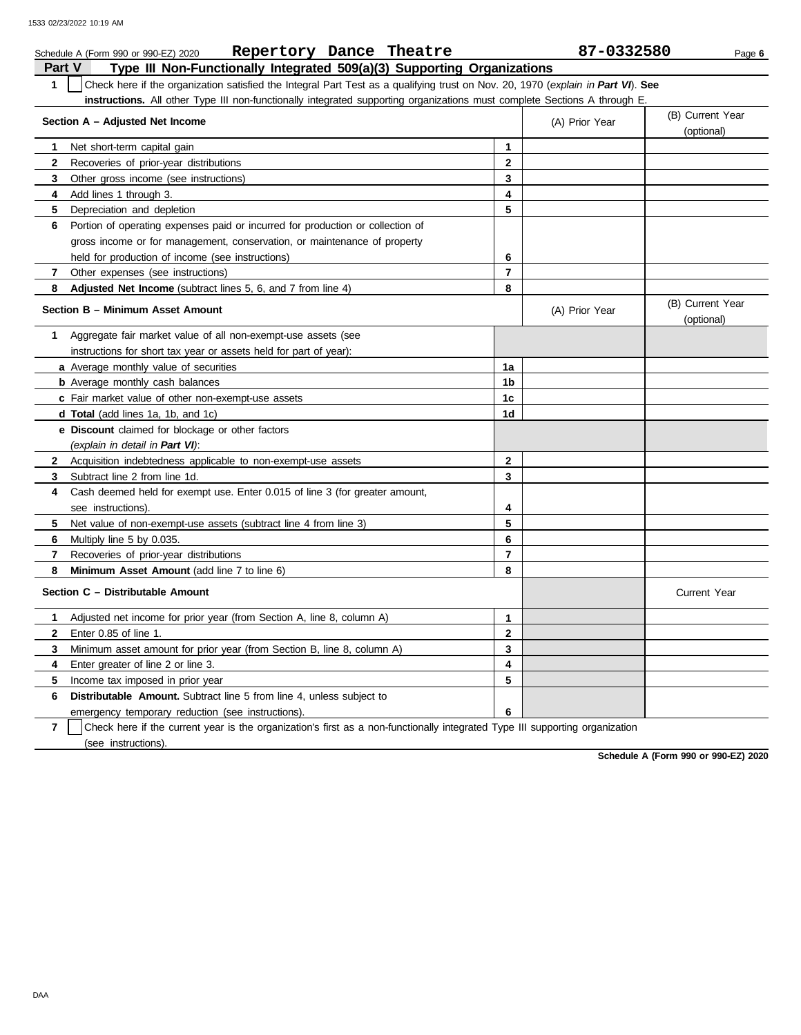|               | Repertory Dance Theatre<br>Schedule A (Form 990 or 990-EZ) 2020                                                                  |                         | 87-0332580     | Page 6                         |  |  |  |
|---------------|----------------------------------------------------------------------------------------------------------------------------------|-------------------------|----------------|--------------------------------|--|--|--|
| <b>Part V</b> | Type III Non-Functionally Integrated 509(a)(3) Supporting Organizations                                                          |                         |                |                                |  |  |  |
| $\mathbf{1}$  | Check here if the organization satisfied the Integral Part Test as a qualifying trust on Nov. 20, 1970 (explain in Part VI). See |                         |                |                                |  |  |  |
|               | instructions. All other Type III non-functionally integrated supporting organizations must complete Sections A through E.        |                         |                |                                |  |  |  |
|               | Section A - Adjusted Net Income                                                                                                  |                         | (A) Prior Year | (B) Current Year               |  |  |  |
|               |                                                                                                                                  |                         |                | (optional)                     |  |  |  |
| 1             | Net short-term capital gain                                                                                                      | 1                       |                |                                |  |  |  |
| $\mathbf{2}$  | Recoveries of prior-year distributions                                                                                           | $\mathbf{2}$            |                |                                |  |  |  |
| 3             | Other gross income (see instructions)                                                                                            | 3                       |                |                                |  |  |  |
| 4             | Add lines 1 through 3.                                                                                                           | 4                       |                |                                |  |  |  |
| 5             | Depreciation and depletion                                                                                                       | 5                       |                |                                |  |  |  |
| 6             | Portion of operating expenses paid or incurred for production or collection of                                                   |                         |                |                                |  |  |  |
|               | gross income or for management, conservation, or maintenance of property                                                         |                         |                |                                |  |  |  |
|               | held for production of income (see instructions)                                                                                 | 6                       |                |                                |  |  |  |
| 7             | Other expenses (see instructions)                                                                                                | $\overline{7}$          |                |                                |  |  |  |
| 8             | Adjusted Net Income (subtract lines 5, 6, and 7 from line 4)                                                                     | 8                       |                |                                |  |  |  |
|               | Section B - Minimum Asset Amount                                                                                                 |                         | (A) Prior Year | (B) Current Year<br>(optional) |  |  |  |
| 1             | Aggregate fair market value of all non-exempt-use assets (see                                                                    |                         |                |                                |  |  |  |
|               | instructions for short tax year or assets held for part of year):                                                                |                         |                |                                |  |  |  |
|               | a Average monthly value of securities                                                                                            | 1a                      |                |                                |  |  |  |
|               | <b>b</b> Average monthly cash balances                                                                                           | 1b                      |                |                                |  |  |  |
|               | c Fair market value of other non-exempt-use assets                                                                               | 1c                      |                |                                |  |  |  |
|               | d Total (add lines 1a, 1b, and 1c)                                                                                               | 1d                      |                |                                |  |  |  |
|               | e Discount claimed for blockage or other factors                                                                                 |                         |                |                                |  |  |  |
|               | (explain in detail in Part VI):                                                                                                  |                         |                |                                |  |  |  |
|               | 2 Acquisition indebtedness applicable to non-exempt-use assets                                                                   | $\mathbf{2}$            |                |                                |  |  |  |
| 3             | Subtract line 2 from line 1d.                                                                                                    | 3                       |                |                                |  |  |  |
| 4             | Cash deemed held for exempt use. Enter 0.015 of line 3 (for greater amount,                                                      |                         |                |                                |  |  |  |
|               | see instructions).                                                                                                               | 4                       |                |                                |  |  |  |
| 5             | Net value of non-exempt-use assets (subtract line 4 from line 3)                                                                 | 5                       |                |                                |  |  |  |
| 6             | Multiply line 5 by 0.035.                                                                                                        | 6                       |                |                                |  |  |  |
| 7             | Recoveries of prior-year distributions                                                                                           | $\overline{7}$          |                |                                |  |  |  |
| 8             | Minimum Asset Amount (add line 7 to line 6)                                                                                      | 8                       |                |                                |  |  |  |
|               | Section C - Distributable Amount                                                                                                 |                         |                | <b>Current Year</b>            |  |  |  |
| 1             | Adjusted net income for prior year (from Section A, line 8, column A)                                                            | 1                       |                |                                |  |  |  |
| $\mathbf{2}$  | Enter 0.85 of line 1.                                                                                                            | $\mathbf 2$             |                |                                |  |  |  |
| 3             | Minimum asset amount for prior year (from Section B, line 8, column A)                                                           | 3                       |                |                                |  |  |  |
| 4             | Enter greater of line 2 or line 3.                                                                                               | $\overline{\mathbf{4}}$ |                |                                |  |  |  |
| 5             | Income tax imposed in prior year                                                                                                 | 5                       |                |                                |  |  |  |
| 6             | <b>Distributable Amount.</b> Subtract line 5 from line 4, unless subject to                                                      |                         |                |                                |  |  |  |
|               | emergency temporary reduction (see instructions).                                                                                | 6                       |                |                                |  |  |  |

**7** (see instructions). Check here if the current year is the organization's first as a non-functionally integrated Type III supporting organization

**Schedule A (Form 990 or 990-EZ) 2020**

DAA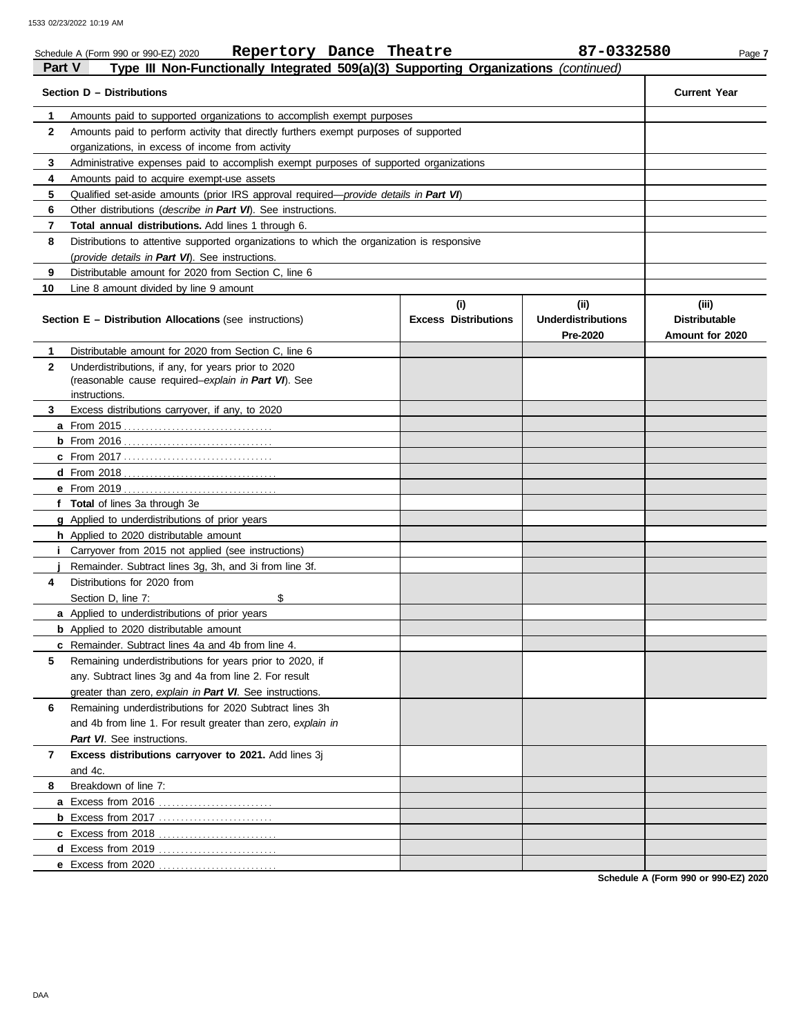|              | Repertory Dance Theatre<br>Schedule A (Form 990 or 990-EZ) 2020                            |                                    | 87-0332580                                    | Page 7                                           |
|--------------|--------------------------------------------------------------------------------------------|------------------------------------|-----------------------------------------------|--------------------------------------------------|
| Part V       | Type III Non-Functionally Integrated 509(a)(3) Supporting Organizations (continued)        |                                    |                                               |                                                  |
|              | Section D - Distributions                                                                  |                                    |                                               | <b>Current Year</b>                              |
| 1            | Amounts paid to supported organizations to accomplish exempt purposes                      |                                    |                                               |                                                  |
| $\mathbf{2}$ | Amounts paid to perform activity that directly furthers exempt purposes of supported       |                                    |                                               |                                                  |
|              | organizations, in excess of income from activity                                           |                                    |                                               |                                                  |
| 3            | Administrative expenses paid to accomplish exempt purposes of supported organizations      |                                    |                                               |                                                  |
| 4            | Amounts paid to acquire exempt-use assets                                                  |                                    |                                               |                                                  |
| 5            | Qualified set-aside amounts (prior IRS approval required—provide details in Part VI)       |                                    |                                               |                                                  |
| 6            | Other distributions (describe in Part VI). See instructions.                               |                                    |                                               |                                                  |
| 7            | Total annual distributions. Add lines 1 through 6.                                         |                                    |                                               |                                                  |
| 8            | Distributions to attentive supported organizations to which the organization is responsive |                                    |                                               |                                                  |
|              | (provide details in Part VI). See instructions.                                            |                                    |                                               |                                                  |
| 9            | Distributable amount for 2020 from Section C, line 6                                       |                                    |                                               |                                                  |
| 10           | Line 8 amount divided by line 9 amount                                                     |                                    |                                               |                                                  |
|              | <b>Section E – Distribution Allocations</b> (see instructions)                             | (i)<br><b>Excess Distributions</b> | (ii)<br><b>Underdistributions</b><br>Pre-2020 | (iii)<br><b>Distributable</b><br>Amount for 2020 |
| 1            | Distributable amount for 2020 from Section C, line 6                                       |                                    |                                               |                                                  |
| $\mathbf{2}$ | Underdistributions, if any, for years prior to 2020                                        |                                    |                                               |                                                  |
|              | (reasonable cause required-explain in Part VI). See                                        |                                    |                                               |                                                  |
|              | instructions.                                                                              |                                    |                                               |                                                  |
| 3            | Excess distributions carryover, if any, to 2020                                            |                                    |                                               |                                                  |
|              |                                                                                            |                                    |                                               |                                                  |
|              |                                                                                            |                                    |                                               |                                                  |
|              |                                                                                            |                                    |                                               |                                                  |
|              |                                                                                            |                                    |                                               |                                                  |
|              |                                                                                            |                                    |                                               |                                                  |
|              | f Total of lines 3a through 3e                                                             |                                    |                                               |                                                  |
|              | g Applied to underdistributions of prior years                                             |                                    |                                               |                                                  |
|              | h Applied to 2020 distributable amount                                                     |                                    |                                               |                                                  |
|              | <i>i</i> Carryover from 2015 not applied (see instructions)                                |                                    |                                               |                                                  |
|              | Remainder. Subtract lines 3g, 3h, and 3i from line 3f.                                     |                                    |                                               |                                                  |
| 4            | Distributions for 2020 from                                                                |                                    |                                               |                                                  |
|              | \$<br>Section D, line 7:                                                                   |                                    |                                               |                                                  |
|              | a Applied to underdistributions of prior years                                             |                                    |                                               |                                                  |
|              | <b>b</b> Applied to 2020 distributable amount                                              |                                    |                                               |                                                  |
|              | c Remainder. Subtract lines 4a and 4b from line 4.                                         |                                    |                                               |                                                  |
| 5            | Remaining underdistributions for years prior to 2020, if                                   |                                    |                                               |                                                  |
|              | any. Subtract lines 3g and 4a from line 2. For result                                      |                                    |                                               |                                                  |
|              | greater than zero, explain in Part VI. See instructions.                                   |                                    |                                               |                                                  |
| 6            | Remaining underdistributions for 2020 Subtract lines 3h                                    |                                    |                                               |                                                  |
|              | and 4b from line 1. For result greater than zero, explain in                               |                                    |                                               |                                                  |
|              | Part VI. See instructions.                                                                 |                                    |                                               |                                                  |
| 7            | Excess distributions carryover to 2021. Add lines 3j                                       |                                    |                                               |                                                  |
|              | and 4c.                                                                                    |                                    |                                               |                                                  |
| 8            | Breakdown of line 7:                                                                       |                                    |                                               |                                                  |
|              |                                                                                            |                                    |                                               |                                                  |
|              | <b>b</b> Excess from 2017                                                                  |                                    |                                               |                                                  |
|              |                                                                                            |                                    |                                               |                                                  |
|              |                                                                                            |                                    |                                               |                                                  |
|              | e Excess from 2020                                                                         |                                    |                                               |                                                  |

**Schedule A (Form 990 or 990-EZ) 2020**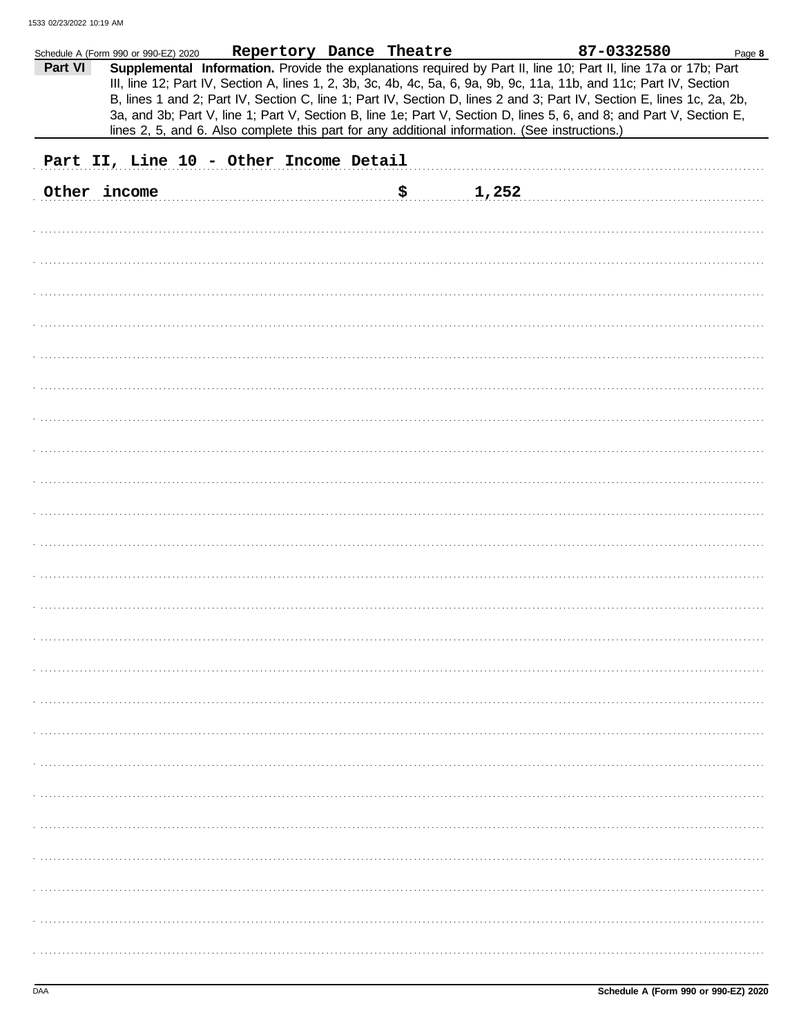|         | Schedule A (Form 990 or 990-EZ) 2020   |  | Repertory Dance Theatre   |                                                                                                | 87-0332580                                                                                                             | Page 8 |
|---------|----------------------------------------|--|---------------------------|------------------------------------------------------------------------------------------------|------------------------------------------------------------------------------------------------------------------------|--------|
| Part VI |                                        |  |                           |                                                                                                | Supplemental Information. Provide the explanations required by Part II, line 10; Part II, line 17a or 17b; Part        |        |
|         |                                        |  |                           |                                                                                                | III, line 12; Part IV, Section A, lines 1, 2, 3b, 3c, 4b, 4c, 5a, 6, 9a, 9b, 9c, 11a, 11b, and 11c; Part IV, Section   |        |
|         |                                        |  |                           |                                                                                                | B, lines 1 and 2; Part IV, Section C, line 1; Part IV, Section D, lines 2 and 3; Part IV, Section E, lines 1c, 2a, 2b, |        |
|         |                                        |  |                           |                                                                                                | 3a, and 3b; Part V, line 1; Part V, Section B, line 1e; Part V, Section D, lines 5, 6, and 8; and Part V, Section E,   |        |
|         |                                        |  |                           | lines 2, 5, and 6. Also complete this part for any additional information. (See instructions.) |                                                                                                                        |        |
|         |                                        |  |                           |                                                                                                |                                                                                                                        |        |
|         | Part II, Line 10 - Other Income Detail |  |                           |                                                                                                |                                                                                                                        |        |
|         |                                        |  |                           |                                                                                                |                                                                                                                        |        |
|         | Other income                           |  | $\boldsymbol{\mathsf{S}}$ | 1,252                                                                                          |                                                                                                                        |        |
|         |                                        |  |                           |                                                                                                |                                                                                                                        |        |
|         |                                        |  |                           |                                                                                                |                                                                                                                        |        |
|         |                                        |  |                           |                                                                                                |                                                                                                                        |        |
|         |                                        |  |                           |                                                                                                |                                                                                                                        |        |
|         |                                        |  |                           |                                                                                                |                                                                                                                        |        |
|         |                                        |  |                           |                                                                                                |                                                                                                                        |        |
|         |                                        |  |                           |                                                                                                |                                                                                                                        |        |
|         |                                        |  |                           |                                                                                                |                                                                                                                        |        |
|         |                                        |  |                           |                                                                                                |                                                                                                                        |        |
|         |                                        |  |                           |                                                                                                |                                                                                                                        |        |
|         |                                        |  |                           |                                                                                                |                                                                                                                        |        |
|         |                                        |  |                           |                                                                                                |                                                                                                                        |        |
|         |                                        |  |                           |                                                                                                |                                                                                                                        |        |
|         |                                        |  |                           |                                                                                                |                                                                                                                        |        |
|         |                                        |  |                           |                                                                                                |                                                                                                                        |        |
|         |                                        |  |                           |                                                                                                |                                                                                                                        |        |
|         |                                        |  |                           |                                                                                                |                                                                                                                        |        |
|         |                                        |  |                           |                                                                                                |                                                                                                                        |        |
|         |                                        |  |                           |                                                                                                |                                                                                                                        |        |
|         |                                        |  |                           |                                                                                                |                                                                                                                        |        |
|         |                                        |  |                           |                                                                                                |                                                                                                                        |        |
|         |                                        |  |                           |                                                                                                |                                                                                                                        |        |
|         |                                        |  |                           |                                                                                                |                                                                                                                        |        |
|         |                                        |  |                           |                                                                                                |                                                                                                                        |        |
|         |                                        |  |                           |                                                                                                |                                                                                                                        |        |
|         |                                        |  |                           |                                                                                                |                                                                                                                        |        |
|         |                                        |  |                           |                                                                                                |                                                                                                                        |        |
|         |                                        |  |                           |                                                                                                |                                                                                                                        |        |
|         |                                        |  |                           |                                                                                                |                                                                                                                        |        |
|         |                                        |  |                           |                                                                                                |                                                                                                                        |        |
|         |                                        |  |                           |                                                                                                |                                                                                                                        |        |
|         |                                        |  |                           |                                                                                                |                                                                                                                        |        |
|         |                                        |  |                           |                                                                                                |                                                                                                                        |        |
|         |                                        |  |                           |                                                                                                |                                                                                                                        |        |
|         |                                        |  |                           |                                                                                                |                                                                                                                        |        |
|         |                                        |  |                           |                                                                                                |                                                                                                                        |        |
|         |                                        |  |                           |                                                                                                |                                                                                                                        |        |
|         |                                        |  |                           |                                                                                                |                                                                                                                        |        |
|         |                                        |  |                           |                                                                                                |                                                                                                                        |        |
|         |                                        |  |                           |                                                                                                |                                                                                                                        |        |
|         |                                        |  |                           |                                                                                                |                                                                                                                        |        |
|         |                                        |  |                           |                                                                                                |                                                                                                                        |        |
|         |                                        |  |                           |                                                                                                |                                                                                                                        |        |
|         |                                        |  |                           |                                                                                                |                                                                                                                        |        |
|         |                                        |  |                           |                                                                                                |                                                                                                                        |        |
|         |                                        |  |                           |                                                                                                |                                                                                                                        |        |
|         |                                        |  |                           |                                                                                                |                                                                                                                        |        |
|         |                                        |  |                           |                                                                                                |                                                                                                                        |        |
|         |                                        |  |                           |                                                                                                |                                                                                                                        |        |
|         |                                        |  |                           |                                                                                                |                                                                                                                        |        |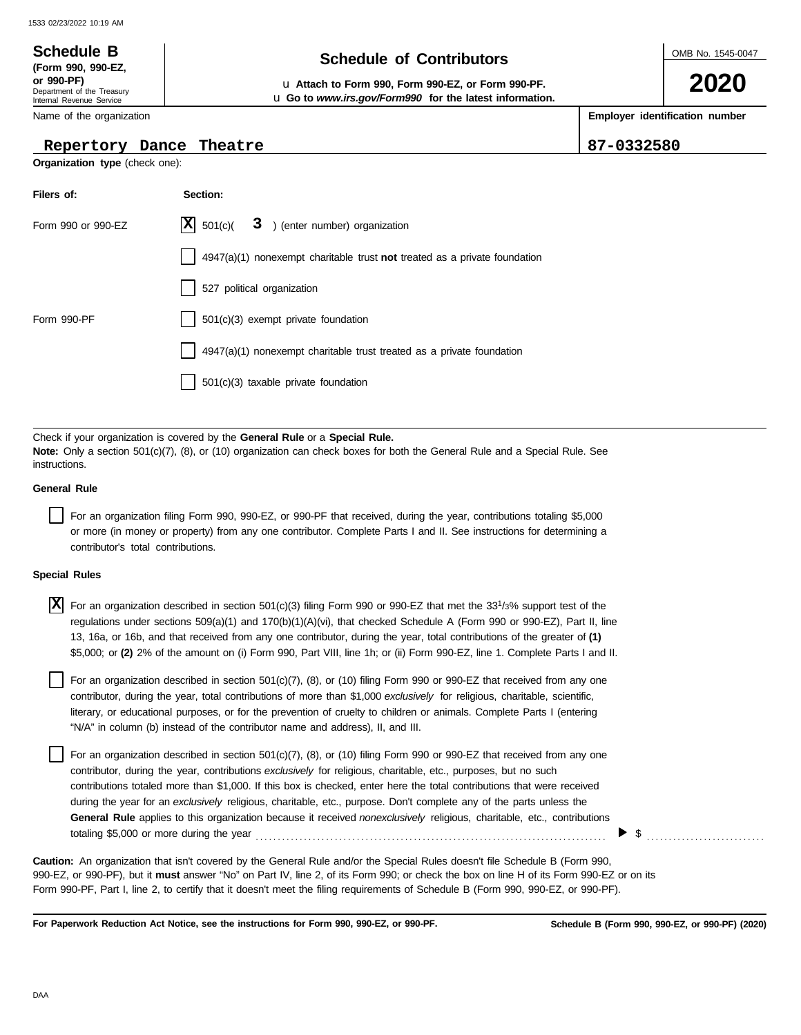### OMB No. 1545-0047 Department of the Treasury Internal Revenue Service Name of the organization **2020 Schedule of Contributors Schedule B (Form 990, 990-EZ, or 990-PF)** u **Attach to Form 990, Form 990-EZ, or Form 990-PF. Employer identification number** u **Go to** *www.irs.gov/Form990* **for the latest information.**

# **Repertory Dance Theatre 87-0332580**

**Organization type** (check one):

| Filers of:         | Section:                                                                    |
|--------------------|-----------------------------------------------------------------------------|
| Form 990 or 990-EZ | $ \mathbf{X} $ 501(c)( 3) (enter number) organization                       |
|                    | $4947(a)(1)$ nonexempt charitable trust not treated as a private foundation |
|                    | 527 political organization                                                  |
| Form 990-PF        | 501(c)(3) exempt private foundation                                         |
|                    | 4947(a)(1) nonexempt charitable trust treated as a private foundation       |
|                    | 501(c)(3) taxable private foundation                                        |

Check if your organization is covered by the **General Rule** or a **Special Rule. Note:** Only a section 501(c)(7), (8), or (10) organization can check boxes for both the General Rule and a Special Rule. See instructions.

## **General Rule**

For an organization filing Form 990, 990-EZ, or 990-PF that received, during the year, contributions totaling \$5,000 or more (in money or property) from any one contributor. Complete Parts I and II. See instructions for determining a contributor's total contributions.

## **Special Rules**

X For an organization described in section 501(c)(3) filing Form 990 or 990-EZ that met the 33<sup>1</sup>/3% support test of the regulations under sections 509(a)(1) and 170(b)(1)(A)(vi), that checked Schedule A (Form 990 or 990-EZ), Part II, line 13, 16a, or 16b, and that received from any one contributor, during the year, total contributions of the greater of **(1)** \$5,000; or **(2)** 2% of the amount on (i) Form 990, Part VIII, line 1h; or (ii) Form 990-EZ, line 1. Complete Parts I and II.

literary, or educational purposes, or for the prevention of cruelty to children or animals. Complete Parts I (entering For an organization described in section 501(c)(7), (8), or (10) filing Form 990 or 990-EZ that received from any one contributor, during the year, total contributions of more than \$1,000 *exclusively* for religious, charitable, scientific, "N/A" in column (b) instead of the contributor name and address), II, and III.

For an organization described in section 501(c)(7), (8), or (10) filing Form 990 or 990-EZ that received from any one contributor, during the year, contributions *exclusively* for religious, charitable, etc., purposes, but no such contributions totaled more than \$1,000. If this box is checked, enter here the total contributions that were received during the year for an *exclusively* religious, charitable, etc., purpose. Don't complete any of the parts unless the **General Rule** applies to this organization because it received *nonexclusively* religious, charitable, etc., contributions totaling \$5,000 or more during the year . . . . . . . . . . . . . . . . . . . . . . . . . . . . . . . . . . . . . . . . . . . . . . . . . . . . . . . . . . . . . . . . . . . . . . . . . . . . . . . .

990-EZ, or 990-PF), but it **must** answer "No" on Part IV, line 2, of its Form 990; or check the box on line H of its Form 990-EZ or on its Form 990-PF, Part I, line 2, to certify that it doesn't meet the filing requirements of Schedule B (Form 990, 990-EZ, or 990-PF). **Caution:** An organization that isn't covered by the General Rule and/or the Special Rules doesn't file Schedule B (Form 990,

**For Paperwork Reduction Act Notice, see the instructions for Form 990, 990-EZ, or 990-PF.**

\$ . . . . . . . . . . . . . . . . . . . . . . . . . . .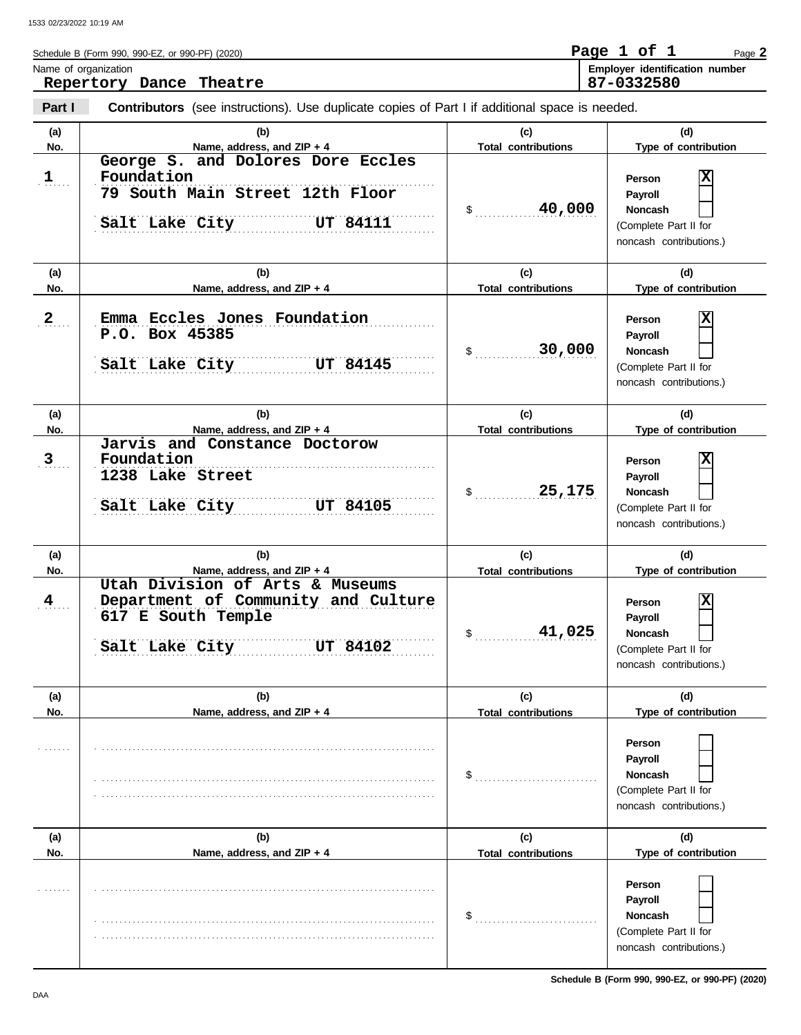Schedule B (Form 990, 990-EZ, or 990-PF) (2020) Name of organization **Employer identification number Employer identification number Repertory Dance Theatre Page 1 of 1 87-0332580**

**Part I Contributors** (see instructions). Use duplicate copies of Part I if additional space is needed.

| (a)<br>No.     | (b)                                                                                                                                            | (c)<br><b>Total contributions</b> | (d)                                                                                                                  |
|----------------|------------------------------------------------------------------------------------------------------------------------------------------------|-----------------------------------|----------------------------------------------------------------------------------------------------------------------|
| $\mathbf{1}$   | Name, address, and ZIP + 4<br>George S. and Dolores Dore Eccles<br>Foundation<br>79 South Main Street 12th Floor<br>UT 84111<br>Salt Lake City | 40,000<br>$\frac{1}{2}$           | Type of contribution<br>X<br>Person<br>Payroll<br><b>Noncash</b><br>(Complete Part II for<br>noncash contributions.) |
| (a)<br>No.     | (b)<br>Name, address, and ZIP + 4                                                                                                              | (c)<br><b>Total contributions</b> | (d)<br>Type of contribution                                                                                          |
| $\overline{2}$ | Emma Eccles Jones Foundation<br>P.O. Box 45385<br>Salt Lake City UT 84145                                                                      | 30,000<br>\$                      | X<br>Person<br>Payroll<br><b>Noncash</b><br>(Complete Part II for<br>noncash contributions.)                         |
| (a)<br>No.     | (b)<br>Name, address, and ZIP + 4                                                                                                              | (c)<br><b>Total contributions</b> | (d)<br>Type of contribution                                                                                          |
| $\overline{3}$ | Jarvis and Constance Doctorow<br>Foundation<br>1238 Lake Street<br>UT 84105<br>Salt Lake City                                                  | 25,175<br>\$                      | X<br>Person<br>Payroll<br><b>Noncash</b><br>(Complete Part II for<br>noncash contributions.)                         |
| (a)<br>No.     | (b)<br>Name, address, and ZIP + 4                                                                                                              | (c)<br><b>Total contributions</b> | (d)<br>Type of contribution                                                                                          |
| 4              | Utah Division of Arts & Museums<br>Department of Community and Culture<br>617 E South Temple<br>Salt Lake City UT 84102                        | 41,025<br>\$                      | $\mathbf x$<br>Person<br>Payroll<br><b>Noncash</b><br>(Complete Part II for<br>noncash contributions.)               |
| (a)<br>No.     | (b)<br>Name, address, and ZIP + 4                                                                                                              | (c)<br><b>Total contributions</b> | (d)<br>Type of contribution                                                                                          |
|                |                                                                                                                                                | \$                                | Person<br>Payroll<br>Noncash<br>(Complete Part II for<br>noncash contributions.)                                     |
| (a)<br>No.     | (b)<br>Name, address, and ZIP + 4                                                                                                              | (c)<br><b>Total contributions</b> | (d)<br>Type of contribution                                                                                          |
|                |                                                                                                                                                | \$                                | Person<br>Payroll<br>Noncash<br>(Complete Part II for<br>noncash contributions.)                                     |

Page **2**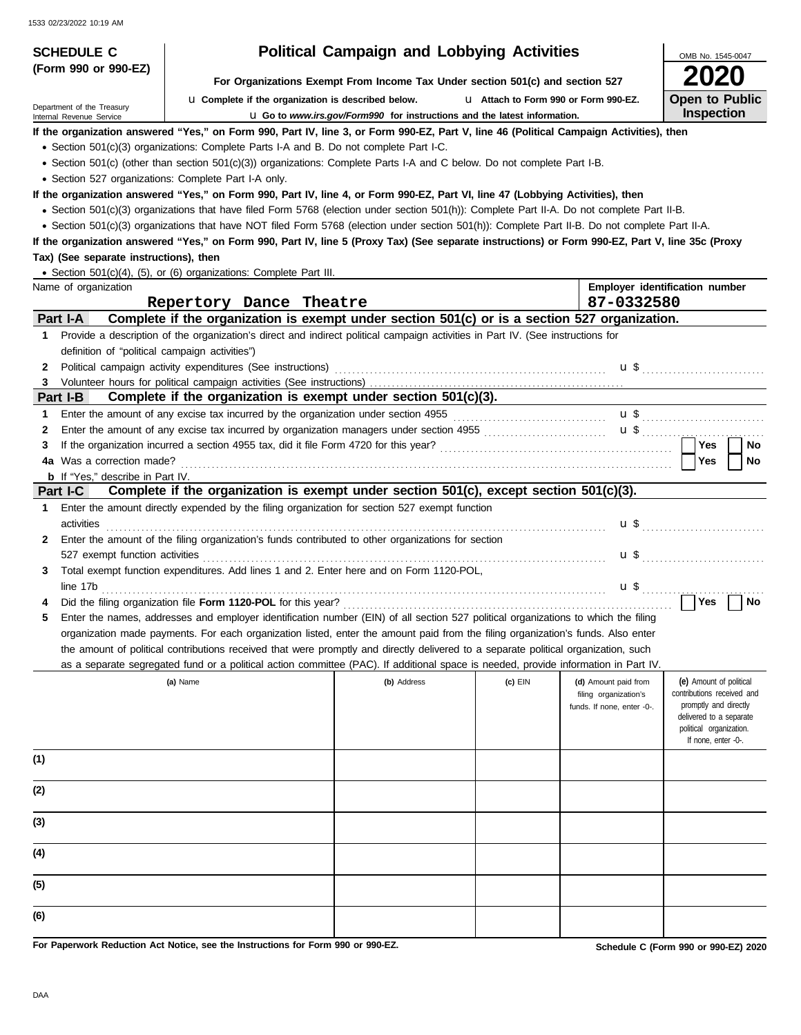| <b>Political Campaign and Lobbying Activities</b><br><b>SCHEDULE C</b> |                                                                                                                                                                                                                                                                                                                                                                                                                                                                                                 |                                                                                 |                                       |                                                                             |                                                                                                                                                             |  |  |  |  |  |
|------------------------------------------------------------------------|-------------------------------------------------------------------------------------------------------------------------------------------------------------------------------------------------------------------------------------------------------------------------------------------------------------------------------------------------------------------------------------------------------------------------------------------------------------------------------------------------|---------------------------------------------------------------------------------|---------------------------------------|-----------------------------------------------------------------------------|-------------------------------------------------------------------------------------------------------------------------------------------------------------|--|--|--|--|--|
| (Form 990 or 990-EZ)                                                   |                                                                                                                                                                                                                                                                                                                                                                                                                                                                                                 | For Organizations Exempt From Income Tax Under section 501(c) and section 527   |                                       |                                                                             |                                                                                                                                                             |  |  |  |  |  |
|                                                                        | <b>u</b> Complete if the organization is described below.                                                                                                                                                                                                                                                                                                                                                                                                                                       |                                                                                 | L1 Attach to Form 990 or Form 990-EZ. |                                                                             | <b>Open to Public</b>                                                                                                                                       |  |  |  |  |  |
| Department of the Treasury<br>Internal Revenue Service                 |                                                                                                                                                                                                                                                                                                                                                                                                                                                                                                 | <b>u</b> Go to www.irs.gov/Form990 for instructions and the latest information. |                                       |                                                                             | <b>Inspection</b>                                                                                                                                           |  |  |  |  |  |
| • Section 527 organizations: Complete Part I-A only.                   | If the organization answered "Yes," on Form 990, Part IV, line 3, or Form 990-EZ, Part V, line 46 (Political Campaign Activities), then<br>• Section 501(c)(3) organizations: Complete Parts I-A and B. Do not complete Part I-C.<br>• Section 501(c) (other than section 501(c)(3)) organizations: Complete Parts I-A and C below. Do not complete Part I-B.<br>If the organization answered "Yes," on Form 990, Part IV, line 4, or Form 990-EZ, Part VI, line 47 (Lobbying Activities), then |                                                                                 |                                       |                                                                             |                                                                                                                                                             |  |  |  |  |  |
|                                                                        | • Section 501(c)(3) organizations that have filed Form 5768 (election under section 501(h)): Complete Part II-A. Do not complete Part II-B.                                                                                                                                                                                                                                                                                                                                                     |                                                                                 |                                       |                                                                             |                                                                                                                                                             |  |  |  |  |  |
|                                                                        | • Section 501(c)(3) organizations that have NOT filed Form 5768 (election under section 501(h)): Complete Part II-B. Do not complete Part II-A.                                                                                                                                                                                                                                                                                                                                                 |                                                                                 |                                       |                                                                             |                                                                                                                                                             |  |  |  |  |  |
|                                                                        | If the organization answered "Yes," on Form 990, Part IV, line 5 (Proxy Tax) (See separate instructions) or Form 990-EZ, Part V, line 35c (Proxy                                                                                                                                                                                                                                                                                                                                                |                                                                                 |                                       |                                                                             |                                                                                                                                                             |  |  |  |  |  |
| Tax) (See separate instructions), then                                 | • Section 501(c)(4), (5), or (6) organizations: Complete Part III.                                                                                                                                                                                                                                                                                                                                                                                                                              |                                                                                 |                                       |                                                                             |                                                                                                                                                             |  |  |  |  |  |
| Name of organization                                                   |                                                                                                                                                                                                                                                                                                                                                                                                                                                                                                 |                                                                                 |                                       |                                                                             | Employer identification number                                                                                                                              |  |  |  |  |  |
| Repertory Dance Theatre                                                | 87-0332580                                                                                                                                                                                                                                                                                                                                                                                                                                                                                      |                                                                                 |                                       |                                                                             |                                                                                                                                                             |  |  |  |  |  |
| Part I-A                                                               | Complete if the organization is exempt under section 501(c) or is a section 527 organization.                                                                                                                                                                                                                                                                                                                                                                                                   |                                                                                 |                                       |                                                                             |                                                                                                                                                             |  |  |  |  |  |
| 1                                                                      | Provide a description of the organization's direct and indirect political campaign activities in Part IV. (See instructions for                                                                                                                                                                                                                                                                                                                                                                 |                                                                                 |                                       |                                                                             |                                                                                                                                                             |  |  |  |  |  |
| definition of "political campaign activities")                         |                                                                                                                                                                                                                                                                                                                                                                                                                                                                                                 |                                                                                 |                                       |                                                                             |                                                                                                                                                             |  |  |  |  |  |
| 2                                                                      | Political campaign activity expenditures (See instructions)                                                                                                                                                                                                                                                                                                                                                                                                                                     |                                                                                 |                                       |                                                                             |                                                                                                                                                             |  |  |  |  |  |
| 3                                                                      |                                                                                                                                                                                                                                                                                                                                                                                                                                                                                                 |                                                                                 |                                       |                                                                             |                                                                                                                                                             |  |  |  |  |  |
| Part I-B                                                               | Complete if the organization is exempt under section $501(c)(3)$ .                                                                                                                                                                                                                                                                                                                                                                                                                              |                                                                                 |                                       |                                                                             |                                                                                                                                                             |  |  |  |  |  |
| 1                                                                      | Enter the amount of any excise tax incurred by the organization under section 4955 [[[[[[[[[[[[[[[[[[[[[[[[[[[<br>$\mathbf{u}$ \$<br>Enter the amount of any excise tax incurred by organization managers under section 4955                                                                                                                                                                                                                                                                    |                                                                                 |                                       |                                                                             |                                                                                                                                                             |  |  |  |  |  |
| 2                                                                      |                                                                                                                                                                                                                                                                                                                                                                                                                                                                                                 |                                                                                 |                                       | $\mathbf{u}$ \$                                                             |                                                                                                                                                             |  |  |  |  |  |
| 3                                                                      | If the organization incurred a section 4955 tax, did it file Form 4720 for this year?                                                                                                                                                                                                                                                                                                                                                                                                           |                                                                                 |                                       |                                                                             | Yes<br>No                                                                                                                                                   |  |  |  |  |  |
| 4a Was a correction made?<br><b>b</b> If "Yes," describe in Part IV.   |                                                                                                                                                                                                                                                                                                                                                                                                                                                                                                 |                                                                                 |                                       |                                                                             | Yes<br>No                                                                                                                                                   |  |  |  |  |  |
| Part I-C                                                               | Complete if the organization is exempt under section 501(c), except section 501(c)(3).                                                                                                                                                                                                                                                                                                                                                                                                          |                                                                                 |                                       |                                                                             |                                                                                                                                                             |  |  |  |  |  |
| 1.                                                                     | Enter the amount directly expended by the filing organization for section 527 exempt function                                                                                                                                                                                                                                                                                                                                                                                                   |                                                                                 |                                       |                                                                             |                                                                                                                                                             |  |  |  |  |  |
| activities                                                             |                                                                                                                                                                                                                                                                                                                                                                                                                                                                                                 |                                                                                 |                                       |                                                                             | $\mathbf{u}$ \$ $\ldots$ $\ldots$ $\ldots$ $\ldots$ $\ldots$ $\ldots$ $\ldots$                                                                              |  |  |  |  |  |
| 2                                                                      | Enter the amount of the filing organization's funds contributed to other organizations for section                                                                                                                                                                                                                                                                                                                                                                                              |                                                                                 |                                       |                                                                             |                                                                                                                                                             |  |  |  |  |  |
| 527 exempt function activities                                         |                                                                                                                                                                                                                                                                                                                                                                                                                                                                                                 |                                                                                 |                                       |                                                                             | <b>u</b> \$ <u></u>                                                                                                                                         |  |  |  |  |  |
| line 17b                                                               | Total exempt function expenditures. Add lines 1 and 2. Enter here and on Form 1120-POL,                                                                                                                                                                                                                                                                                                                                                                                                         |                                                                                 |                                       | $\mathbf{u} \mathbf{\$}$                                                    |                                                                                                                                                             |  |  |  |  |  |
|                                                                        |                                                                                                                                                                                                                                                                                                                                                                                                                                                                                                 |                                                                                 |                                       |                                                                             | Yes<br>No.                                                                                                                                                  |  |  |  |  |  |
|                                                                        | Enter the names, addresses and employer identification number (EIN) of all section 527 political organizations to which the filing                                                                                                                                                                                                                                                                                                                                                              |                                                                                 |                                       |                                                                             |                                                                                                                                                             |  |  |  |  |  |
|                                                                        | organization made payments. For each organization listed, enter the amount paid from the filing organization's funds. Also enter                                                                                                                                                                                                                                                                                                                                                                |                                                                                 |                                       |                                                                             |                                                                                                                                                             |  |  |  |  |  |
|                                                                        | the amount of political contributions received that were promptly and directly delivered to a separate political organization, such                                                                                                                                                                                                                                                                                                                                                             |                                                                                 |                                       |                                                                             |                                                                                                                                                             |  |  |  |  |  |
|                                                                        | as a separate segregated fund or a political action committee (PAC). If additional space is needed, provide information in Part IV.                                                                                                                                                                                                                                                                                                                                                             |                                                                                 |                                       |                                                                             |                                                                                                                                                             |  |  |  |  |  |
|                                                                        | (a) Name                                                                                                                                                                                                                                                                                                                                                                                                                                                                                        | (b) Address                                                                     | (c) EIN                               | (d) Amount paid from<br>filing organization's<br>funds. If none, enter -0-. | (e) Amount of political<br>contributions received and<br>promptly and directly<br>delivered to a separate<br>political organization.<br>If none, enter -0-. |  |  |  |  |  |
| (1)                                                                    |                                                                                                                                                                                                                                                                                                                                                                                                                                                                                                 |                                                                                 |                                       |                                                                             |                                                                                                                                                             |  |  |  |  |  |
| (2)                                                                    |                                                                                                                                                                                                                                                                                                                                                                                                                                                                                                 |                                                                                 |                                       |                                                                             |                                                                                                                                                             |  |  |  |  |  |
| (3)                                                                    |                                                                                                                                                                                                                                                                                                                                                                                                                                                                                                 |                                                                                 |                                       |                                                                             |                                                                                                                                                             |  |  |  |  |  |
| (4)                                                                    |                                                                                                                                                                                                                                                                                                                                                                                                                                                                                                 |                                                                                 |                                       |                                                                             |                                                                                                                                                             |  |  |  |  |  |
| (5)                                                                    |                                                                                                                                                                                                                                                                                                                                                                                                                                                                                                 |                                                                                 |                                       |                                                                             |                                                                                                                                                             |  |  |  |  |  |
| (6)                                                                    |                                                                                                                                                                                                                                                                                                                                                                                                                                                                                                 |                                                                                 |                                       |                                                                             |                                                                                                                                                             |  |  |  |  |  |

**For Paperwork Reduction Act Notice, see the Instructions for Form 990 or 990-EZ.**

**Schedule C (Form 990 or 990-EZ) 2020**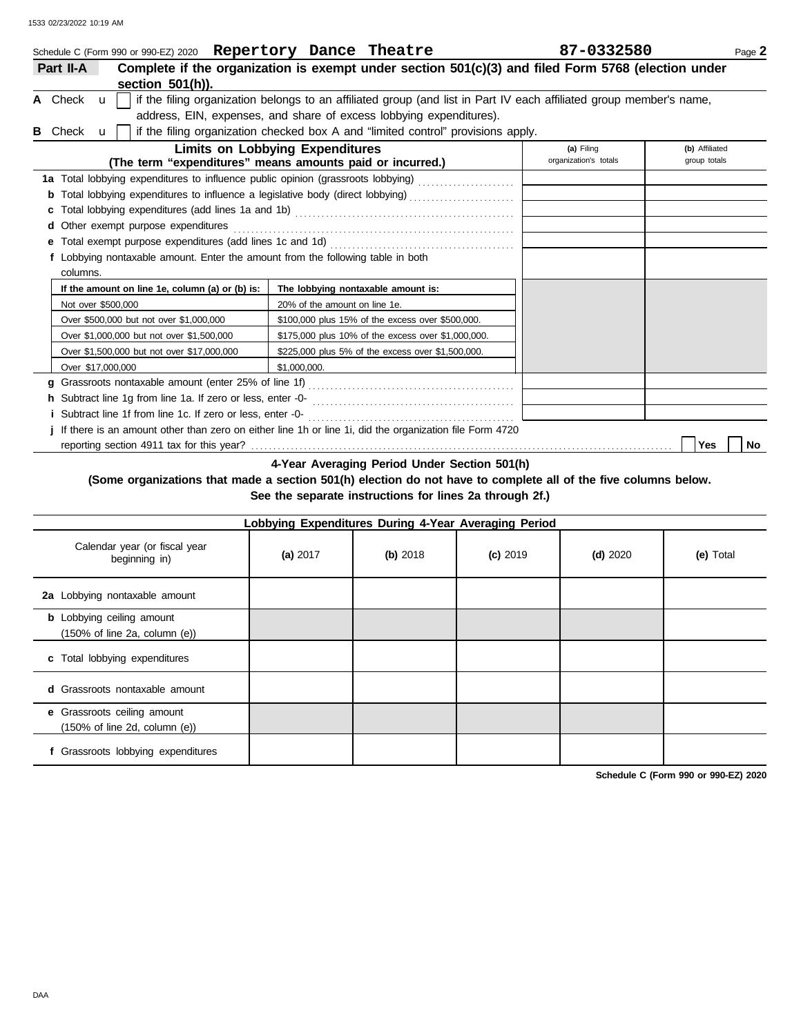|   |                                         | Schedule C (Form 990 or 990-EZ) 2020  Repertory  Dance  Theatre                 |                               |                                                                                                               | 87-0332580                                                                                                          | Page 2         |
|---|-----------------------------------------|---------------------------------------------------------------------------------|-------------------------------|---------------------------------------------------------------------------------------------------------------|---------------------------------------------------------------------------------------------------------------------|----------------|
|   | Part II-A                               |                                                                                 |                               |                                                                                                               | Complete if the organization is exempt under section 501(c)(3) and filed Form 5768 (election under                  |                |
|   |                                         | section $501(h)$ ).                                                             |                               |                                                                                                               |                                                                                                                     |                |
|   | A Check u                               |                                                                                 |                               |                                                                                                               | if the filing organization belongs to an affiliated group (and list in Part IV each affiliated group member's name, |                |
|   |                                         |                                                                                 |                               | address, EIN, expenses, and share of excess lobbying expenditures).                                           |                                                                                                                     |                |
| в | Check<br>$\mathbf{u}$                   |                                                                                 |                               | if the filing organization checked box A and "limited control" provisions apply.                              |                                                                                                                     |                |
|   |                                         | <b>Limits on Lobbying Expenditures</b>                                          |                               |                                                                                                               | (a) Filing                                                                                                          | (b) Affiliated |
|   |                                         | (The term "expenditures" means amounts paid or incurred.)                       |                               |                                                                                                               | organization's totals                                                                                               | group totals   |
|   |                                         |                                                                                 |                               | 1a Total lobbying expenditures to influence public opinion (grassroots lobbying) [[[[[[[[[[[[[[[[[[[[[[[[[[[[ |                                                                                                                     |                |
|   |                                         |                                                                                 |                               |                                                                                                               |                                                                                                                     |                |
|   |                                         |                                                                                 |                               |                                                                                                               |                                                                                                                     |                |
|   |                                         | Other exempt purpose expenditures                                               |                               |                                                                                                               |                                                                                                                     |                |
|   |                                         |                                                                                 |                               |                                                                                                               |                                                                                                                     |                |
|   |                                         | f Lobbying nontaxable amount. Enter the amount from the following table in both |                               |                                                                                                               |                                                                                                                     |                |
|   | columns.                                |                                                                                 |                               |                                                                                                               |                                                                                                                     |                |
|   |                                         | If the amount on line 1e, column (a) or (b) is:                                 |                               | The lobbying nontaxable amount is:                                                                            |                                                                                                                     |                |
|   | Not over \$500,000                      |                                                                                 | 20% of the amount on line 1e. |                                                                                                               |                                                                                                                     |                |
|   | Over \$500,000 but not over \$1,000,000 |                                                                                 |                               | \$100,000 plus 15% of the excess over \$500,000.                                                              |                                                                                                                     |                |
|   |                                         | Over \$1,000,000 but not over \$1,500,000                                       |                               | \$175,000 plus 10% of the excess over \$1,000,000.                                                            |                                                                                                                     |                |
|   |                                         | Over \$1,500,000 but not over \$17,000,000                                      |                               | \$225,000 plus 5% of the excess over \$1,500,000.                                                             |                                                                                                                     |                |
|   | Over \$17,000,000                       |                                                                                 | \$1,000,000.                  |                                                                                                               |                                                                                                                     |                |
|   |                                         |                                                                                 |                               |                                                                                                               |                                                                                                                     |                |
|   |                                         | h Subtract line 1g from line 1a. If zero or less, enter -0-                     |                               |                                                                                                               |                                                                                                                     |                |
|   |                                         | <i>i</i> Subtract line 1f from line 1c. If zero or less, enter -0-              |                               |                                                                                                               |                                                                                                                     |                |
|   |                                         |                                                                                 |                               | If there is an amount other than zero on either line 1h or line 1i, did the organization file Form 4720       |                                                                                                                     |                |

reporting section 4911 tax for this year? . . . . . . . . . . . . . . . . . . . . . . . . . . . . . . . . . . . . . . . . . . . . . . . . . . . . . . . . . . . . . . . . . . . . . . . . . . . . . . . . . . . . . . . . . . . . . . . . **Yes No**

**4-Year Averaging Period Under Section 501(h)**

**(Some organizations that made a section 501(h) election do not have to complete all of the five columns below. See the separate instructions for lines 2a through 2f.)**

| Lobbying Expenditures During 4-Year Averaging Period                                   |            |          |            |            |           |  |  |  |  |  |  |
|----------------------------------------------------------------------------------------|------------|----------|------------|------------|-----------|--|--|--|--|--|--|
| Calendar year (or fiscal year<br>beginning in)                                         | (a) $2017$ | (b) 2018 | $(c)$ 2019 | $(d)$ 2020 | (e) Total |  |  |  |  |  |  |
| 2a Lobbying nontaxable amount                                                          |            |          |            |            |           |  |  |  |  |  |  |
| <b>b</b> Lobbying ceiling amount<br>$(150\% \text{ of line } 2a, \text{ column } (e))$ |            |          |            |            |           |  |  |  |  |  |  |
| c Total lobbying expenditures                                                          |            |          |            |            |           |  |  |  |  |  |  |
| <b>d</b> Grassroots nontaxable amount                                                  |            |          |            |            |           |  |  |  |  |  |  |
| e Grassroots ceiling amount<br>$(150\% \text{ of line } 2d, \text{ column } (e))$      |            |          |            |            |           |  |  |  |  |  |  |
| f Grassroots lobbying expenditures                                                     |            |          |            |            |           |  |  |  |  |  |  |

**Schedule C (Form 990 or 990-EZ) 2020**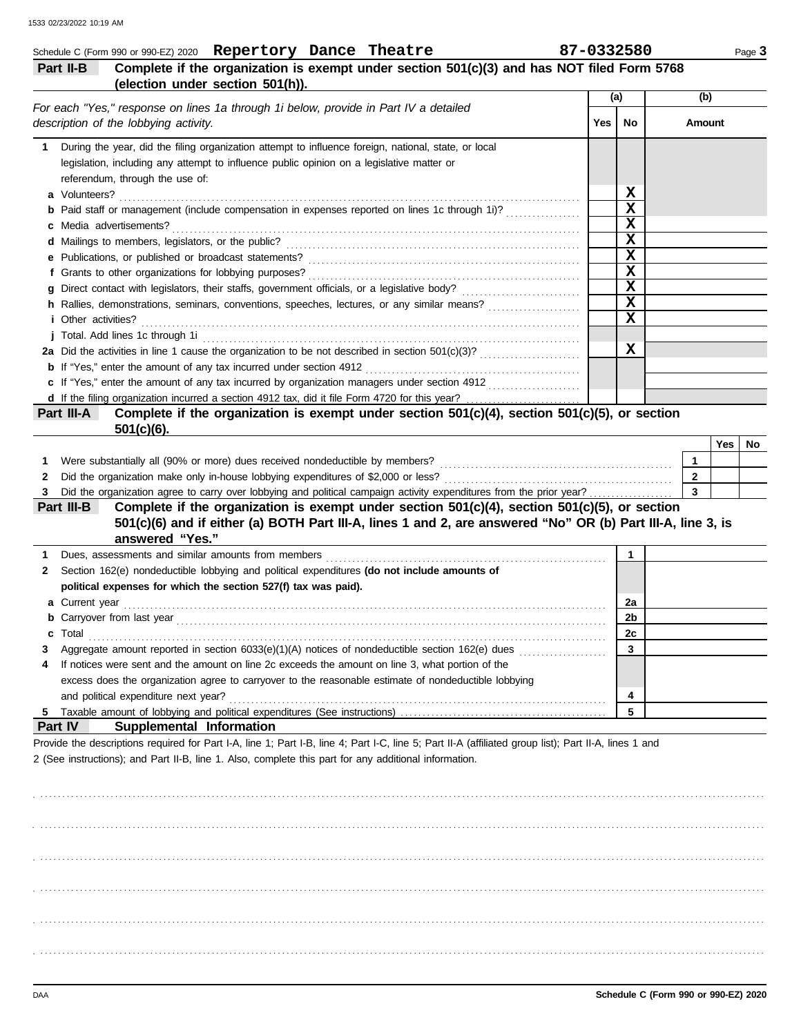| Schedule C (Form 990 or 990-EZ) 2020  Repertory  Dance  Theatre                                                                                                                                                                    |     | 87-0332580              |                         | Page 3 |
|------------------------------------------------------------------------------------------------------------------------------------------------------------------------------------------------------------------------------------|-----|-------------------------|-------------------------|--------|
| Complete if the organization is exempt under section 501(c)(3) and has NOT filed Form 5768<br>Part II-B<br>(election under section 501(h)).                                                                                        |     |                         |                         |        |
| For each "Yes," response on lines 1a through 1i below, provide in Part IV a detailed                                                                                                                                               | (a) |                         | (b)                     |        |
| description of the lobbying activity.                                                                                                                                                                                              | Yes | No                      | Amount                  |        |
| 1 During the year, did the filing organization attempt to influence foreign, national, state, or local                                                                                                                             |     |                         |                         |        |
| legislation, including any attempt to influence public opinion on a legislative matter or                                                                                                                                          |     |                         |                         |        |
| referendum, through the use of:                                                                                                                                                                                                    |     |                         |                         |        |
| a Volunteers?                                                                                                                                                                                                                      |     | х<br>$\mathbf x$        |                         |        |
| <b>b</b> Paid staff or management (include compensation in expenses reported on lines 1c through 1i)?<br>c Media advertisements?                                                                                                   |     | $\overline{\mathbf{x}}$ |                         |        |
|                                                                                                                                                                                                                                    |     | $\mathbf x$             |                         |        |
|                                                                                                                                                                                                                                    |     | $\overline{\mathbf{x}}$ |                         |        |
| f Grants to other organizations for lobbying purposes?                                                                                                                                                                             |     | $\overline{\mathbf{x}}$ |                         |        |
|                                                                                                                                                                                                                                    |     | $\overline{\mathbf{x}}$ |                         |        |
| h Rallies, demonstrations, seminars, conventions, speeches, lectures, or any similar means?                                                                                                                                        |     | $\overline{\mathbf{x}}$ |                         |        |
| <i>i</i> Other activities?                                                                                                                                                                                                         |     | $\overline{\mathbf{x}}$ |                         |        |
| j Total. Add lines 1c through 1i                                                                                                                                                                                                   |     |                         |                         |        |
|                                                                                                                                                                                                                                    |     | $\mathbf x$             |                         |        |
|                                                                                                                                                                                                                                    |     |                         |                         |        |
| c If "Yes," enter the amount of any tax incurred by organization managers under section 4912                                                                                                                                       |     |                         |                         |        |
|                                                                                                                                                                                                                                    |     |                         |                         |        |
| Complete if the organization is exempt under section 501(c)(4), section 501(c)(5), or section<br>Part III-A<br>$501(c)(6)$ .                                                                                                       |     |                         |                         |        |
|                                                                                                                                                                                                                                    |     |                         | Yes                     | No     |
| Were substantially all (90% or more) dues received nondeductible by members?<br>1                                                                                                                                                  |     |                         | $\mathbf 1$             |        |
| Did the organization make only in-house lobbying expenditures of \$2,000 or less?<br>2                                                                                                                                             |     |                         | $\mathbf{2}$            |        |
| Did the organization agree to carry over lobbying and political campaign activity expenditures from the prior year?<br>Complete if the organization is exempt under section 501(c)(4), section 501(c)(5), or section<br>Part III-B |     |                         | $\overline{\mathbf{3}}$ |        |
| 501(c)(6) and if either (a) BOTH Part III-A, lines 1 and 2, are answered "No" OR (b) Part III-A, line 3, is<br>answered "Yes."                                                                                                     |     |                         |                         |        |
| Dues, assessments and similar amounts from members<br>1                                                                                                                                                                            |     | 1                       |                         |        |
| Section 162(e) nondeductible lobbying and political expenditures (do not include amounts of<br>2                                                                                                                                   |     |                         |                         |        |
| political expenses for which the section 527(f) tax was paid).                                                                                                                                                                     |     |                         |                         |        |
| a Current year                                                                                                                                                                                                                     |     | 2a                      |                         |        |
| <b>b</b> Carryover from last year                                                                                                                                                                                                  |     | 2b                      |                         |        |
| Total<br>С                                                                                                                                                                                                                         |     | 2c                      |                         |        |
| Aggregate amount reported in section 6033(e)(1)(A) notices of nondeductible section 162(e) dues<br>З                                                                                                                               |     | 3                       |                         |        |
| If notices were sent and the amount on line 2c exceeds the amount on line 3, what portion of the<br>4                                                                                                                              |     |                         |                         |        |
| excess does the organization agree to carryover to the reasonable estimate of nondeductible lobbying                                                                                                                               |     |                         |                         |        |
| and political expenditure next year?                                                                                                                                                                                               |     | 4                       |                         |        |
| 5<br>Part IV<br>Supplemental Information                                                                                                                                                                                           |     | 5                       |                         |        |
| Provide the descriptions required for Part I-A, line 1; Part I-B, line 4; Part I-C, line 5; Part II-A (affiliated group list); Part II-A, lines 1 and                                                                              |     |                         |                         |        |
| 2 (See instructions); and Part II-B, line 1. Also, complete this part for any additional information.                                                                                                                              |     |                         |                         |        |
|                                                                                                                                                                                                                                    |     |                         |                         |        |
|                                                                                                                                                                                                                                    |     |                         |                         |        |
|                                                                                                                                                                                                                                    |     |                         |                         |        |
|                                                                                                                                                                                                                                    |     |                         |                         |        |
|                                                                                                                                                                                                                                    |     |                         |                         |        |
|                                                                                                                                                                                                                                    |     |                         |                         |        |
|                                                                                                                                                                                                                                    |     |                         |                         |        |
|                                                                                                                                                                                                                                    |     |                         |                         |        |
|                                                                                                                                                                                                                                    |     |                         |                         |        |
|                                                                                                                                                                                                                                    |     |                         |                         |        |

. . . . . . . . . . . . . . . . . . . . . . . . . . . . . . . . . . . . . . . . . . . . . . . . . . . . . . . . . . . . . . . . . . . . . . . . . . . . . . . . . . . . . . . . . . . . . . . . . . . . . . . . . . . . . . . . . . . . . . . . . . . . . . . . . . . . . . . . . . . . . . . . . . . . . . . . . . . . . . . . . . . . . .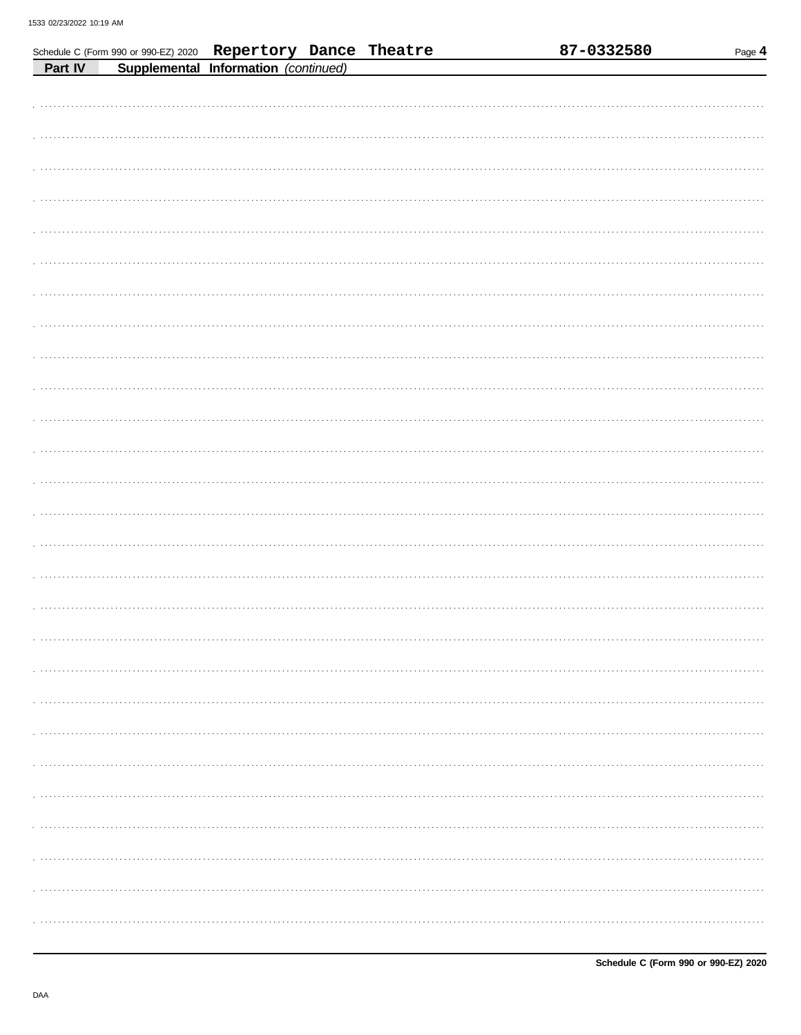|         | Schedule C (Form 990 or 990-EZ) 2020  Repertory Dance Theatre |                                      |  | 87-0332580 | Page 4 |
|---------|---------------------------------------------------------------|--------------------------------------|--|------------|--------|
| Part IV |                                                               | Supplemental Information (continued) |  |            |        |
|         |                                                               |                                      |  |            |        |
|         |                                                               |                                      |  |            |        |
|         |                                                               |                                      |  |            |        |
|         |                                                               |                                      |  |            |        |
|         |                                                               |                                      |  |            |        |
|         |                                                               |                                      |  |            |        |
|         |                                                               |                                      |  |            |        |
|         |                                                               |                                      |  |            |        |
|         |                                                               |                                      |  |            |        |
|         |                                                               |                                      |  |            |        |
|         |                                                               |                                      |  |            |        |
|         |                                                               |                                      |  |            |        |
|         |                                                               |                                      |  |            |        |
|         |                                                               |                                      |  |            |        |
|         |                                                               |                                      |  |            |        |
|         |                                                               |                                      |  |            |        |
|         |                                                               |                                      |  |            |        |
|         |                                                               |                                      |  |            |        |
|         |                                                               |                                      |  |            |        |
|         |                                                               |                                      |  |            |        |
|         |                                                               |                                      |  |            |        |
|         |                                                               |                                      |  |            |        |
|         |                                                               |                                      |  |            |        |
|         |                                                               |                                      |  |            |        |
|         |                                                               |                                      |  |            |        |
|         |                                                               |                                      |  |            |        |
|         |                                                               |                                      |  |            |        |
|         |                                                               |                                      |  |            |        |
|         |                                                               |                                      |  |            |        |
|         |                                                               |                                      |  |            |        |
|         |                                                               |                                      |  |            |        |
|         |                                                               |                                      |  |            |        |
|         |                                                               |                                      |  |            |        |
|         |                                                               |                                      |  |            |        |
|         |                                                               |                                      |  |            |        |
|         |                                                               |                                      |  |            |        |
|         |                                                               |                                      |  |            |        |
|         |                                                               |                                      |  |            |        |
|         |                                                               |                                      |  |            |        |
|         |                                                               |                                      |  |            |        |
|         |                                                               |                                      |  |            |        |
|         |                                                               |                                      |  |            |        |
|         |                                                               |                                      |  |            |        |
|         |                                                               |                                      |  |            |        |
|         |                                                               |                                      |  |            |        |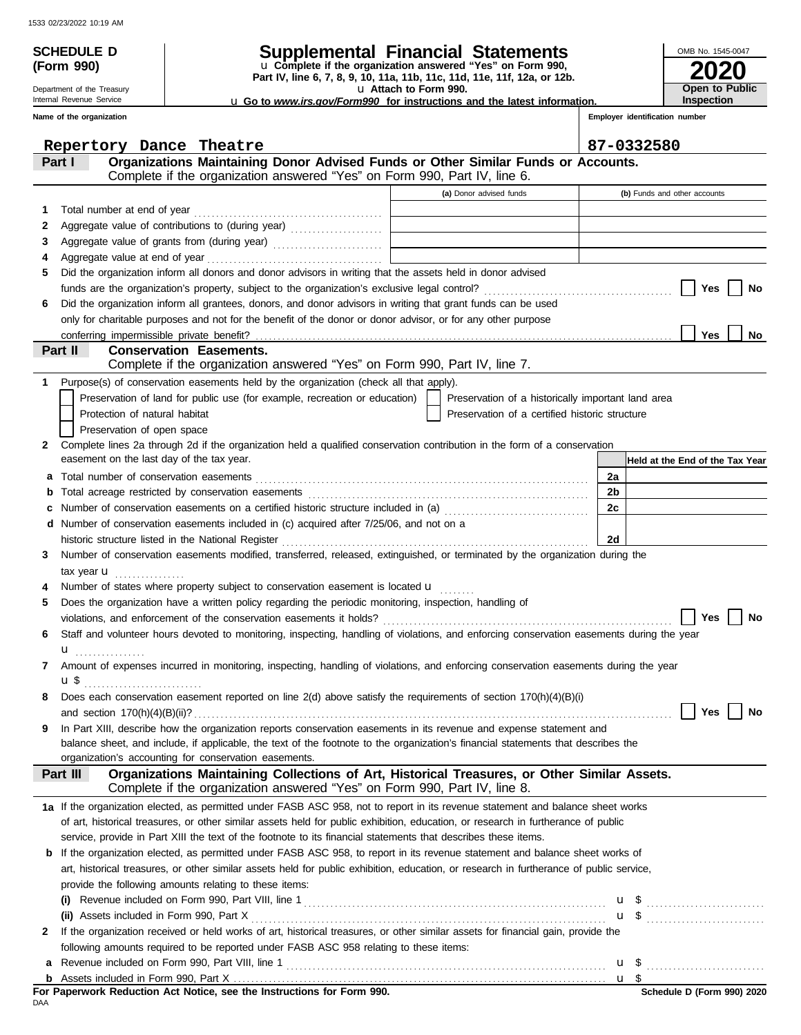|        | <b>SCHEDULE D</b>                                      |                                                                                                                                                                                                                                                                      |                       |                                                    |                | OMB No. 1545-0047               |
|--------|--------------------------------------------------------|----------------------------------------------------------------------------------------------------------------------------------------------------------------------------------------------------------------------------------------------------------------------|-----------------------|----------------------------------------------------|----------------|---------------------------------|
|        | (Form 990)                                             | <b>Supplemental Financial Statements</b><br>u Complete if the organization answered "Yes" on Form 990,                                                                                                                                                               |                       |                                                    |                |                                 |
|        |                                                        | Part IV, line 6, 7, 8, 9, 10, 11a, 11b, 11c, 11d, 11e, 11f, 12a, or 12b.                                                                                                                                                                                             |                       |                                                    |                |                                 |
|        | Department of the Treasury<br>Internal Revenue Service |                                                                                                                                                                                                                                                                      | u Attach to Form 990. |                                                    |                | Open to Public<br>Inspection    |
|        | Name of the organization                               | <b>u</b> Go to www.irs.gov/Form990 for instructions and the latest information.                                                                                                                                                                                      |                       |                                                    |                | Employer identification number  |
|        |                                                        |                                                                                                                                                                                                                                                                      |                       |                                                    |                |                                 |
|        | Repertory Dance Theatre                                |                                                                                                                                                                                                                                                                      |                       |                                                    |                | 87-0332580                      |
|        | Part I                                                 | Organizations Maintaining Donor Advised Funds or Other Similar Funds or Accounts.                                                                                                                                                                                    |                       |                                                    |                |                                 |
|        |                                                        | Complete if the organization answered "Yes" on Form 990, Part IV, line 6.                                                                                                                                                                                            |                       |                                                    |                |                                 |
|        |                                                        |                                                                                                                                                                                                                                                                      |                       | (a) Donor advised funds                            |                | (b) Funds and other accounts    |
| 1      |                                                        |                                                                                                                                                                                                                                                                      |                       |                                                    |                |                                 |
| 2      |                                                        |                                                                                                                                                                                                                                                                      |                       |                                                    |                |                                 |
| 3      |                                                        | Aggregate value of grants from (during year) Materian Material Material Processor (Material Processor and Materia Processor and Materia Processor and Materia Processor and Materia Processor and Materia Processor and Materi                                       |                       |                                                    |                |                                 |
| 4<br>5 |                                                        | Did the organization inform all donors and donor advisors in writing that the assets held in donor advised                                                                                                                                                           |                       |                                                    |                |                                 |
|        |                                                        |                                                                                                                                                                                                                                                                      |                       |                                                    |                | <b>Yes</b><br>No                |
| 6      |                                                        | Did the organization inform all grantees, donors, and donor advisors in writing that grant funds can be used                                                                                                                                                         |                       |                                                    |                |                                 |
|        |                                                        | only for charitable purposes and not for the benefit of the donor or donor advisor, or for any other purpose                                                                                                                                                         |                       |                                                    |                |                                 |
|        | conferring impermissible private benefit?              |                                                                                                                                                                                                                                                                      |                       |                                                    |                | <b>Yes</b><br>No                |
|        | Part II                                                | <b>Conservation Easements.</b>                                                                                                                                                                                                                                       |                       |                                                    |                |                                 |
|        |                                                        | Complete if the organization answered "Yes" on Form 990, Part IV, line 7.                                                                                                                                                                                            |                       |                                                    |                |                                 |
| 1      |                                                        | Purpose(s) of conservation easements held by the organization (check all that apply).                                                                                                                                                                                |                       |                                                    |                |                                 |
|        |                                                        | Preservation of land for public use (for example, recreation or education)                                                                                                                                                                                           |                       | Preservation of a historically important land area |                |                                 |
|        | Protection of natural habitat                          |                                                                                                                                                                                                                                                                      |                       | Preservation of a certified historic structure     |                |                                 |
|        | Preservation of open space                             |                                                                                                                                                                                                                                                                      |                       |                                                    |                |                                 |
| 2      |                                                        | Complete lines 2a through 2d if the organization held a qualified conservation contribution in the form of a conservation                                                                                                                                            |                       |                                                    |                |                                 |
|        | easement on the last day of the tax year.              |                                                                                                                                                                                                                                                                      |                       |                                                    |                | Held at the End of the Tax Year |
|        |                                                        |                                                                                                                                                                                                                                                                      |                       |                                                    | 2a             |                                 |
|        |                                                        |                                                                                                                                                                                                                                                                      |                       |                                                    | 2 <sub>b</sub> |                                 |
|        |                                                        | Number of conservation easements on a certified historic structure included in (a) [11] Number of conservation easements on a certified historic structure included in (a)                                                                                           |                       |                                                    | 2c             |                                 |
|        |                                                        | d Number of conservation easements included in (c) acquired after 7/25/06, and not on a                                                                                                                                                                              |                       |                                                    |                |                                 |
|        |                                                        | historic structure listed in the National Register [111] Allen Contains and Allen Contains and Allen Contains and Allen Contains and Allen Contains and Allen Contains and Allen Contains and Allen Contains and Allen Contain                                       |                       |                                                    | 2d             |                                 |
| 3      |                                                        | Number of conservation easements modified, transferred, released, extinguished, or terminated by the organization during the                                                                                                                                         |                       |                                                    |                |                                 |
|        | tax year $\mathbf u$                                   |                                                                                                                                                                                                                                                                      |                       |                                                    |                |                                 |
|        |                                                        | Number of states where property subject to conservation easement is located u                                                                                                                                                                                        |                       |                                                    |                |                                 |
| 5      |                                                        | Does the organization have a written policy regarding the periodic monitoring, inspection, handling of                                                                                                                                                               |                       |                                                    |                |                                 |
|        |                                                        |                                                                                                                                                                                                                                                                      |                       |                                                    |                | Yes $\vert$ No                  |
| 6      |                                                        | Staff and volunteer hours devoted to monitoring, inspecting, handling of violations, and enforcing conservation easements during the year                                                                                                                            |                       |                                                    |                |                                 |
|        | ${\bf u}$                                              |                                                                                                                                                                                                                                                                      |                       |                                                    |                |                                 |
| 7      |                                                        | Amount of expenses incurred in monitoring, inspecting, handling of violations, and enforcing conservation easements during the year                                                                                                                                  |                       |                                                    |                |                                 |
|        | <b>u</b> \$                                            |                                                                                                                                                                                                                                                                      |                       |                                                    |                |                                 |
| 8      |                                                        | Does each conservation easement reported on line 2(d) above satisfy the requirements of section 170(h)(4)(B)(i)                                                                                                                                                      |                       |                                                    |                |                                 |
|        |                                                        |                                                                                                                                                                                                                                                                      |                       |                                                    |                | Yes<br>No                       |
| 9      |                                                        | In Part XIII, describe how the organization reports conservation easements in its revenue and expense statement and                                                                                                                                                  |                       |                                                    |                |                                 |
|        |                                                        | balance sheet, and include, if applicable, the text of the footnote to the organization's financial statements that describes the                                                                                                                                    |                       |                                                    |                |                                 |
|        |                                                        | organization's accounting for conservation easements.<br>Organizations Maintaining Collections of Art, Historical Treasures, or Other Similar Assets.                                                                                                                |                       |                                                    |                |                                 |
|        | Part III                                               | Complete if the organization answered "Yes" on Form 990, Part IV, line 8.                                                                                                                                                                                            |                       |                                                    |                |                                 |
|        |                                                        |                                                                                                                                                                                                                                                                      |                       |                                                    |                |                                 |
|        |                                                        | 1a If the organization elected, as permitted under FASB ASC 958, not to report in its revenue statement and balance sheet works<br>of art, historical treasures, or other similar assets held for public exhibition, education, or research in furtherance of public |                       |                                                    |                |                                 |
|        |                                                        | service, provide in Part XIII the text of the footnote to its financial statements that describes these items.                                                                                                                                                       |                       |                                                    |                |                                 |
| b      |                                                        | If the organization elected, as permitted under FASB ASC 958, to report in its revenue statement and balance sheet works of                                                                                                                                          |                       |                                                    |                |                                 |
|        |                                                        | art, historical treasures, or other similar assets held for public exhibition, education, or research in furtherance of public service,                                                                                                                              |                       |                                                    |                |                                 |
|        |                                                        | provide the following amounts relating to these items:                                                                                                                                                                                                               |                       |                                                    |                |                                 |
|        |                                                        |                                                                                                                                                                                                                                                                      |                       |                                                    |                |                                 |
|        |                                                        |                                                                                                                                                                                                                                                                      |                       |                                                    |                |                                 |
| 2      |                                                        | If the organization received or held works of art, historical treasures, or other similar assets for financial gain, provide the                                                                                                                                     |                       |                                                    |                |                                 |
|        |                                                        | following amounts required to be reported under FASB ASC 958 relating to these items:                                                                                                                                                                                |                       |                                                    |                |                                 |
| а      |                                                        |                                                                                                                                                                                                                                                                      |                       |                                                    |                |                                 |
|        |                                                        |                                                                                                                                                                                                                                                                      |                       |                                                    |                |                                 |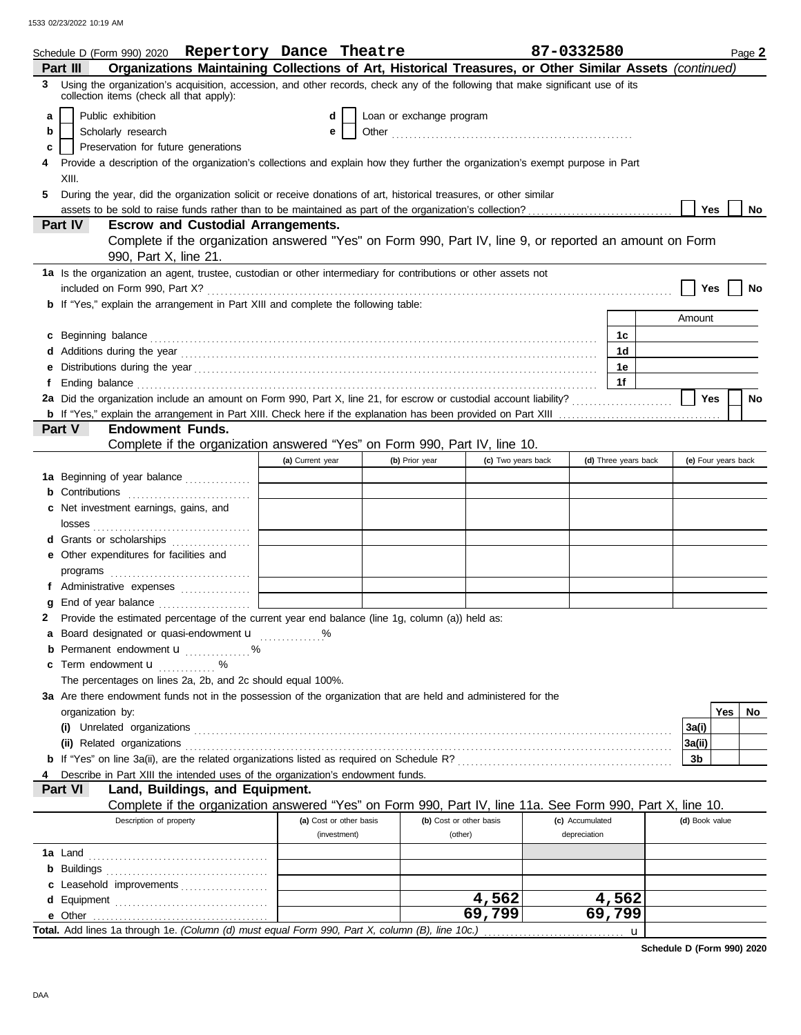|                | Schedule D (Form 990) 2020  Repertory Dance Theatre                                                                                                                                                                            |                         |                          |                         | 87-0332580      |                      |                |                     | Page 2    |
|----------------|--------------------------------------------------------------------------------------------------------------------------------------------------------------------------------------------------------------------------------|-------------------------|--------------------------|-------------------------|-----------------|----------------------|----------------|---------------------|-----------|
|                | Organizations Maintaining Collections of Art, Historical Treasures, or Other Similar Assets (continued)<br>Part III                                                                                                            |                         |                          |                         |                 |                      |                |                     |           |
| 3 <sub>1</sub> | Using the organization's acquisition, accession, and other records, check any of the following that make significant use of its<br>collection items (check all that apply):                                                    |                         |                          |                         |                 |                      |                |                     |           |
| a              | Public exhibition                                                                                                                                                                                                              | d                       | Loan or exchange program |                         |                 |                      |                |                     |           |
| b              | Scholarly research                                                                                                                                                                                                             | е                       |                          |                         |                 |                      |                |                     |           |
| c              | Preservation for future generations                                                                                                                                                                                            |                         |                          |                         |                 |                      |                |                     |           |
|                | Provide a description of the organization's collections and explain how they further the organization's exempt purpose in Part                                                                                                 |                         |                          |                         |                 |                      |                |                     |           |
|                | XIII.                                                                                                                                                                                                                          |                         |                          |                         |                 |                      |                |                     |           |
| 5.             | During the year, did the organization solicit or receive donations of art, historical treasures, or other similar                                                                                                              |                         |                          |                         |                 |                      |                |                     |           |
|                |                                                                                                                                                                                                                                |                         |                          |                         |                 |                      |                | Yes                 | No        |
|                | Part IV<br><b>Escrow and Custodial Arrangements.</b>                                                                                                                                                                           |                         |                          |                         |                 |                      |                |                     |           |
|                | Complete if the organization answered "Yes" on Form 990, Part IV, line 9, or reported an amount on Form                                                                                                                        |                         |                          |                         |                 |                      |                |                     |           |
|                | 990, Part X, line 21.                                                                                                                                                                                                          |                         |                          |                         |                 |                      |                |                     |           |
|                | 1a Is the organization an agent, trustee, custodian or other intermediary for contributions or other assets not                                                                                                                |                         |                          |                         |                 |                      |                |                     |           |
|                |                                                                                                                                                                                                                                |                         |                          |                         |                 |                      |                | Yes                 | No        |
|                | b If "Yes," explain the arrangement in Part XIII and complete the following table:                                                                                                                                             |                         |                          |                         |                 |                      |                |                     |           |
|                |                                                                                                                                                                                                                                |                         |                          |                         |                 |                      | Amount         |                     |           |
| c              |                                                                                                                                                                                                                                |                         |                          |                         |                 | 1c                   |                |                     |           |
|                |                                                                                                                                                                                                                                |                         |                          |                         |                 | 1d                   |                |                     |           |
| е              |                                                                                                                                                                                                                                |                         |                          |                         |                 | 1е                   |                |                     |           |
|                | Ending balance contains and a series of the contact of the contact of the contact of the contact of the contact of the contact of the contact of the contact of the contact of the contact of the contact of the contact of th |                         |                          |                         |                 | 1f                   |                |                     |           |
|                | 2a Did the organization include an amount on Form 990, Part X, line 21, for escrow or custodial account liability?                                                                                                             |                         |                          |                         |                 |                      |                | Yes                 | <b>No</b> |
|                |                                                                                                                                                                                                                                |                         |                          |                         |                 |                      |                |                     |           |
|                | <b>Endowment Funds.</b><br>Part V                                                                                                                                                                                              |                         |                          |                         |                 |                      |                |                     |           |
|                | Complete if the organization answered "Yes" on Form 990, Part IV, line 10.                                                                                                                                                     |                         |                          |                         |                 |                      |                |                     |           |
|                |                                                                                                                                                                                                                                | (a) Current year        | (b) Prior year           | (c) Two years back      |                 | (d) Three years back |                | (e) Four years back |           |
|                | 1a Beginning of year balance                                                                                                                                                                                                   |                         |                          |                         |                 |                      |                |                     |           |
|                |                                                                                                                                                                                                                                |                         |                          |                         |                 |                      |                |                     |           |
|                | c Net investment earnings, gains, and                                                                                                                                                                                          |                         |                          |                         |                 |                      |                |                     |           |
|                |                                                                                                                                                                                                                                |                         |                          |                         |                 |                      |                |                     |           |
|                | d Grants or scholarships                                                                                                                                                                                                       |                         |                          |                         |                 |                      |                |                     |           |
|                | e Other expenditures for facilities and                                                                                                                                                                                        |                         |                          |                         |                 |                      |                |                     |           |
|                |                                                                                                                                                                                                                                |                         |                          |                         |                 |                      |                |                     |           |
|                | f Administrative expenses                                                                                                                                                                                                      |                         |                          |                         |                 |                      |                |                     |           |
| a              |                                                                                                                                                                                                                                |                         |                          |                         |                 |                      |                |                     |           |
|                | 2 Provide the estimated percentage of the current year end balance (line 1g, column (a)) held as:                                                                                                                              |                         |                          |                         |                 |                      |                |                     |           |
|                | a Board designated or quasi-endowment u                                                                                                                                                                                        | ℅                       |                          |                         |                 |                      |                |                     |           |
| b              | Permanent endowment <b>u</b> %                                                                                                                                                                                                 |                         |                          |                         |                 |                      |                |                     |           |
| c              | Term endowment <b>u</b>                                                                                                                                                                                                        |                         |                          |                         |                 |                      |                |                     |           |
|                | The percentages on lines 2a, 2b, and 2c should equal 100%.<br>3a Are there endowment funds not in the possession of the organization that are held and administered for the                                                    |                         |                          |                         |                 |                      |                |                     |           |
|                | organization by:                                                                                                                                                                                                               |                         |                          |                         |                 |                      |                | Yes                 | No        |
|                |                                                                                                                                                                                                                                |                         |                          |                         |                 |                      | 3a(i)          |                     |           |
|                |                                                                                                                                                                                                                                |                         |                          |                         |                 |                      | 3a(ii)         |                     |           |
|                |                                                                                                                                                                                                                                |                         |                          |                         |                 |                      | 3b             |                     |           |
|                | Describe in Part XIII the intended uses of the organization's endowment funds.                                                                                                                                                 |                         |                          |                         |                 |                      |                |                     |           |
|                | Land, Buildings, and Equipment.<br>Part VI                                                                                                                                                                                     |                         |                          |                         |                 |                      |                |                     |           |
|                | Complete if the organization answered "Yes" on Form 990, Part IV, line 11a. See Form 990, Part X, line 10.                                                                                                                     |                         |                          |                         |                 |                      |                |                     |           |
|                | Description of property                                                                                                                                                                                                        | (a) Cost or other basis |                          | (b) Cost or other basis | (c) Accumulated |                      | (d) Book value |                     |           |
|                |                                                                                                                                                                                                                                | (investment)            |                          | (other)                 | depreciation    |                      |                |                     |           |
|                |                                                                                                                                                                                                                                |                         |                          |                         |                 |                      |                |                     |           |
|                |                                                                                                                                                                                                                                |                         |                          |                         |                 |                      |                |                     |           |
|                | c Leasehold improvements                                                                                                                                                                                                       |                         |                          |                         |                 |                      |                |                     |           |
|                |                                                                                                                                                                                                                                |                         |                          | 4,562                   |                 | 4,562                |                |                     |           |
|                |                                                                                                                                                                                                                                |                         |                          | 69,799                  |                 | 69,799               |                |                     |           |
|                | Total. Add lines 1a through 1e. (Column (d) must equal Form 990, Part X, column (B), line 10c.)                                                                                                                                |                         |                          |                         |                 | u                    |                |                     |           |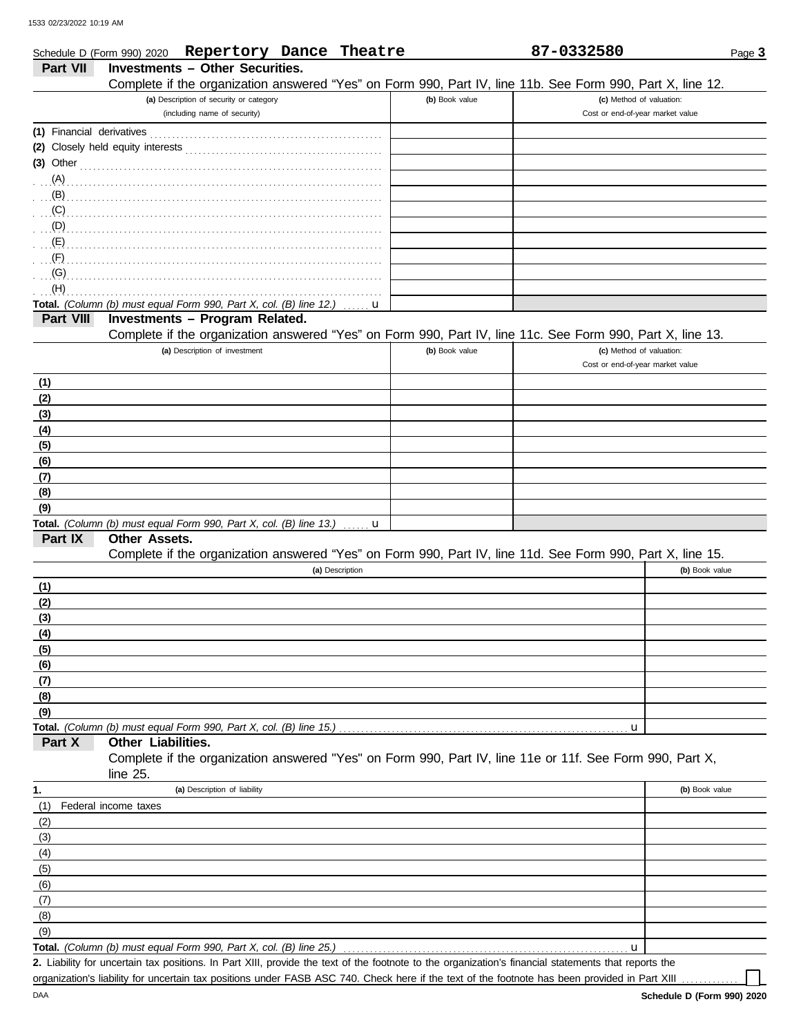DAA

|                           |                      | Schedule D (Form 990) 2020 Repertory Dance Theatre                 |                 |                | 87-0332580                                                                                                 | Page 3         |
|---------------------------|----------------------|--------------------------------------------------------------------|-----------------|----------------|------------------------------------------------------------------------------------------------------------|----------------|
| Part VII                  |                      | <b>Investments - Other Securities.</b>                             |                 |                |                                                                                                            |                |
|                           |                      |                                                                    |                 |                | Complete if the organization answered "Yes" on Form 990, Part IV, line 11b. See Form 990, Part X, line 12. |                |
|                           |                      | (a) Description of security or category                            |                 | (b) Book value | (c) Method of valuation:                                                                                   |                |
|                           |                      | (including name of security)                                       |                 |                | Cost or end-of-year market value                                                                           |                |
| (1) Financial derivatives |                      |                                                                    |                 |                |                                                                                                            |                |
|                           |                      |                                                                    |                 |                |                                                                                                            |                |
| $(3)$ Other               |                      |                                                                    |                 |                |                                                                                                            |                |
| (A)                       |                      |                                                                    |                 |                |                                                                                                            |                |
| (B)                       |                      |                                                                    |                 |                |                                                                                                            |                |
| (C)                       |                      |                                                                    |                 |                |                                                                                                            |                |
| $\Box$ (D)                |                      |                                                                    |                 |                |                                                                                                            |                |
| (E)                       |                      |                                                                    |                 |                |                                                                                                            |                |
| (F)<br>(G)                |                      |                                                                    |                 |                |                                                                                                            |                |
| (H)                       |                      |                                                                    |                 |                |                                                                                                            |                |
|                           |                      | Total. (Column (b) must equal Form 990, Part X, col. (B) line 12.) | u               |                |                                                                                                            |                |
| Part VIII                 |                      | <b>Investments - Program Related.</b>                              |                 |                |                                                                                                            |                |
|                           |                      |                                                                    |                 |                | Complete if the organization answered "Yes" on Form 990, Part IV, line 11c. See Form 990, Part X, line 13. |                |
|                           |                      | (a) Description of investment                                      |                 | (b) Book value | (c) Method of valuation:                                                                                   |                |
|                           |                      |                                                                    |                 |                | Cost or end-of-year market value                                                                           |                |
| (1)                       |                      |                                                                    |                 |                |                                                                                                            |                |
| (2)                       |                      |                                                                    |                 |                |                                                                                                            |                |
| (3)                       |                      |                                                                    |                 |                |                                                                                                            |                |
| (4)                       |                      |                                                                    |                 |                |                                                                                                            |                |
| (5)                       |                      |                                                                    |                 |                |                                                                                                            |                |
| (6)                       |                      |                                                                    |                 |                |                                                                                                            |                |
| (7)                       |                      |                                                                    |                 |                |                                                                                                            |                |
| (8)                       |                      |                                                                    |                 |                |                                                                                                            |                |
| (9)                       |                      |                                                                    |                 |                |                                                                                                            |                |
|                           |                      | Total. (Column (b) must equal Form 990, Part X, col. (B) line 13.) | $\ldots$ u      |                |                                                                                                            |                |
| Part IX                   | <b>Other Assets.</b> |                                                                    |                 |                |                                                                                                            |                |
|                           |                      |                                                                    |                 |                | Complete if the organization answered "Yes" on Form 990, Part IV, line 11d. See Form 990, Part X, line 15. |                |
|                           |                      |                                                                    | (a) Description |                |                                                                                                            | (b) Book value |
| (1)                       |                      |                                                                    |                 |                |                                                                                                            |                |
| (2)                       |                      |                                                                    |                 |                |                                                                                                            |                |
| (3)                       |                      |                                                                    |                 |                |                                                                                                            |                |
| (4)<br>(5)                |                      |                                                                    |                 |                |                                                                                                            |                |
| (6)                       |                      |                                                                    |                 |                |                                                                                                            |                |
| (7)                       |                      |                                                                    |                 |                |                                                                                                            |                |
| (8)                       |                      |                                                                    |                 |                |                                                                                                            |                |
| (9)                       |                      |                                                                    |                 |                |                                                                                                            |                |
|                           |                      | Total. (Column (b) must equal Form 990, Part X, col. (B) line 15.) |                 |                | u                                                                                                          |                |
| Part X                    | Other Liabilities.   |                                                                    |                 |                |                                                                                                            |                |
|                           |                      |                                                                    |                 |                | Complete if the organization answered "Yes" on Form 990, Part IV, line 11e or 11f. See Form 990, Part X,   |                |
|                           | line 25.             |                                                                    |                 |                |                                                                                                            |                |
| 1.                        |                      | (a) Description of liability                                       |                 |                |                                                                                                            | (b) Book value |
| (1)                       | Federal income taxes |                                                                    |                 |                |                                                                                                            |                |
| (2)                       |                      |                                                                    |                 |                |                                                                                                            |                |
| (3)                       |                      |                                                                    |                 |                |                                                                                                            |                |
| (4)                       |                      |                                                                    |                 |                |                                                                                                            |                |
| (5)                       |                      |                                                                    |                 |                |                                                                                                            |                |
| (6)                       |                      |                                                                    |                 |                |                                                                                                            |                |
| (7)                       |                      |                                                                    |                 |                |                                                                                                            |                |
| (8)                       |                      |                                                                    |                 |                |                                                                                                            |                |
| (9)                       |                      |                                                                    |                 |                |                                                                                                            |                |
|                           |                      | Total. (Column (b) must equal Form 990, Part X, col. (B) line 25.) |                 |                | u                                                                                                          |                |

Liability for uncertain tax positions. In Part XIII, provide the text of the footnote to the organization's financial statements that reports the **2.** organization's liability for uncertain tax positions under FASB ASC 740. Check here if the text of the footnote has been provided in Part XIII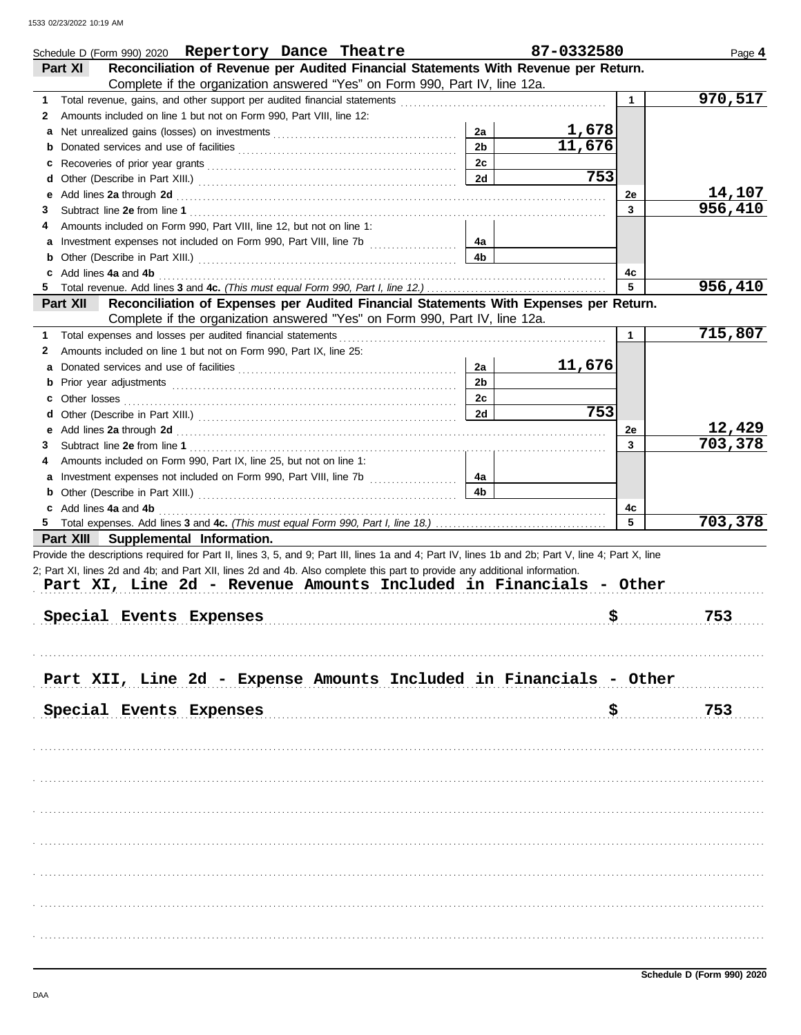|              | Schedule D (Form 990) 2020  Repertory Dance Theatre                                                                                                                                                                            |                | 87-0332580 |              | Page 4   |
|--------------|--------------------------------------------------------------------------------------------------------------------------------------------------------------------------------------------------------------------------------|----------------|------------|--------------|----------|
|              | Reconciliation of Revenue per Audited Financial Statements With Revenue per Return.<br>Part XI                                                                                                                                 |                |            |              |          |
|              | Complete if the organization answered "Yes" on Form 990, Part IV, line 12a.                                                                                                                                                    |                |            |              |          |
| 1            |                                                                                                                                                                                                                                |                |            | $\mathbf{1}$ | 970, 517 |
| 2            | Amounts included on line 1 but not on Form 990, Part VIII, line 12:                                                                                                                                                            |                |            |              |          |
| a            |                                                                                                                                                                                                                                | 2a             | 1,678      |              |          |
| b            |                                                                                                                                                                                                                                | 2 <sub>b</sub> | 11,676     |              |          |
| c            |                                                                                                                                                                                                                                | 2c             |            |              |          |
| d            |                                                                                                                                                                                                                                | 2d             | 753        |              |          |
| е            |                                                                                                                                                                                                                                |                |            | 2e           | 14,107   |
| 3            | Add lines 2a through 2d [11] March 2014 [12] March 2014 [12] March 2014 [12] March 2014 [12] March 2014 [12] March 2014 [12] March 2014 [12] March 2014 [12] March 2014 [12] March 2014 [12] March 2014 [12] March 2014 [12] M |                |            | $\mathbf{3}$ | 956,410  |
|              | Amounts included on Form 990, Part VIII, line 12, but not on line 1:                                                                                                                                                           |                |            |              |          |
| 4            |                                                                                                                                                                                                                                |                |            |              |          |
| а            |                                                                                                                                                                                                                                | 4a             |            |              |          |
| b            |                                                                                                                                                                                                                                | 4b             |            |              |          |
| c            | Add lines 4a and 4b                                                                                                                                                                                                            |                |            | 4с<br>5      |          |
| 5.           |                                                                                                                                                                                                                                |                |            |              | 956,410  |
|              | Reconciliation of Expenses per Audited Financial Statements With Expenses per Return.<br>Part XII                                                                                                                              |                |            |              |          |
|              | Complete if the organization answered "Yes" on Form 990, Part IV, line 12a.                                                                                                                                                    |                |            |              |          |
| $\mathbf{1}$ | Total expenses and losses per audited financial statements                                                                                                                                                                     |                |            | $\mathbf{1}$ | 715,807  |
| 2            | Amounts included on line 1 but not on Form 990, Part IX, line 25:                                                                                                                                                              |                |            |              |          |
| a            |                                                                                                                                                                                                                                | 2a             | 11,676     |              |          |
| b            |                                                                                                                                                                                                                                | 2 <sub>b</sub> |            |              |          |
| c            |                                                                                                                                                                                                                                | 2c             |            |              |          |
| d            |                                                                                                                                                                                                                                | 2d             | 753        |              |          |
| е            | Add lines 2a through 2d [11] March 2014 [12] March 2014 [12] March 2014 [12] March 2014 [12] March 2014 [12] March 2014 [12] March 2014 [12] March 2014 [12] March 2014 [12] March 2014 [12] March 2014 [12] March 2014 [12] M |                |            | 2e           | 12,429   |
| 3            |                                                                                                                                                                                                                                |                |            | 3            | 703,378  |
| 4            | Amounts included on Form 990, Part IX, line 25, but not on line 1:                                                                                                                                                             |                |            |              |          |
| а            |                                                                                                                                                                                                                                | 4a             |            |              |          |
| b            |                                                                                                                                                                                                                                | 4 <sub>b</sub> |            |              |          |
| c            | Add lines 4a and 4b                                                                                                                                                                                                            |                |            | 4c           |          |
| 5.           |                                                                                                                                                                                                                                |                |            | 5            | 703,378  |
|              | Part XIII Supplemental Information.                                                                                                                                                                                            |                |            |              |          |
|              | Provide the descriptions required for Part II, lines 3, 5, and 9; Part III, lines 1a and 4; Part IV, lines 1b and 2b; Part V, line 4; Part X, line                                                                             |                |            |              |          |
|              | 2; Part XI, lines 2d and 4b; and Part XII, lines 2d and 4b. Also complete this part to provide any additional information.                                                                                                     |                |            |              |          |
|              | Part XI, Line 2d - Revenue Amounts Included in Financials - Other                                                                                                                                                              |                |            |              |          |
|              |                                                                                                                                                                                                                                |                |            |              |          |
|              | Special Events Expenses                                                                                                                                                                                                        |                | \$         |              | 753      |
|              |                                                                                                                                                                                                                                |                |            |              |          |
|              |                                                                                                                                                                                                                                |                |            |              |          |
|              |                                                                                                                                                                                                                                |                |            |              |          |
|              | Part XII, Line 2d - Expense Amounts Included in Financials - Other                                                                                                                                                             |                |            |              |          |
|              |                                                                                                                                                                                                                                |                |            |              |          |
|              | Special Events Expenses                                                                                                                                                                                                        |                |            |              | 753      |
|              |                                                                                                                                                                                                                                |                |            | Ş.           |          |
|              |                                                                                                                                                                                                                                |                |            |              |          |
|              |                                                                                                                                                                                                                                |                |            |              |          |
|              |                                                                                                                                                                                                                                |                |            |              |          |
|              |                                                                                                                                                                                                                                |                |            |              |          |
|              |                                                                                                                                                                                                                                |                |            |              |          |
|              |                                                                                                                                                                                                                                |                |            |              |          |
|              |                                                                                                                                                                                                                                |                |            |              |          |
|              |                                                                                                                                                                                                                                |                |            |              |          |
|              |                                                                                                                                                                                                                                |                |            |              |          |
|              |                                                                                                                                                                                                                                |                |            |              |          |
|              |                                                                                                                                                                                                                                |                |            |              |          |
|              |                                                                                                                                                                                                                                |                |            |              |          |
|              |                                                                                                                                                                                                                                |                |            |              |          |
|              |                                                                                                                                                                                                                                |                |            |              |          |
|              |                                                                                                                                                                                                                                |                |            |              |          |
|              |                                                                                                                                                                                                                                |                |            |              |          |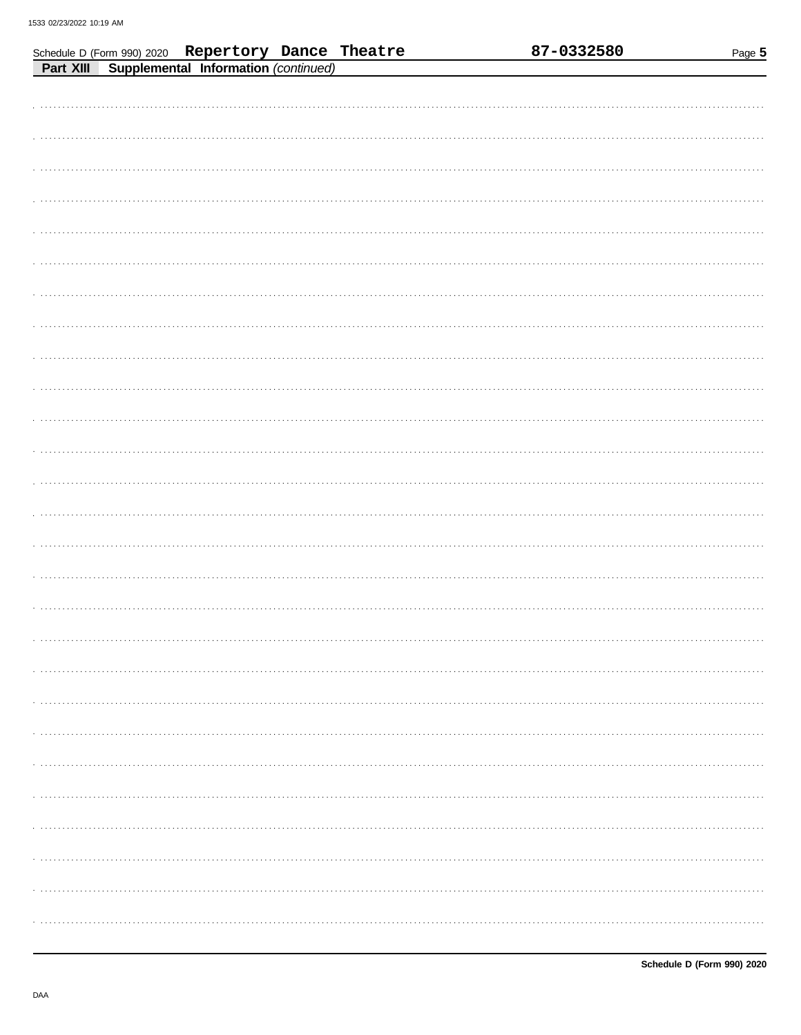|  | Schedule D (Form 990) 2020 Repertory Dance Theatre |  | 87-0332580 | Page 5 |
|--|----------------------------------------------------|--|------------|--------|
|  | Part XIII Supplemental Information (continued)     |  |            |        |
|  |                                                    |  |            |        |
|  |                                                    |  |            |        |
|  |                                                    |  |            |        |
|  |                                                    |  |            |        |
|  |                                                    |  |            |        |
|  |                                                    |  |            |        |
|  |                                                    |  |            |        |
|  |                                                    |  |            |        |
|  |                                                    |  |            |        |
|  |                                                    |  |            |        |
|  |                                                    |  |            |        |
|  |                                                    |  |            |        |
|  |                                                    |  |            |        |
|  |                                                    |  |            |        |
|  |                                                    |  |            |        |
|  |                                                    |  |            |        |
|  |                                                    |  |            |        |
|  |                                                    |  |            |        |
|  |                                                    |  |            |        |
|  |                                                    |  |            |        |
|  |                                                    |  |            |        |
|  |                                                    |  |            |        |
|  |                                                    |  |            |        |
|  |                                                    |  |            |        |
|  |                                                    |  |            |        |
|  |                                                    |  |            |        |
|  |                                                    |  |            |        |
|  |                                                    |  |            |        |
|  |                                                    |  |            |        |
|  |                                                    |  |            |        |
|  |                                                    |  |            |        |
|  |                                                    |  |            |        |
|  |                                                    |  |            |        |
|  |                                                    |  |            |        |
|  |                                                    |  |            |        |
|  |                                                    |  |            |        |
|  |                                                    |  |            |        |
|  |                                                    |  |            |        |
|  |                                                    |  |            |        |
|  |                                                    |  |            |        |
|  |                                                    |  |            |        |
|  |                                                    |  |            |        |
|  |                                                    |  |            |        |
|  |                                                    |  |            |        |
|  |                                                    |  |            |        |
|  |                                                    |  |            |        |
|  |                                                    |  |            |        |
|  |                                                    |  |            |        |
|  |                                                    |  |            |        |
|  |                                                    |  |            |        |
|  |                                                    |  |            |        |
|  |                                                    |  |            |        |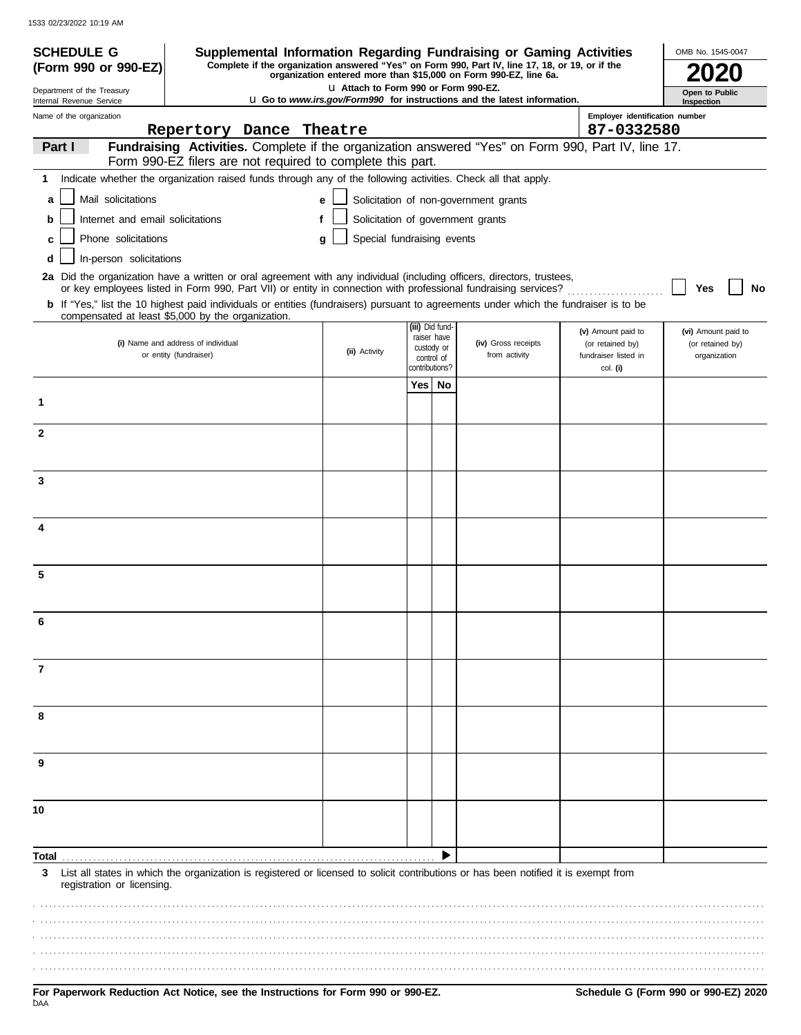| <b>SCHEDULE G</b>                                            | Supplemental Information Regarding Fundraising or Gaming Activities                                                                                                                                                                      |                                       |                              |                           |                                                                                 |                                          | OMB No. 1545-0047                |
|--------------------------------------------------------------|------------------------------------------------------------------------------------------------------------------------------------------------------------------------------------------------------------------------------------------|---------------------------------------|------------------------------|---------------------------|---------------------------------------------------------------------------------|------------------------------------------|----------------------------------|
| (Form 990 or 990-EZ)                                         | Complete if the organization answered "Yes" on Form 990, Part IV, line 17, 18, or 19, or if the                                                                                                                                          |                                       |                              |                           | organization entered more than \$15,000 on Form 990-EZ, line 6a.                |                                          |                                  |
| Department of the Treasury<br>Internal Revenue Service       |                                                                                                                                                                                                                                          | L1 Attach to Form 990 or Form 990-EZ. |                              |                           | <b>u</b> Go to www.irs.gov/Form990 for instructions and the latest information. |                                          | Open to Public<br>Inspection     |
| Name of the organization                                     |                                                                                                                                                                                                                                          |                                       |                              |                           |                                                                                 | Employer identification number           |                                  |
| Part I                                                       | Repertory Dance Theatre<br>Fundraising Activities. Complete if the organization answered "Yes" on Form 990, Part IV, line 17.                                                                                                            |                                       |                              |                           |                                                                                 | 87-0332580                               |                                  |
|                                                              | Form 990-EZ filers are not required to complete this part.                                                                                                                                                                               |                                       |                              |                           |                                                                                 |                                          |                                  |
| 1                                                            | Indicate whether the organization raised funds through any of the following activities. Check all that apply.                                                                                                                            |                                       |                              |                           |                                                                                 |                                          |                                  |
| Mail solicitations<br>a                                      |                                                                                                                                                                                                                                          | е                                     |                              |                           | Solicitation of non-government grants                                           |                                          |                                  |
| Internet and email solicitations<br>b                        |                                                                                                                                                                                                                                          |                                       |                              |                           | Solicitation of government grants                                               |                                          |                                  |
| Phone solicitations<br>c                                     |                                                                                                                                                                                                                                          | Special fundraising events<br>g       |                              |                           |                                                                                 |                                          |                                  |
| In-person solicitations<br>d                                 |                                                                                                                                                                                                                                          |                                       |                              |                           |                                                                                 |                                          |                                  |
|                                                              | 2a Did the organization have a written or oral agreement with any individual (including officers, directors, trustees,<br>or key employees listed in Form 990, Part VII) or entity in connection with professional fundraising services? |                                       |                              |                           |                                                                                 |                                          | Yes<br>No                        |
|                                                              | b If "Yes," list the 10 highest paid individuals or entities (fundraisers) pursuant to agreements under which the fundraiser is to be                                                                                                    |                                       |                              |                           |                                                                                 |                                          |                                  |
|                                                              | compensated at least \$5,000 by the organization.                                                                                                                                                                                        |                                       |                              | (iii) Did fund-           |                                                                                 | (v) Amount paid to                       | (vi) Amount paid to              |
| (i) Name and address of individual<br>or entity (fundraiser) |                                                                                                                                                                                                                                          | (ii) Activity                         |                              | raiser have<br>custody or | (iv) Gross receipts<br>from activity                                            | (or retained by)<br>fundraiser listed in | (or retained by)<br>organization |
|                                                              |                                                                                                                                                                                                                                          |                                       | control of<br>contributions? |                           |                                                                                 | col. (i)                                 |                                  |
|                                                              |                                                                                                                                                                                                                                          |                                       | Yes                          | No                        |                                                                                 |                                          |                                  |
| 1                                                            |                                                                                                                                                                                                                                          |                                       |                              |                           |                                                                                 |                                          |                                  |
| $\mathbf{2}$                                                 |                                                                                                                                                                                                                                          |                                       |                              |                           |                                                                                 |                                          |                                  |
|                                                              |                                                                                                                                                                                                                                          |                                       |                              |                           |                                                                                 |                                          |                                  |
| 3                                                            |                                                                                                                                                                                                                                          |                                       |                              |                           |                                                                                 |                                          |                                  |
|                                                              |                                                                                                                                                                                                                                          |                                       |                              |                           |                                                                                 |                                          |                                  |
|                                                              |                                                                                                                                                                                                                                          |                                       |                              |                           |                                                                                 |                                          |                                  |
| 4                                                            |                                                                                                                                                                                                                                          |                                       |                              |                           |                                                                                 |                                          |                                  |
|                                                              |                                                                                                                                                                                                                                          |                                       |                              |                           |                                                                                 |                                          |                                  |
| 5                                                            |                                                                                                                                                                                                                                          |                                       |                              |                           |                                                                                 |                                          |                                  |
|                                                              |                                                                                                                                                                                                                                          |                                       |                              |                           |                                                                                 |                                          |                                  |
| 6                                                            |                                                                                                                                                                                                                                          |                                       |                              |                           |                                                                                 |                                          |                                  |
|                                                              |                                                                                                                                                                                                                                          |                                       |                              |                           |                                                                                 |                                          |                                  |
| 7                                                            |                                                                                                                                                                                                                                          |                                       |                              |                           |                                                                                 |                                          |                                  |
|                                                              |                                                                                                                                                                                                                                          |                                       |                              |                           |                                                                                 |                                          |                                  |
|                                                              |                                                                                                                                                                                                                                          |                                       |                              |                           |                                                                                 |                                          |                                  |
| 8                                                            |                                                                                                                                                                                                                                          |                                       |                              |                           |                                                                                 |                                          |                                  |
|                                                              |                                                                                                                                                                                                                                          |                                       |                              |                           |                                                                                 |                                          |                                  |
| 9                                                            |                                                                                                                                                                                                                                          |                                       |                              |                           |                                                                                 |                                          |                                  |
|                                                              |                                                                                                                                                                                                                                          |                                       |                              |                           |                                                                                 |                                          |                                  |
| 10                                                           |                                                                                                                                                                                                                                          |                                       |                              |                           |                                                                                 |                                          |                                  |
|                                                              |                                                                                                                                                                                                                                          |                                       |                              |                           |                                                                                 |                                          |                                  |
| Total                                                        |                                                                                                                                                                                                                                          |                                       |                              |                           |                                                                                 |                                          |                                  |
| 3                                                            | List all states in which the organization is registered or licensed to solicit contributions or has been notified it is exempt from                                                                                                      |                                       |                              |                           |                                                                                 |                                          |                                  |
| registration or licensing.                                   |                                                                                                                                                                                                                                          |                                       |                              |                           |                                                                                 |                                          |                                  |
|                                                              |                                                                                                                                                                                                                                          |                                       |                              |                           |                                                                                 |                                          |                                  |
|                                                              |                                                                                                                                                                                                                                          |                                       |                              |                           |                                                                                 |                                          |                                  |
|                                                              |                                                                                                                                                                                                                                          |                                       |                              |                           |                                                                                 |                                          |                                  |
|                                                              |                                                                                                                                                                                                                                          |                                       |                              |                           |                                                                                 |                                          |                                  |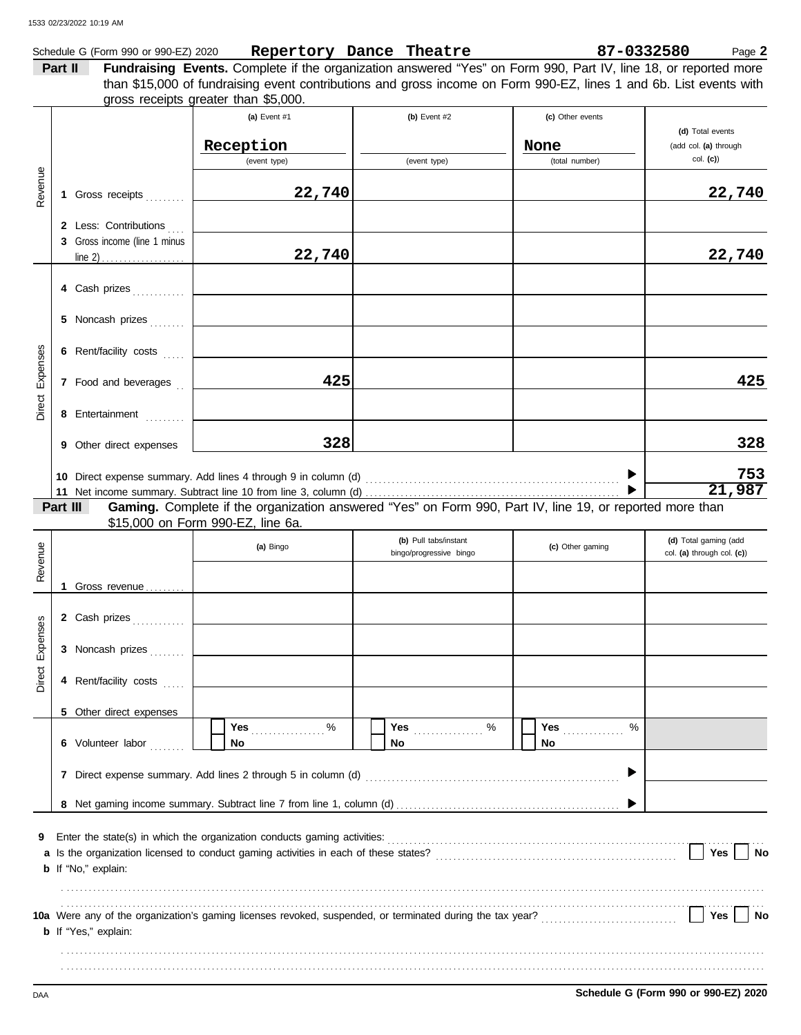|          |          | Schedule G (Form 990 or 990-EZ) 2020 |                                                                                                                    | Repertory Dance Theatre |                  | 87-0332580<br>Page 2              |
|----------|----------|--------------------------------------|--------------------------------------------------------------------------------------------------------------------|-------------------------|------------------|-----------------------------------|
|          | Part II  |                                      | Fundraising Events. Complete if the organization answered "Yes" on Form 990, Part IV, line 18, or reported more    |                         |                  |                                   |
|          |          |                                      | than \$15,000 of fundraising event contributions and gross income on Form 990-EZ, lines 1 and 6b. List events with |                         |                  |                                   |
|          |          |                                      | gross receipts greater than \$5,000.                                                                               |                         |                  |                                   |
|          |          |                                      | (a) Event #1                                                                                                       | (b) Event #2            | (c) Other events |                                   |
|          |          |                                      |                                                                                                                    |                         |                  | (d) Total events                  |
|          |          |                                      | Reception                                                                                                          |                         | None             | (add col. (a) through<br>col. (c) |
|          |          |                                      | (event type)                                                                                                       | (event type)            | (total number)   |                                   |
| Revenue  |          |                                      |                                                                                                                    |                         |                  |                                   |
|          |          | 1 Gross receipts                     | 22,740                                                                                                             |                         |                  | 22,740                            |
|          |          | 2 Less: Contributions                |                                                                                                                    |                         |                  |                                   |
|          |          | 3 Gross income (line 1 minus         |                                                                                                                    |                         |                  |                                   |
|          |          |                                      | 22,740                                                                                                             |                         |                  | 22,740                            |
|          |          |                                      |                                                                                                                    |                         |                  |                                   |
|          |          | 4 Cash prizes                        |                                                                                                                    |                         |                  |                                   |
|          |          |                                      |                                                                                                                    |                         |                  |                                   |
|          |          | 5 Noncash prizes                     |                                                                                                                    |                         |                  |                                   |
|          |          |                                      |                                                                                                                    |                         |                  |                                   |
|          |          | 6 Rent/facility costs                |                                                                                                                    |                         |                  |                                   |
| Expenses |          |                                      |                                                                                                                    |                         |                  |                                   |
|          |          | 7 Food and beverages                 | 425                                                                                                                |                         |                  | 425                               |
| Direct   |          |                                      |                                                                                                                    |                         |                  |                                   |
|          |          | 8 Entertainment                      |                                                                                                                    |                         |                  |                                   |
|          |          |                                      | 328                                                                                                                |                         |                  | 328                               |
|          |          | 9 Other direct expenses              |                                                                                                                    |                         |                  |                                   |
|          |          |                                      |                                                                                                                    |                         |                  | 753                               |
|          |          |                                      |                                                                                                                    |                         |                  | 21,987                            |
|          | Part III |                                      | Gaming. Complete if the organization answered "Yes" on Form 990, Part IV, line 19, or reported more than           |                         |                  |                                   |
|          |          |                                      | \$15,000 on Form 990-EZ, line 6a.                                                                                  |                         |                  |                                   |
|          |          |                                      | (a) Bingo                                                                                                          | (b) Pull tabs/instant   | (c) Other gaming | (d) Total gaming (add             |
| Revenue  |          |                                      |                                                                                                                    | bingo/progressive bingo |                  | col. (a) through col. (c))        |
|          |          |                                      |                                                                                                                    |                         |                  |                                   |
|          | 1.       | Gross revenue                        |                                                                                                                    |                         |                  |                                   |
|          |          |                                      |                                                                                                                    |                         |                  |                                   |
| ses      |          | 2 Cash prizes                        |                                                                                                                    |                         |                  |                                   |
| Expen    |          | 3 Noncash prizes                     |                                                                                                                    |                         |                  |                                   |
|          |          |                                      |                                                                                                                    |                         |                  |                                   |
| Direct   |          | 4 Rent/facility costs                |                                                                                                                    |                         |                  |                                   |
|          |          |                                      |                                                                                                                    |                         |                  |                                   |
|          |          | 5 Other direct expenses              |                                                                                                                    |                         |                  |                                   |
|          |          |                                      | %<br>Yes                                                                                                           | <b>Yes</b><br>%         | Yes<br>%         |                                   |
|          |          | 6 Volunteer labor                    | No                                                                                                                 | No                      | No.              |                                   |
|          |          |                                      |                                                                                                                    |                         |                  |                                   |
|          |          |                                      |                                                                                                                    |                         |                  |                                   |
|          |          |                                      |                                                                                                                    |                         |                  |                                   |
|          |          |                                      |                                                                                                                    |                         |                  |                                   |
|          |          |                                      |                                                                                                                    |                         |                  |                                   |
|          |          |                                      |                                                                                                                    |                         |                  |                                   |
| 9        |          |                                      | Enter the state(s) in which the organization conducts gaming activities:                                           |                         |                  |                                   |
| a        |          |                                      |                                                                                                                    |                         |                  | Yes<br><b>No</b>                  |
|          |          | <b>b</b> If "No," explain:           |                                                                                                                    |                         |                  |                                   |
|          |          |                                      |                                                                                                                    |                         |                  |                                   |
|          |          |                                      |                                                                                                                    |                         |                  | Yes<br><b>No</b>                  |
|          |          | <b>b</b> If "Yes," explain:          |                                                                                                                    |                         |                  |                                   |

. . . . . . . . . . . . . . . . . . . . . . . . . . . . . . . . . . . . . . . . . . . . . . . . . . . . . . . . . . . . . . . . . . . . . . . . . . . . . . . . . . . . . . . . . . . . . . . . . . . . . . . . . . . . . . . . . . . . . . . . . . . . . . . . . . . . . . . . . . . . . . . . . . . . . . . . . . . . . . . .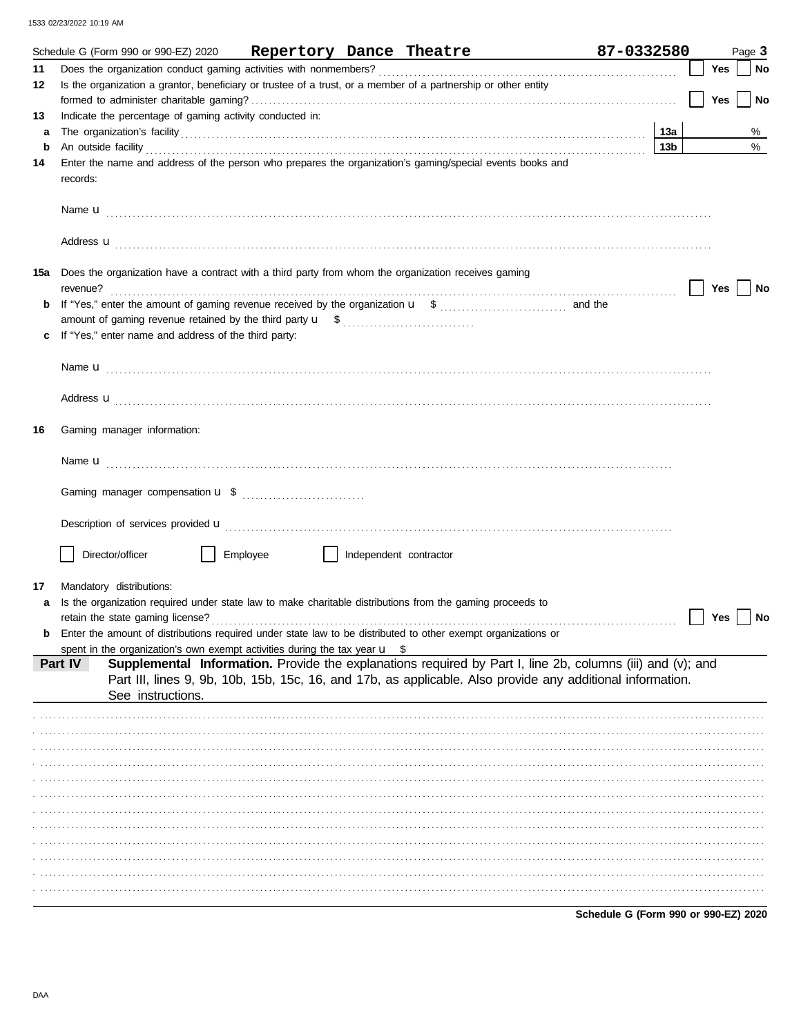|         | Schedule G (Form 990 or 990-EZ) 2020                                                                                                                                                                                                 | Repertory Dance Theatre | 87-0332580      |            | Page 3 |
|---------|--------------------------------------------------------------------------------------------------------------------------------------------------------------------------------------------------------------------------------------|-------------------------|-----------------|------------|--------|
| 11      |                                                                                                                                                                                                                                      |                         |                 | Yes        | No     |
| 12      | Is the organization a grantor, beneficiary or trustee of a trust, or a member of a partnership or other entity                                                                                                                       |                         |                 |            |        |
|         |                                                                                                                                                                                                                                      |                         |                 | <b>Yes</b> | No     |
| 13<br>a | Indicate the percentage of gaming activity conducted in:                                                                                                                                                                             |                         | 13а             |            | %      |
| b       | An outside facility <b>contained a set of the contract of the contract of the contract of the contract of the contract of the contract of the contract of the contract of the contract of the contract of the contract of the co</b> |                         | 13 <sub>b</sub> |            | %      |
| 14      | Enter the name and address of the person who prepares the organization's gaming/special events books and                                                                                                                             |                         |                 |            |        |
|         | records:                                                                                                                                                                                                                             |                         |                 |            |        |
|         |                                                                                                                                                                                                                                      |                         |                 |            |        |
|         | Address <b>u</b>                                                                                                                                                                                                                     |                         |                 |            |        |
| 15a     | Does the organization have a contract with a third party from whom the organization receives gaming<br>revenue?                                                                                                                      |                         |                 | Yes        | No     |
| b       |                                                                                                                                                                                                                                      |                         |                 |            |        |
|         |                                                                                                                                                                                                                                      |                         |                 |            |        |
| c       | If "Yes," enter name and address of the third party:                                                                                                                                                                                 |                         |                 |            |        |
|         |                                                                                                                                                                                                                                      |                         |                 |            |        |
|         | Address <b>u</b>                                                                                                                                                                                                                     |                         |                 |            |        |
| 16      | Gaming manager information:                                                                                                                                                                                                          |                         |                 |            |        |
|         |                                                                                                                                                                                                                                      |                         |                 |            |        |
|         |                                                                                                                                                                                                                                      |                         |                 |            |        |
|         |                                                                                                                                                                                                                                      |                         |                 |            |        |
|         | Director/officer<br>Employee                                                                                                                                                                                                         | Independent contractor  |                 |            |        |
| 17      |                                                                                                                                                                                                                                      |                         |                 |            |        |
|         | Mandatory distributions:<br>Is the organization required under state law to make charitable distributions from the gaming proceeds to                                                                                                |                         |                 |            |        |
|         | retain the state gaming license?                                                                                                                                                                                                     |                         |                 | Yes        | No     |
|         | Enter the amount of distributions required under state law to be distributed to other exempt organizations or                                                                                                                        |                         |                 |            |        |
|         | spent in the organization's own exempt activities during the tax year $\mathbf{u}$ \$                                                                                                                                                |                         |                 |            |        |
|         | Supplemental Information. Provide the explanations required by Part I, line 2b, columns (iii) and (v); and<br>Part IV                                                                                                                |                         |                 |            |        |
|         | Part III, lines 9, 9b, 10b, 15b, 15c, 16, and 17b, as applicable. Also provide any additional information.<br>See instructions.                                                                                                      |                         |                 |            |        |
|         |                                                                                                                                                                                                                                      |                         |                 |            |        |
|         |                                                                                                                                                                                                                                      |                         |                 |            |        |
|         |                                                                                                                                                                                                                                      |                         |                 |            |        |
|         |                                                                                                                                                                                                                                      |                         |                 |            |        |
|         |                                                                                                                                                                                                                                      |                         |                 |            |        |
|         |                                                                                                                                                                                                                                      |                         |                 |            |        |
|         |                                                                                                                                                                                                                                      |                         |                 |            |        |
|         |                                                                                                                                                                                                                                      |                         |                 |            |        |
|         |                                                                                                                                                                                                                                      |                         |                 |            |        |
|         |                                                                                                                                                                                                                                      |                         |                 |            |        |
|         |                                                                                                                                                                                                                                      |                         |                 |            |        |
|         |                                                                                                                                                                                                                                      |                         |                 |            |        |
|         |                                                                                                                                                                                                                                      |                         |                 |            |        |

Schedule G (Form 990 or 990-EZ) 2020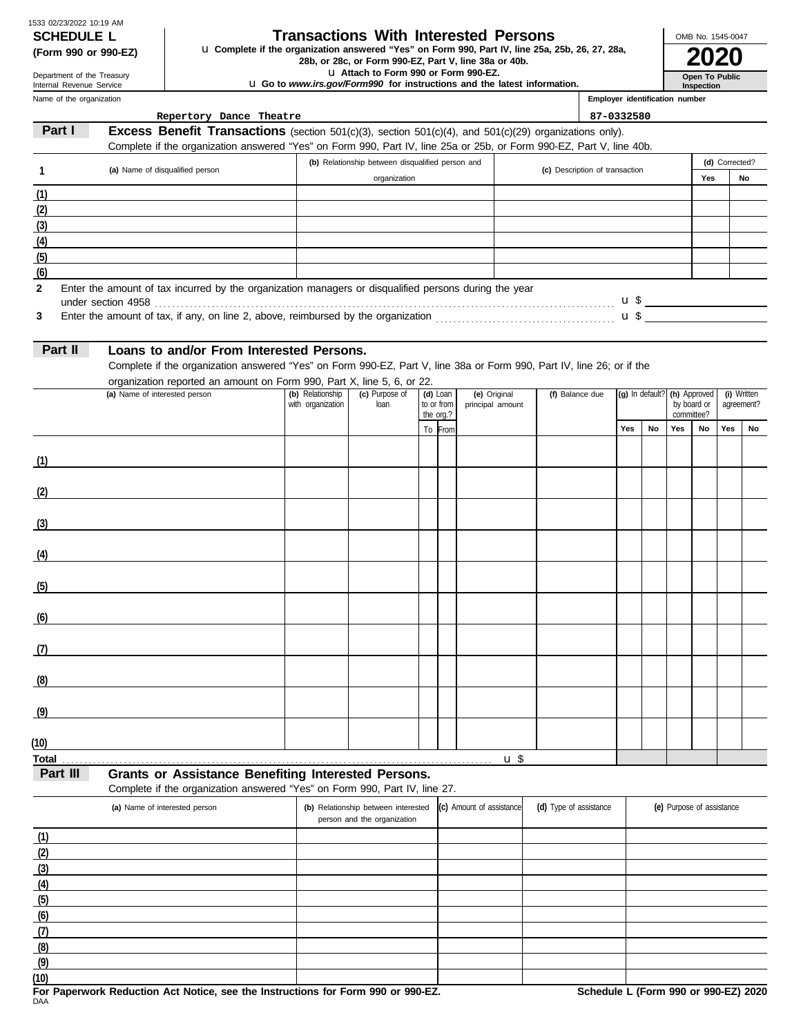| 1533 02/23/2022 10:19 AM |  |
|--------------------------|--|
| <b>SCHEDULE L</b>        |  |

# **Transactions With Interested Persons**

**(Form 990 or 990-EZ) u** Complete if the organization answered "Yes" on Form 990, Part IV, line 25a, 25b, 26, 27, 28a,<br>28b, or 28c, or Form 990-EZ, Part V, line 38a or 40b.<br>**2020** 

u **Attach to Form 990 or Form 990-EZ.**

u **Go to** *www.irs.gov/Form990* **for instructions and the latest information.**

Name of the organization Department of the Treasury Internal Revenue Service

## **Inspection Employer identification number**

**Open To Public**

OMB No. 1545-0047

|              | Repertory Dance Theatre                                                                                                  |                   |                                                  |            |                  |                 |                                | 87-0332580 |                              |     |                |     |             |
|--------------|--------------------------------------------------------------------------------------------------------------------------|-------------------|--------------------------------------------------|------------|------------------|-----------------|--------------------------------|------------|------------------------------|-----|----------------|-----|-------------|
| Part I       | Excess Benefit Transactions (section 501(c)(3), section 501(c)(4), and 501(c)(29) organizations only).                   |                   |                                                  |            |                  |                 |                                |            |                              |     |                |     |             |
|              | Complete if the organization answered "Yes" on Form 990, Part IV, line 25a or 25b, or Form 990-EZ, Part V, line 40b.     |                   |                                                  |            |                  |                 |                                |            |                              |     |                |     |             |
| 1            | (a) Name of disqualified person                                                                                          |                   | (b) Relationship between disqualified person and |            |                  |                 | (c) Description of transaction |            |                              |     | (d) Corrected? |     |             |
|              |                                                                                                                          |                   | organization                                     |            |                  |                 |                                |            |                              |     | Yes            |     | No          |
| (1)          |                                                                                                                          |                   |                                                  |            |                  |                 |                                |            |                              |     |                |     |             |
| (2)          |                                                                                                                          |                   |                                                  |            |                  |                 |                                |            |                              |     |                |     |             |
| (3)          |                                                                                                                          |                   |                                                  |            |                  |                 |                                |            |                              |     |                |     |             |
| (4)          |                                                                                                                          |                   |                                                  |            |                  |                 |                                |            |                              |     |                |     |             |
| (5)          |                                                                                                                          |                   |                                                  |            |                  |                 |                                |            |                              |     |                |     |             |
| (6)          |                                                                                                                          |                   |                                                  |            |                  |                 |                                |            |                              |     |                |     |             |
| $\mathbf{2}$ | Enter the amount of tax incurred by the organization managers or disqualified persons during the year                    |                   |                                                  |            |                  |                 |                                |            |                              |     |                |     |             |
|              |                                                                                                                          |                   |                                                  |            |                  |                 |                                |            |                              |     |                |     |             |
| 3            | Enter the amount of tax, if any, on line 2, above, reimbursed by the organization matches contained the summation and \$ |                   |                                                  |            |                  |                 |                                |            |                              |     |                |     |             |
|              |                                                                                                                          |                   |                                                  |            |                  |                 |                                |            |                              |     |                |     |             |
| Part II      | Loans to and/or From Interested Persons.                                                                                 |                   |                                                  |            |                  |                 |                                |            |                              |     |                |     |             |
|              | Complete if the organization answered "Yes" on Form 990-EZ, Part V, line 38a or Form 990, Part IV, line 26; or if the    |                   |                                                  |            |                  |                 |                                |            |                              |     |                |     |             |
|              | organization reported an amount on Form 990, Part X, line 5, 6, or 22.<br>(a) Name of interested person                  | (b) Relationship  | (c) Purpose of                                   | $(d)$ Loan | (e) Original     |                 | (f) Balance due                |            | (g) In default? (h) Approved |     |                |     | (i) Written |
|              |                                                                                                                          | with organization | loan                                             | to or from | principal amount |                 |                                |            |                              |     | by board or    |     | agreement?  |
|              |                                                                                                                          |                   |                                                  | the org.?  |                  |                 |                                |            |                              |     | committee?     |     |             |
|              |                                                                                                                          |                   |                                                  | To From    |                  |                 |                                | Yes        | No                           | Yes | No             | Yes | No          |
| (1)          |                                                                                                                          |                   |                                                  |            |                  |                 |                                |            |                              |     |                |     |             |
| (2)          |                                                                                                                          |                   |                                                  |            |                  |                 |                                |            |                              |     |                |     |             |
|              | <u> 1980 - Johann Barn, mars eta bainar eta idazlea (</u>                                                                |                   |                                                  |            |                  |                 |                                |            |                              |     |                |     |             |
| (3)          | <u> 1989 - Johann Harry Barn, mars ar breist fan de Fryske kommunent fan de Fryske kommunent fan de Fryske kommun</u>    |                   |                                                  |            |                  |                 |                                |            |                              |     |                |     |             |
| (4)          | <u> 1989 - Johann John Stone, markin sammen fyrstu og fyrir og fyrir og fyrir og fyrir og fyrir og fyrir og fyrir</u>    |                   |                                                  |            |                  |                 |                                |            |                              |     |                |     |             |
| (5)          | <u> 1989 - Johann John Stone, markin sammen fyrstu og fyrir og fyrir og fyrir og fyrir og fyrir og fyrir og fyrir</u>    |                   |                                                  |            |                  |                 |                                |            |                              |     |                |     |             |
| (6)          |                                                                                                                          |                   |                                                  |            |                  |                 |                                |            |                              |     |                |     |             |
|              | <u> 1989 - Johann John Stone, mars et al. 1989 - John Stone, mars et al. 1989 - John Stone, mars et al. 1989 - Joh</u>   |                   |                                                  |            |                  |                 |                                |            |                              |     |                |     |             |
| (7)          |                                                                                                                          |                   |                                                  |            |                  |                 |                                |            |                              |     |                |     |             |
| (8)          |                                                                                                                          |                   |                                                  |            |                  |                 |                                |            |                              |     |                |     |             |
| (9)          |                                                                                                                          |                   |                                                  |            |                  |                 |                                |            |                              |     |                |     |             |
| (10)         |                                                                                                                          |                   |                                                  |            |                  |                 |                                |            |                              |     |                |     |             |
| <b>Total</b> |                                                                                                                          |                   |                                                  |            |                  | $\mathbf{u}$ \$ |                                |            |                              |     |                |     |             |
| Part III     | <b>Grants or Assistance Benefiting Interested Persons.</b>                                                               |                   |                                                  |            |                  |                 |                                |            |                              |     |                |     |             |
|              | Complete if the organization answered "Yes" on Form 990, Part IV, line 27.                                               |                   |                                                  |            |                  |                 |                                |            |                              |     |                |     |             |

| (a) Name of interested person | (b) Relationship between interested<br>person and the organization | (c) Amount of assistance | (d) Type of assistance | (e) Purpose of assistance |
|-------------------------------|--------------------------------------------------------------------|--------------------------|------------------------|---------------------------|
| (1)                           |                                                                    |                          |                        |                           |
| (2)                           |                                                                    |                          |                        |                           |
| (3)                           |                                                                    |                          |                        |                           |
| (4)                           |                                                                    |                          |                        |                           |
| (5)                           |                                                                    |                          |                        |                           |
| (6)                           |                                                                    |                          |                        |                           |
| (7)                           |                                                                    |                          |                        |                           |
| (8)                           |                                                                    |                          |                        |                           |
| (9)                           |                                                                    |                          |                        |                           |
| (10)                          |                                                                    |                          |                        |                           |

DAA **For Paperwork Reduction Act Notice, see the Instructions for Form 990 or 990-EZ. Schedule L (Form 990 or 990-EZ) 2020**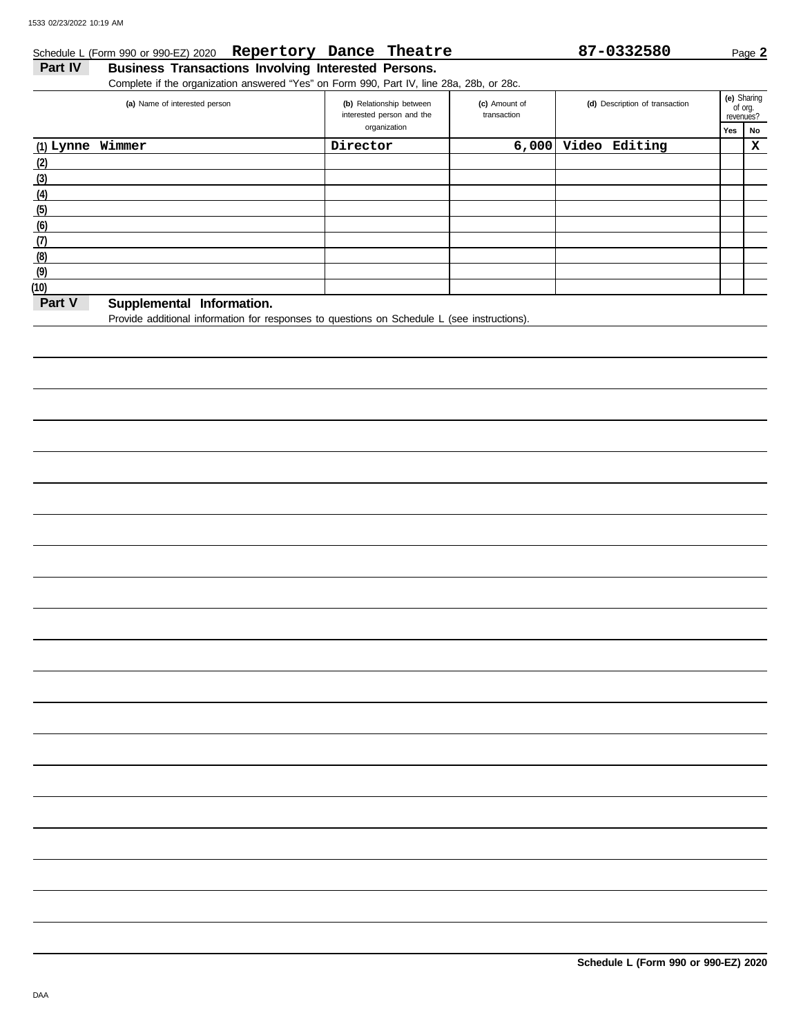# Schedule L (Form 990 or 990-EZ) 2020 Page **2 Repertory Dance Theatre 87-0332580**

# **Part IV Business Transactions Involving Interested Persons.**

Complete if the organization answered "Yes" on Form 990, Part IV, line 28a, 28b, or 28c.

| (a) Name of interested person      | (b) Relationship between<br>interested person and the | (c) Amount of<br>transaction | (d) Description of transaction |     | (e) Sharing<br>of org.<br>revenues? |  |
|------------------------------------|-------------------------------------------------------|------------------------------|--------------------------------|-----|-------------------------------------|--|
|                                    | organization                                          |                              |                                | Yes | No                                  |  |
| Wimmer<br>$(1)$ Lynne              | Director                                              | 6,000                        | Video Editing                  |     | x                                   |  |
| (2)                                |                                                       |                              |                                |     |                                     |  |
| (3)                                |                                                       |                              |                                |     |                                     |  |
| (4)                                |                                                       |                              |                                |     |                                     |  |
| (5)                                |                                                       |                              |                                |     |                                     |  |
| (6)                                |                                                       |                              |                                |     |                                     |  |
| (7)                                |                                                       |                              |                                |     |                                     |  |
| (8)                                |                                                       |                              |                                |     |                                     |  |
| (9)                                |                                                       |                              |                                |     |                                     |  |
| (10)                               |                                                       |                              |                                |     |                                     |  |
| Part V<br>Sunnlamantal Information |                                                       |                              |                                |     |                                     |  |

## **Part V Supplemental Information.**

Provide additional information for responses to questions on Schedule L (see instructions).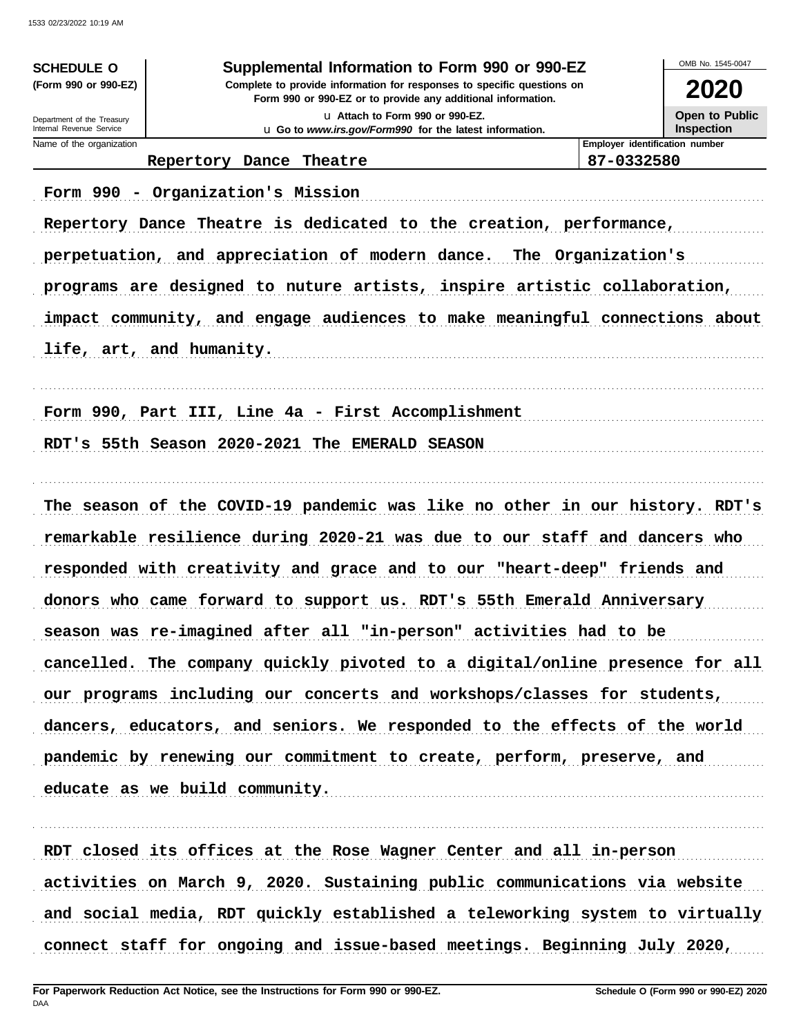| Department of the Treasury<br>Internal Revenue Service<br>Name of the organization | Complete to provide information for responses to specific questions on<br>Form 990 or 990-EZ or to provide any additional information.<br>La Attach to Form 990 or 990-EZ.<br>u Go to www.irs.gov/Form990 for the latest information.<br>Theatre<br>Repertory Dance<br>Form 990 - Organization's Mission<br>Repertory Dance Theatre is dedicated to the creation, performance, | 2020<br>Open to Public<br><b>Inspection</b><br>Employer identification number<br>87-0332580 |
|------------------------------------------------------------------------------------|--------------------------------------------------------------------------------------------------------------------------------------------------------------------------------------------------------------------------------------------------------------------------------------------------------------------------------------------------------------------------------|---------------------------------------------------------------------------------------------|
|                                                                                    |                                                                                                                                                                                                                                                                                                                                                                                |                                                                                             |
|                                                                                    |                                                                                                                                                                                                                                                                                                                                                                                |                                                                                             |
|                                                                                    |                                                                                                                                                                                                                                                                                                                                                                                |                                                                                             |
|                                                                                    |                                                                                                                                                                                                                                                                                                                                                                                |                                                                                             |
|                                                                                    |                                                                                                                                                                                                                                                                                                                                                                                |                                                                                             |
|                                                                                    | perpetuation, and appreciation of modern dance.                                                                                                                                                                                                                                                                                                                                | The Organization's                                                                          |
|                                                                                    |                                                                                                                                                                                                                                                                                                                                                                                | programs are designed to nuture artists, inspire artistic collaboration,                    |
|                                                                                    |                                                                                                                                                                                                                                                                                                                                                                                |                                                                                             |
|                                                                                    |                                                                                                                                                                                                                                                                                                                                                                                | impact community, and engage audiences to make meaningful connections about                 |
| life, art, and humanity.                                                           |                                                                                                                                                                                                                                                                                                                                                                                |                                                                                             |
|                                                                                    |                                                                                                                                                                                                                                                                                                                                                                                |                                                                                             |
|                                                                                    |                                                                                                                                                                                                                                                                                                                                                                                |                                                                                             |
|                                                                                    | Form 990, Part III, Line 4a - First Accomplishment                                                                                                                                                                                                                                                                                                                             |                                                                                             |
|                                                                                    | RDT's 55th Season 2020-2021 The EMERALD SEASON                                                                                                                                                                                                                                                                                                                                 |                                                                                             |
|                                                                                    |                                                                                                                                                                                                                                                                                                                                                                                |                                                                                             |
|                                                                                    |                                                                                                                                                                                                                                                                                                                                                                                |                                                                                             |
|                                                                                    |                                                                                                                                                                                                                                                                                                                                                                                | The season of the COVID-19 pandemic was like no other in our history. RDT's                 |
|                                                                                    |                                                                                                                                                                                                                                                                                                                                                                                | remarkable resilience during 2020-21 was due to our staff and dancers who                   |
|                                                                                    | responded with creativity and grace and to our "heart-deep" friends and                                                                                                                                                                                                                                                                                                        |                                                                                             |
|                                                                                    | donors who came forward to support us. RDT's 55th Emerald Anniversary                                                                                                                                                                                                                                                                                                          |                                                                                             |
|                                                                                    | season was re-imagined after all "in-person" activities had to be                                                                                                                                                                                                                                                                                                              |                                                                                             |
|                                                                                    |                                                                                                                                                                                                                                                                                                                                                                                | cancelled. The company quickly pivoted to a digital/online presence for all                 |
|                                                                                    | our programs including our concerts and workshops/classes for students,                                                                                                                                                                                                                                                                                                        |                                                                                             |
|                                                                                    |                                                                                                                                                                                                                                                                                                                                                                                | dancers, educators, and seniors. We responded to the effects of the world                   |
|                                                                                    | pandemic by renewing our commitment to create, perform, preserve, and                                                                                                                                                                                                                                                                                                          |                                                                                             |
| educate as we build community.                                                     |                                                                                                                                                                                                                                                                                                                                                                                |                                                                                             |
|                                                                                    | RDT closed its offices at the Rose Wagner Center and all in-person                                                                                                                                                                                                                                                                                                             |                                                                                             |
|                                                                                    |                                                                                                                                                                                                                                                                                                                                                                                | activities on March 9, 2020. Sustaining public communications via website                   |
|                                                                                    |                                                                                                                                                                                                                                                                                                                                                                                | and social media, RDT quickly established a teleworking system to virtually                 |

connect staff for ongoing and issue-based meetings. Beginning July 2020,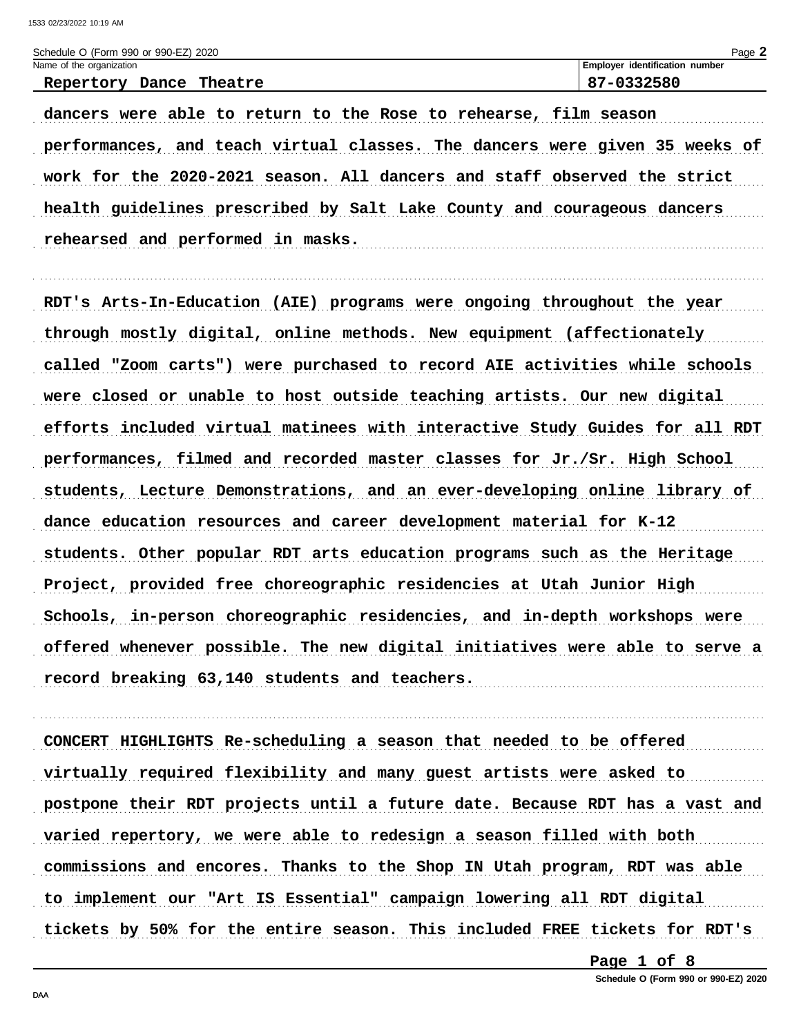| Schedule O (Form 990 or 990-EZ) 2020 | Page:                          |
|--------------------------------------|--------------------------------|
| Name of the organization             | Employer identification number |
| Theatre<br>Repertory<br>Dance        | 87-0332580                     |

dancers were able to return to the Rose to rehearse, film season performances, and teach virtual classes. The dancers were given 35 weeks of work for the 2020-2021 season. All dancers and staff observed the strict health guidelines prescribed by Salt Lake County and courageous dancers rehearsed and performed in masks.

RDT's Arts-In-Education (AIE) programs were ongoing throughout the year through mostly digital, online methods. New equipment (affectionately called "Zoom carts") were purchased to record AIE activities while schools were closed or unable to host outside teaching artists. Our new digital efforts included virtual matinees with interactive Study Guides for all RDT performances, filmed and recorded master classes for Jr./Sr. High School students, Lecture Demonstrations, and an ever-developing online library of dance education resources and career development material for K-12 students. Other popular RDT arts education programs such as the Heritage Project, provided free choreographic residencies at Utah Junior High Schools, in-person choreographic residencies, and in-depth workshops were offered whenever possible. The new digital initiatives were able to serve a record breaking 63,140 students and teachers.

CONCERT HIGHLIGHTS Re-scheduling a season that needed to be offered virtually required flexibility and many guest artists were asked to postpone their RDT projects until a future date. Because RDT has a vast and varied repertory, we were able to redesign a season filled with both commissions and encores. Thanks to the Shop IN Utah program, RDT was able to implement our "Art IS Essential" campaign lowering all RDT digital tickets by 50% for the entire season. This included FREE tickets for RDT's

Page 1 of 8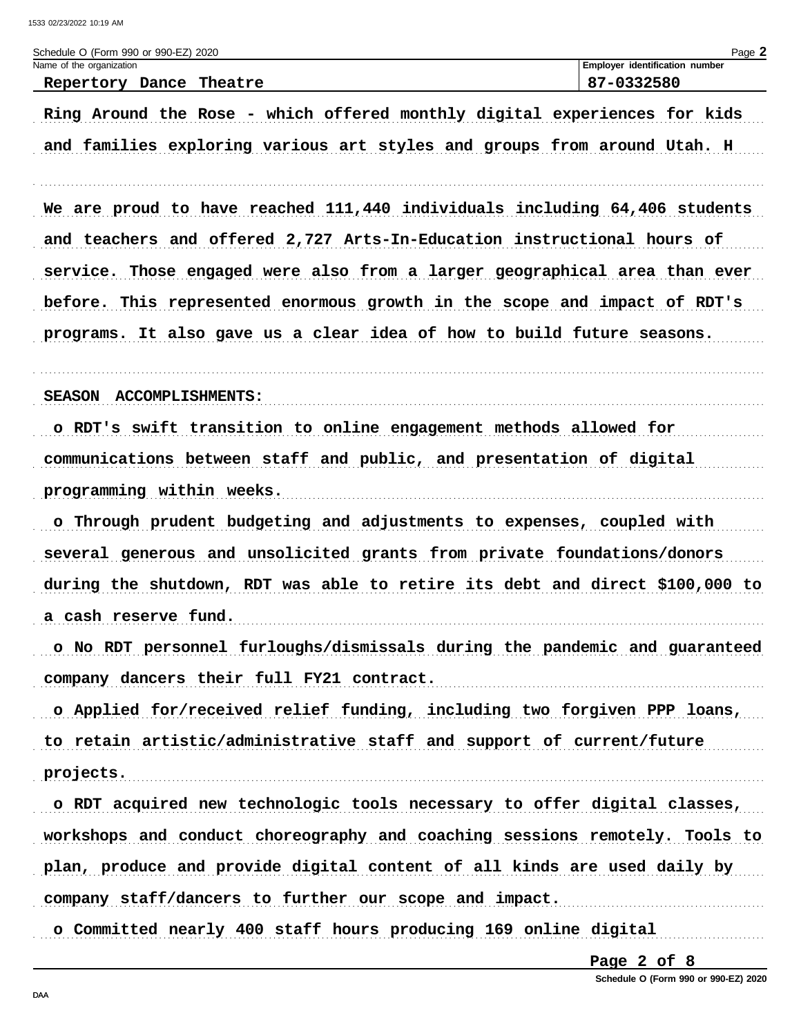| Schedule O (Form 990 or 990-EZ) 2020<br>Name of the organization             | Page 2<br>Employer identification number |
|------------------------------------------------------------------------------|------------------------------------------|
| Repertory Dance Theatre                                                      | 87-0332580                               |
| Ring Around the Rose - which offered monthly digital experiences for kids    |                                          |
| and families exploring various art styles and groups from around Utah. H     |                                          |
| We are proud to have reached 111,440 individuals including 64,406 students   |                                          |
| and teachers and offered 2,727 Arts-In-Education instructional hours of      |                                          |
| service. Those engaged were also from a larger geographical area than ever   |                                          |
| before. This represented enormous growth in the scope and impact of RDT's    |                                          |
| programs. It also gave us a clear idea of how to build future seasons.       |                                          |
| SEASON ACCOMPLISHMENTS:                                                      |                                          |
| o RDT's swift transition to online engagement methods allowed for            |                                          |
| communications between staff and public, and presentation of digital         |                                          |
| programming within weeks.                                                    |                                          |
| o Through prudent budgeting and adjustments to expenses, coupled with        |                                          |
| several generous and unsolicited grants from private foundations/donors      |                                          |
| during the shutdown, RDT was able to retire its debt and direct \$100,000 to |                                          |
| a cash reserve fund.                                                         |                                          |
| o No RDT personnel furloughs/dismissals during the pandemic and guaranteed   |                                          |
| company dancers their full FY21 contract.                                    |                                          |
| o Applied for/received relief funding, including two forgiven PPP loans,     |                                          |
| to retain artistic/administrative staff and support of current/future        |                                          |
| projects.                                                                    |                                          |
| o RDT acquired new technologic tools necessary to offer digital classes,     |                                          |
| workshops and conduct choreography and coaching sessions remotely. Tools to  |                                          |
| plan, produce and provide digital content of all kinds are used daily by     |                                          |
| company staff/dancers to further our scope and impact.                       |                                          |
| o Committed nearly 400 staff hours producing 169 online digital              |                                          |
|                                                                              | Page 2 of 8                              |

Schedule O (Form 990 or 990-EZ) 2020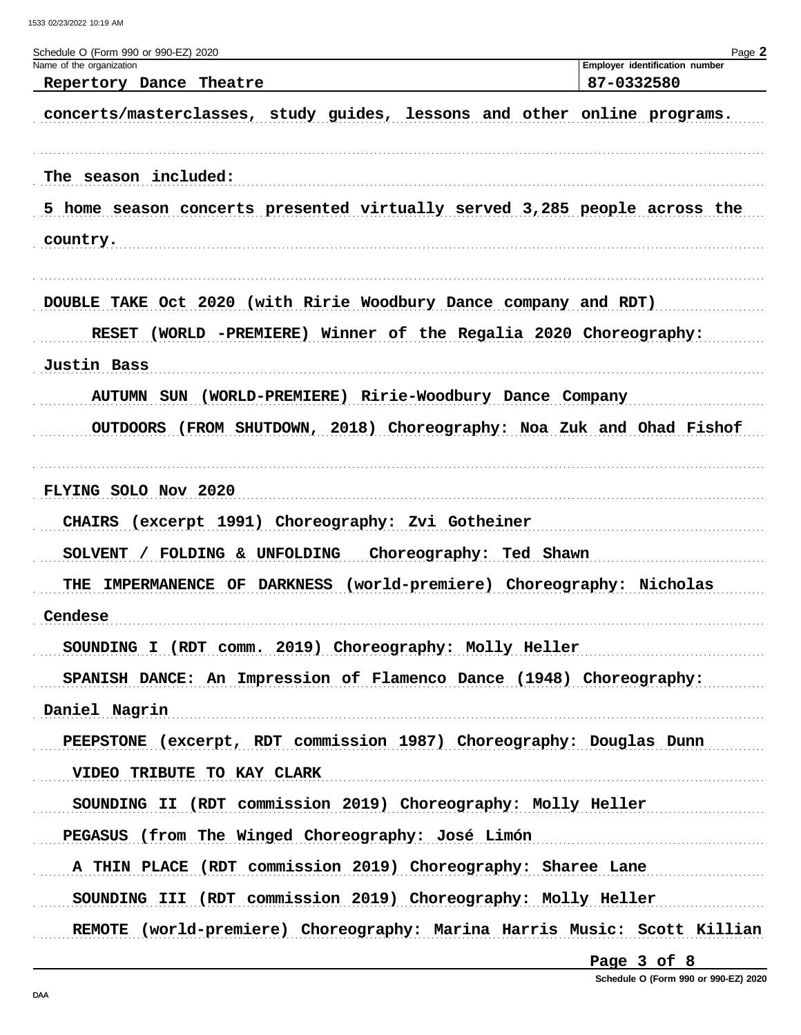| Schedule O (Form 990 or 990-EZ) 2020                                       | Page 2                         |
|----------------------------------------------------------------------------|--------------------------------|
| Name of the organization                                                   | Employer identification number |
| Repertory Dance Theatre                                                    | 87-0332580                     |
| concerts/masterclasses, study guides, lessons and other online programs.   |                                |
|                                                                            |                                |
| The season included:                                                       |                                |
| 5 home season concerts presented virtually served 3,285 people across the  |                                |
| country.                                                                   |                                |
|                                                                            |                                |
| DOUBLE TAKE Oct 2020 (with Ririe Woodbury Dance company and RDT)           |                                |
| (WORLD -PREMIERE) Winner of the Regalia 2020 Choreography:<br><b>RESET</b> |                                |
| Justin Bass                                                                |                                |
| (WORLD-PREMIERE) Ririe-Woodbury Dance Company<br><b>AUTUMN SUN</b>         |                                |
|                                                                            |                                |
| OUTDOORS (FROM SHUTDOWN, 2018) Choreography: Noa Zuk and Ohad Fishof       |                                |
|                                                                            |                                |
| <b>FLYING SOLO Nov 2020</b>                                                |                                |
| CHAIRS (excerpt 1991) Choreography: Zvi Gotheiner                          |                                |
| FOLDING & UNFOLDING<br>Choreography: Ted Shawn<br><b>SOLVENT</b>           |                                |
| (world-premiere) Choreography: Nicholas<br>THE IMPERMANENCE OF DARKNESS    |                                |
| Cendese                                                                    |                                |
| SOUNDING I (RDT comm. 2019) Choreography: Molly Heller                     |                                |
| SPANISH DANCE: An Impression of Flamenco Dance (1948) Choreography:        |                                |
| Daniel Nagrin                                                              |                                |
| PEEPSTONE (excerpt, RDT commission 1987) Choreography: Douglas Dunn        |                                |
| VIDEO TRIBUTE TO KAY CLARK                                                 |                                |
| SOUNDING II (RDT commission 2019) Choreography: Molly Heller               |                                |
| PEGASUS (from The Winged Choreography: José Limón                          |                                |
| A THIN PLACE (RDT commission 2019) Choreography: Sharee Lane               |                                |
| SOUNDING III (RDT commission 2019) Choreography: Molly Heller              |                                |
| REMOTE (world-premiere) Choreography: Marina Harris Music: Scott Killian   |                                |

Page 3 of 8

Schedule O (Form 990 or 990-EZ) 2020

DAA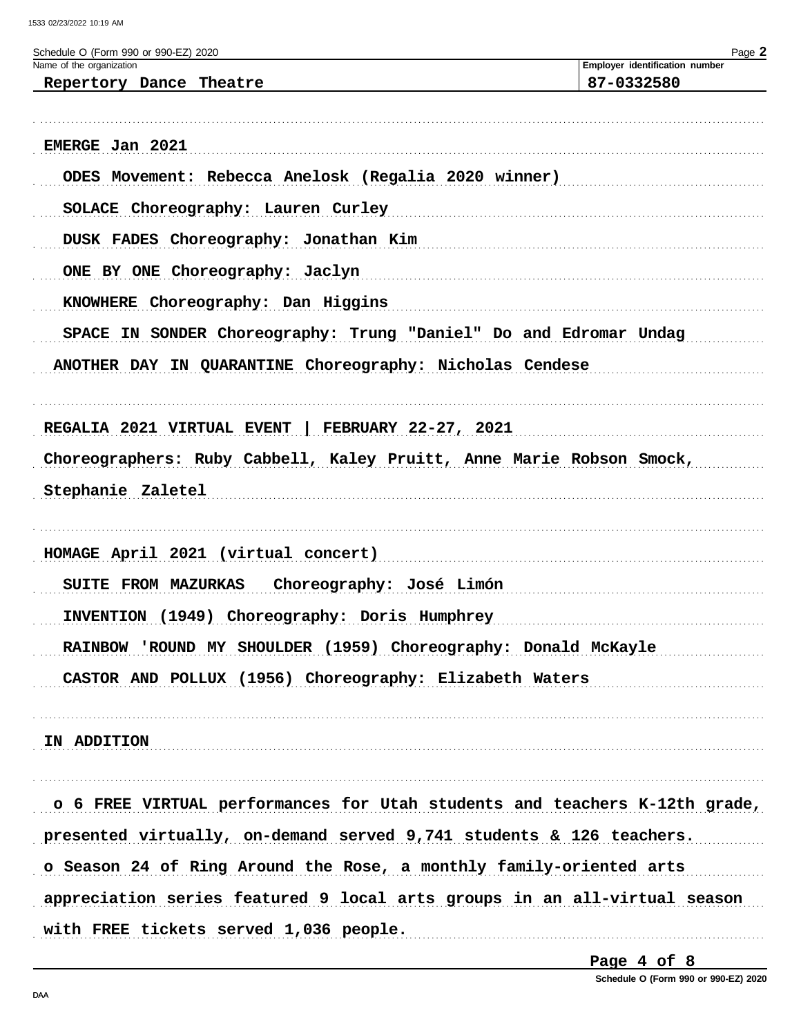| Schedule O (Form 990 or 990-EZ) 2020                                       | Page 2                                       |
|----------------------------------------------------------------------------|----------------------------------------------|
| Name of the organization<br>Repertory Dance Theatre                        | Employer identification number<br>87-0332580 |
|                                                                            |                                              |
| <b>EMERGE Jan 2021</b>                                                     |                                              |
| ODES Movement: Rebecca Anelosk (Regalia 2020 winner)                       |                                              |
| SOLACE Choreography: Lauren Curley                                         |                                              |
|                                                                            |                                              |
| DUSK FADES Choreography: Jonathan Kim                                      |                                              |
| ONE BY ONE Choreography: Jaclyn                                            |                                              |
| KNOWHERE Choreography: Dan Higgins                                         |                                              |
| SPACE IN SONDER Choreography: Trung "Daniel" Do and Edromar Undag          |                                              |
| ANOTHER DAY IN QUARANTINE Choreography: Nicholas Cendese                   |                                              |
| <b>FEBRUARY 22-27, 2021</b><br>REGALIA 2021 VIRTUAL EVENT                  |                                              |
| Choreographers: Ruby Cabbell, Kaley Pruitt, Anne Marie Robson Smock,       |                                              |
| Stephanie Zaletel                                                          |                                              |
|                                                                            |                                              |
| HOMAGE April 2021 (virtual concert)                                        |                                              |
| SUITE FROM MAZURKAS Choreography: José Limón                               |                                              |
| (1949) Choreography: Doris Humphrey<br><b>INVENTION</b>                    |                                              |
| RAINBOW 'ROUND MY SHOULDER (1959) Choreography: Donald McKayle             |                                              |
| CASTOR AND POLLUX (1956) Choreography: Elizabeth Waters                    |                                              |
|                                                                            |                                              |
| IN ADDITION                                                                |                                              |
|                                                                            |                                              |
| o 6 FREE VIRTUAL performances for Utah students and teachers K-12th grade, |                                              |
| presented virtually, on-demand served 9,741 students & 126 teachers.       |                                              |
| o Season 24 of Ring Around the Rose, a monthly family-oriented arts        |                                              |
| appreciation series featured 9 local arts groups in an all-virtual season  |                                              |
| with FREE tickets served 1,036 people.                                     |                                              |
|                                                                            |                                              |

Page 4 of 8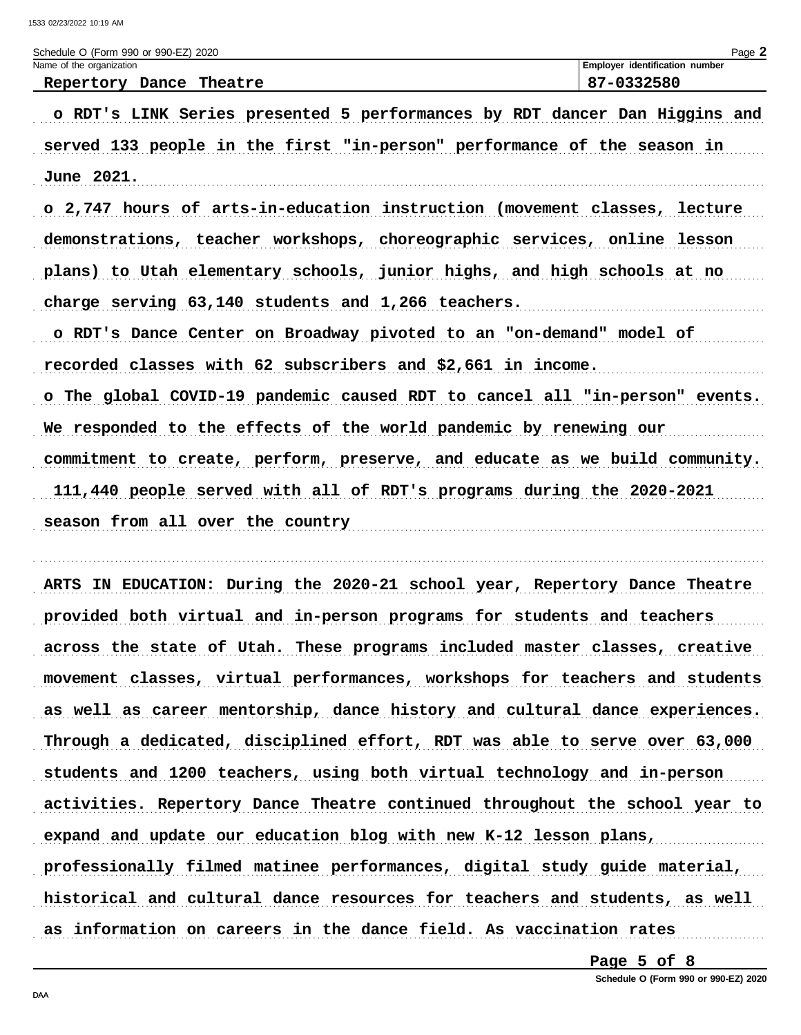| Schedule O (Form 990 or 990-EZ) 2020 | $P$ aqe                               |
|--------------------------------------|---------------------------------------|
| Name of the organization             | <b>Employer identification number</b> |
| Dance Theatre<br>Repertory           | 87-0332580                            |

o RDT's LINK Series presented 5 performances by RDT dancer Dan Higgins and served 133 people in the first "in-person" performance of the season in **June 2021.** 

o 2,747 hours of arts-in-education instruction (movement classes, lecture demonstrations, teacher workshops, choreographic services, online lesson plans) to Utah elementary schools, junior highs, and high schools at no charge serving  $63,140$  students and  $1,266$  teachers. o RDT's Dance Center on Broadway pivoted to an "on-demand" model of recorded classes with 62 subscribers and \$2,661 in income. o The global COVID-19 pandemic caused RDT to cancel all "in-person" events. We responded to the effects of the world pandemic by renewing our commitment to create, perform, preserve, and educate as we build community. 111,440 people served with all of RDT's programs during the 2020-2021 season from all over the country the season of the season from all over the country

ARTS IN EDUCATION: During the 2020-21 school year, Repertory Dance Theatre provided both virtual and in-person programs for students and teachers across the state of Utah. These programs included master classes, creative movement classes, virtual performances, workshops for teachers and students as well as career mentorship, dance history and cultural dance experiences. Through a dedicated, disciplined effort, RDT was able to serve over 63,000 students and 1200 teachers, using both virtual technology and in-person activities. Repertory Dance Theatre continued throughout the school year to expand and update our education blog with new K-12 lesson plans, professionally filmed matinee performances, digital study guide material, historical and cultural dance resources for teachers and students, as well as information on careers in the dance field. As vaccination rates

Page 5 of 8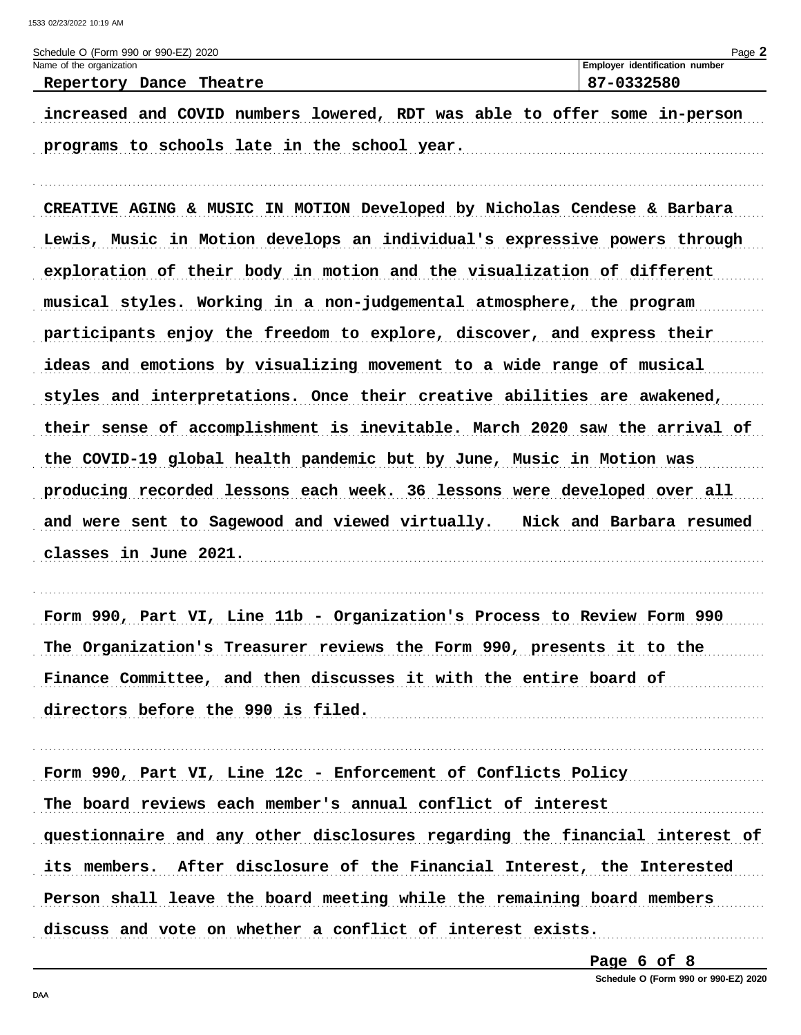| Schedule O (Form 990 or 990-EZ) 2020 | $P$ aqe $\Box$                 |
|--------------------------------------|--------------------------------|
| Name of the organization             | Employer identification number |
| Theatre<br>Dance<br>Repertory        | 87-0332580                     |
|                                      |                                |

increased and COVID numbers lowered, RDT was able to offer some in-person programs to schools late in the school year.

CREATIVE AGING & MUSIC IN MOTION Developed by Nicholas Cendese & Barbara Lewis, Music in Motion develops an individual's expressive powers through exploration of their body in motion and the visualization of different musical styles. Working in a non-judgemental atmosphere, the program participants enjoy the freedom to explore, discover, and express their ideas and emotions by visualizing movement to a wide range of musical styles and interpretations. Once their creative abilities are awakened, their sense of accomplishment is inevitable. March 2020 saw the arrival of the COVID-19 global health pandemic but by June, Music in Motion was producing recorded lessons each week. 36 lessons were developed over all and were sent to Sagewood and viewed virtually. Nick and Barbara resumed classes in June 2021.

Form 990, Part VI, Line 11b - Organization's Process to Review Form 990 The Organization's Treasurer reviews the Form 990, presents it to the Finance Committee, and then discusses it with the entire board of directors before the 990 is filed.

Form 990, Part VI, Line 12c - Enforcement of Conflicts Policy The board reviews each member's annual conflict of interest questionnaire and any other disclosures regarding the financial interest of its members. After disclosure of the Financial Interest, the Interested Person shall leave the board meeting while the remaining board members discuss and vote on whether a conflict of interest exists.

Page 6 of 8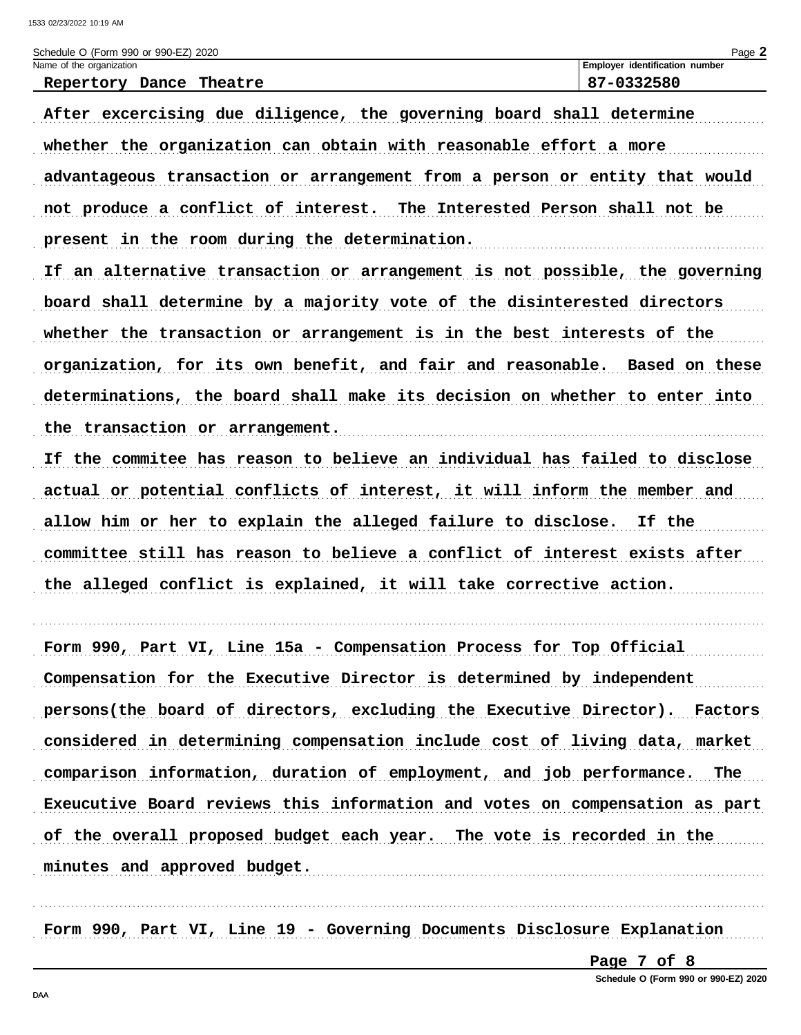| Schedule O (Form 990 or 990-EZ) 2020                                        | Page 2                         |
|-----------------------------------------------------------------------------|--------------------------------|
| Name of the organization                                                    | Employer identification number |
| Repertory Dance Theatre                                                     | 87-0332580                     |
| After excercising due diligence, the governing board shall determine        |                                |
| whether the organization can obtain with reasonable effort a more           |                                |
| advantageous transaction or arrangement from a person or entity that would  |                                |
| not produce a conflict of interest. The Interested Person shall not be      |                                |
| present in the room during the determination.                               |                                |
| If an alternative transaction or arrangement is not possible, the governing |                                |
| board shall determine by a majority vote of the disinterested directors     |                                |
| whether the transaction or arrangement is in the best interests of the      |                                |
| organization, for its own benefit, and fair and reasonable. Based on these  |                                |
| determinations, the board shall make its decision on whether to enter into  |                                |
| the transaction or arrangement.                                             |                                |
| If the commitee has reason to believe an individual has failed to disclose  |                                |
| actual or potential conflicts of interest, it will inform the member and    |                                |
| allow him or her to explain the alleged failure to disclose.                | If the                         |
| committee still has reason to believe a conflict of interest exists after   |                                |
| the alleged conflict is explained, it will take corrective action.          |                                |
|                                                                             |                                |

Form 990, Part VI, Line 15a - Compensation Process for Top Official Compensation for the Executive Director is determined by independent persons (the board of directors, excluding the Executive Director). Factors considered in determining compensation include cost of living data, market comparison information, duration of employment, and job performance. The Exeucutive Board reviews this information and votes on compensation as part of the overall proposed budget each year. The vote is recorded in the minutes and approved budget.

Form 990, Part VI, Line 19 - Governing Documents Disclosure Explanation

Page 7 of 8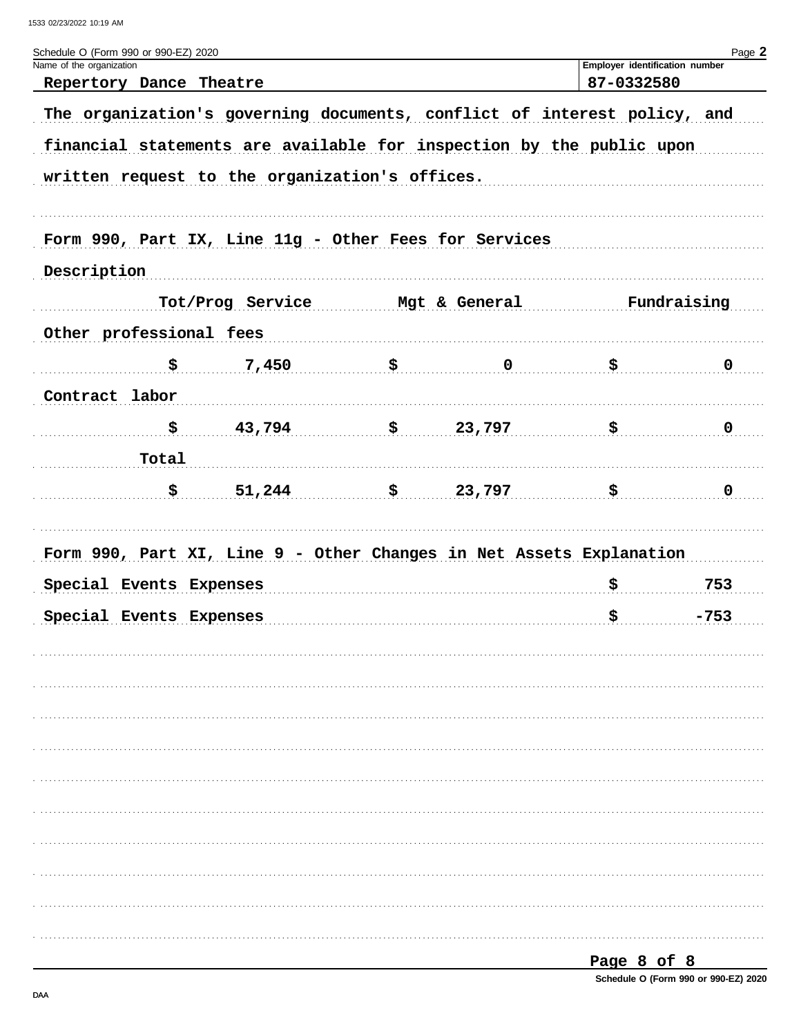| Schedule O (Form 990 or 990-EZ) 2020<br>Name of the organization         |                  |               |             | Employer identification number | Page 2      |  |  |
|--------------------------------------------------------------------------|------------------|---------------|-------------|--------------------------------|-------------|--|--|
| Repertory Dance Theatre                                                  |                  |               |             | 87-0332580                     |             |  |  |
| The organization's governing documents, conflict of interest policy, and |                  |               |             |                                |             |  |  |
| financial statements are available for inspection by the public upon     |                  |               |             |                                |             |  |  |
| written request to the organization's offices.                           |                  |               |             |                                |             |  |  |
| Form 990, Part IX, Line 11g - Other Fees for Services                    |                  |               |             |                                |             |  |  |
| Description                                                              |                  |               |             |                                |             |  |  |
|                                                                          | Tot/Prog Service | Mgt & General |             |                                | Fundraising |  |  |
| Other professional fees                                                  |                  |               |             |                                |             |  |  |
| \$                                                                       | 7,450            | \$            | $\mathbf 0$ | \$                             | $\mathbf 0$ |  |  |
| Contract labor                                                           |                  |               |             |                                |             |  |  |
| \$                                                                       | 43,794           | \$            | 23,797      | \$                             | $\mathbf 0$ |  |  |
| Total                                                                    |                  |               |             |                                |             |  |  |
| \$                                                                       | 51,244           | \$            | 23,797      | \$                             | 0           |  |  |
|                                                                          |                  |               |             |                                |             |  |  |
| Form 990, Part XI, Line 9 - Other Changes in Net Assets Explanation      |                  |               |             |                                |             |  |  |
| Special Events Expenses                                                  |                  |               |             | \$                             | 753         |  |  |
| Special Events Expenses                                                  |                  |               |             | \$                             | $-753$      |  |  |
|                                                                          |                  |               |             |                                |             |  |  |
|                                                                          |                  |               |             |                                |             |  |  |
|                                                                          |                  |               |             |                                |             |  |  |
|                                                                          |                  |               |             |                                |             |  |  |
|                                                                          |                  |               |             |                                |             |  |  |
|                                                                          |                  |               |             |                                |             |  |  |
|                                                                          |                  |               |             |                                |             |  |  |
|                                                                          |                  |               |             |                                |             |  |  |
|                                                                          |                  |               |             |                                |             |  |  |
|                                                                          |                  |               |             |                                |             |  |  |

| Page 8 OI 8                          |  |  |  |
|--------------------------------------|--|--|--|
| Schedule O (Form 990 or 990-EZ) 2020 |  |  |  |